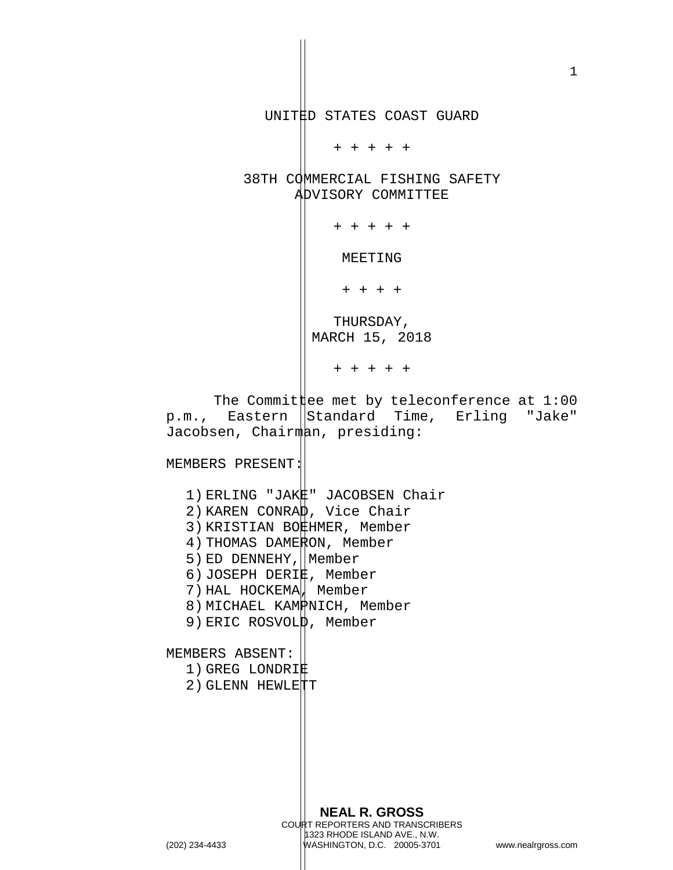UNITED STATES COAST GUARD

+ + + + +

38TH COMMERCIAL FISHING SAFETY ADVISORY COMMITTEE

+ + + + +

MEETING

+ + + +

THURSDAY, MARCH 15, 2018

+ + + + +

The Commit  $\sharp$ ee met by teleconference at 1:00 p.m., Eastern Standard Time, Erling "Jake" Jacobsen, Chairman, presiding:

MEMBERS PRESENT:

- 1) ERLING "JAK#" JACOBSEN Chair
- 2) KAREN CONRAD, Vice Chair
- 3) KRISTIAN BOEHMER, Member
- 4) THOMAS DAMERON, Member
- 5) ED DENNEHY, Nember
- 6) JOSEPH DERIE, Member
- 7) HAL HOCKEMA, Member
- 8) MICHAEL KAMPNICH, Member
- 9) ERIC ROSVOL $\upphi$ , Member

MEMBERS ABSENT:

- 1) GREG LONDRIE
- 2) GLENN HEWLETT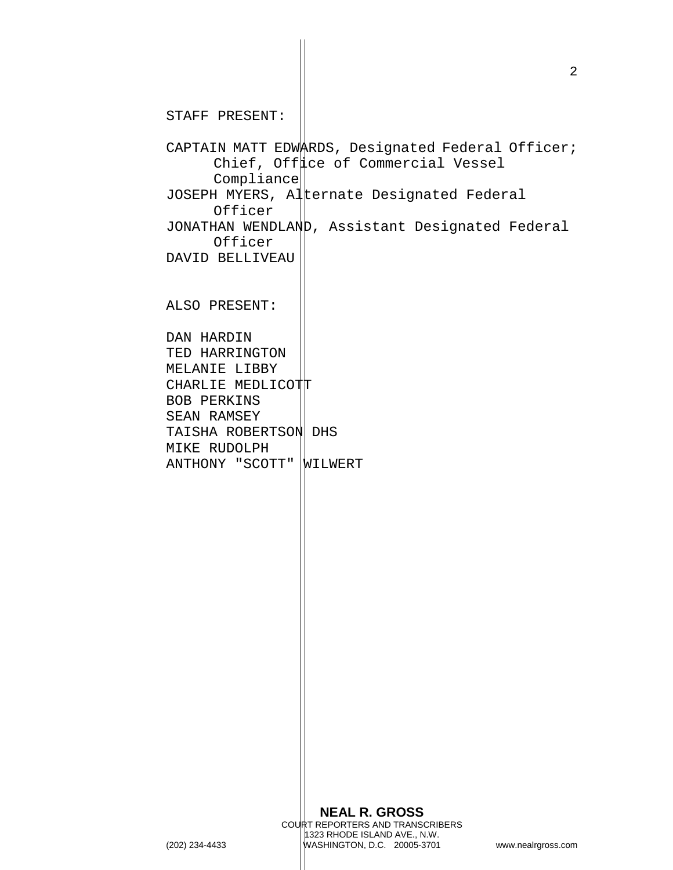**NEAL R. GROSS** COURT REPORTERS AND TRANSCRIBERS 1323 RHODE ISLAND AVE., N.W. STAFF PRESENT: CAPTAIN MATT EDWARDS, Designated Federal Officer; Chief, Offuce of Commercial Vessel Compliance JOSEPH MYERS, Alternate Designated Federal Officer JONATHAN WENDLAND, Assistant Designated Federal Officer DAVID BELLIVEAU ALSO PRESENT: DAN HARDIN TED HARRINGTON MELANIE LIBBY CHARLIE MEDLICOTT BOB PERKINS SEAN RAMSEY TAISHA ROBERTSON DHS MIKE RUDOLPH ANTHONY "SCOTT" WILWERT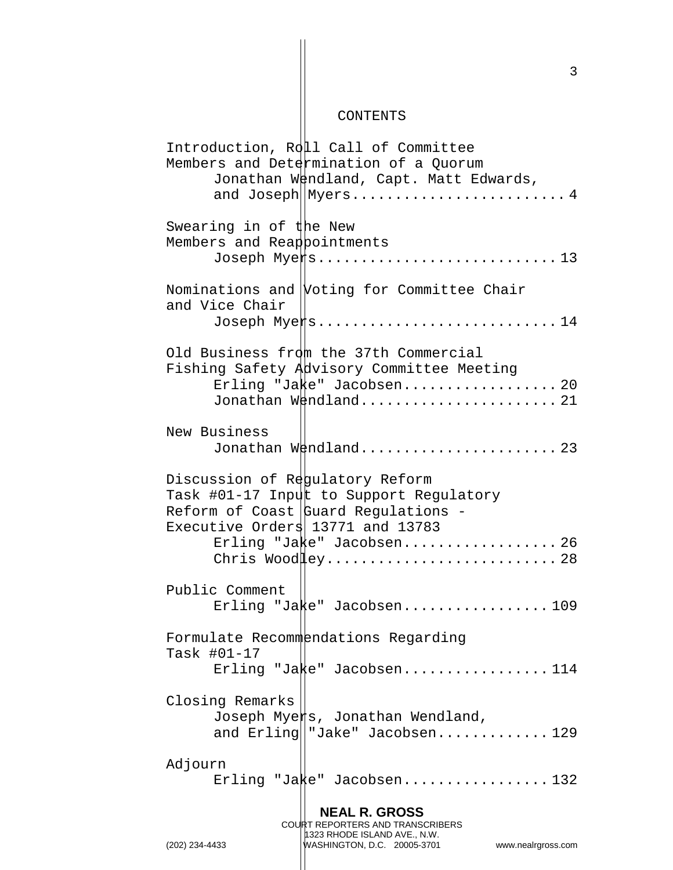## CONTENTS

| Introduction, Roll Call of Committee<br>Members and Determination of a Quorum<br>Jonathan Wendland, Capt. Matt Edwards,                               |  |  |
|-------------------------------------------------------------------------------------------------------------------------------------------------------|--|--|
|                                                                                                                                                       |  |  |
| Swearing in of the New<br>Members and Reappointments                                                                                                  |  |  |
| Nominations and Voting for Committee Chair<br>and Vice Chair<br>Joseph Myers14                                                                        |  |  |
| Old Business from the 37th Commercial                                                                                                                 |  |  |
| Fishing Safety Advisory Committee Meeting                                                                                                             |  |  |
| Erling "Ja $k$ e" Jacobsen 20<br>Jonathan Wendland 21                                                                                                 |  |  |
| New Business<br>Jonathan Wendland 23                                                                                                                  |  |  |
| Discussion of Regulatory Reform<br>Task #01-17 Input to Support Regulatory<br>Reform of Coast Guard Regulations -<br>Executive Orders 13771 and 13783 |  |  |
| Erling "Jake" Jacobsen 26<br>Chris Wood ley 28                                                                                                        |  |  |
| Public Comment<br>Erling "Jake" Jacobsen109                                                                                                           |  |  |
| Formulate Recommendations Regarding<br>Task #01-17                                                                                                    |  |  |
| Erling "Jake" Jacobsen114                                                                                                                             |  |  |
| Closing Remarks<br>Joseph Myers, Jonathan Wendland,<br>and $Erling  "Jake" Jacobsen$ 129                                                              |  |  |
| Adjourn<br>Erling "Ja $k$ e" Jacobsen132                                                                                                              |  |  |
| <b>NEAL R. GROSS</b><br>COURT REPORTERS AND TRANSCRIBERS                                                                                              |  |  |

1323 RHODE ISLAND AVE., N.W.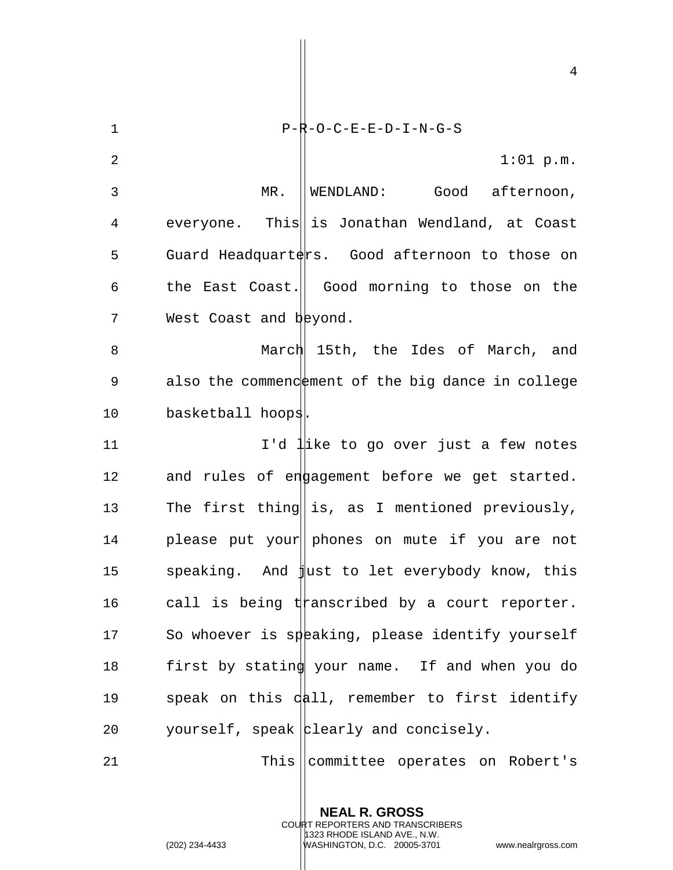| $\mathbf{1}$ | $P-R-O-C-E-E-D-I-N-G-S$                           |
|--------------|---------------------------------------------------|
| 2            | $1:01$ p.m.                                       |
| 3            | MR.<br>WENDLAND: Good afternoon,                  |
| 4            | everyone. This is Jonathan Wendland, at Coast     |
| 5            | Guard Headquarters. Good afternoon to those on    |
| 6            | the East Coast.   Good morning to those on the    |
| 7            | West Coast and beyond.                            |
| 8            | March 15th, the Ides of March, and                |
| 9            | also the commendement of the big dance in college |
| 10           | basketball hoops.                                 |
| 11           | I'd like to go over just a few notes              |
| 12           | and rules of engagement before we get started.    |
| 13           | The first thing is, as I mentioned previously,    |
| 14           | please put your phones on mute if you are not     |
| 15           | speaking. And just to let everybody know, this    |
| 16           | call is being $t$ tanscribed by a court reporter. |
| 17           | So whoever is speaking, please identify yourself  |
| 18           | first by stating your name. If and when you do    |
| 19           | speak on this dall, remember to first identify    |
| 20           | yourself, speak   plearly and concisely.          |
| 21           | This committee operates on Robert's               |

**NEAL R. GROSS** COURT REPORTERS AND TRANSCRIBERS 1323 RHODE ISLAND AVE., N.W.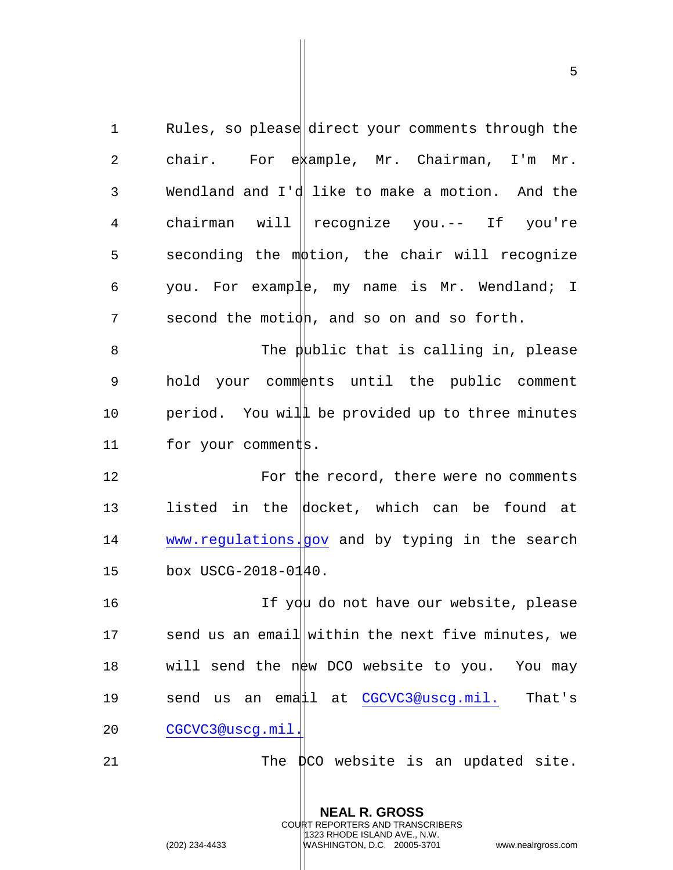1 Rules, so please direct your comments through the 2 chair. For example, Mr. Chairman, I'm Mr. 3 Wendland and I'd like to make a motion. And the 4 chairman will recognize you.-- If you're  $5$  seconding the mottion, the chair will recognize 6 you. For example, my name is Mr. Wendland; I 7 second the motion, and so on and so forth.  $8$  The public that is calling in, please 9 hold your comments until the public comment 10 period. You will be provided up to three minutes

11 for your comments.

12 For the record, there were no comments 13 listed in the docket, which can be found at 14 www.regulations. gov and by typing in the search 15 box USCG-2018-0140.

16 16 If you do not have our website, please 17 send us an email within the next five minutes, we 18 will send the new DCO website to you. You may 19 send us an email at CGCVC3@uscg.mil. That's 20 CGCVC3@uscg.mil.

21 The  $\sharp$ CO website is an updated site.

**NEAL R. GROSS** COURT REPORTERS AND TRANSCRIBERS 1323 RHODE ISLAND AVE., N.W.

(202) 234-4433 WASHINGTON, D.C. 20005-3701 www.nealrgross.com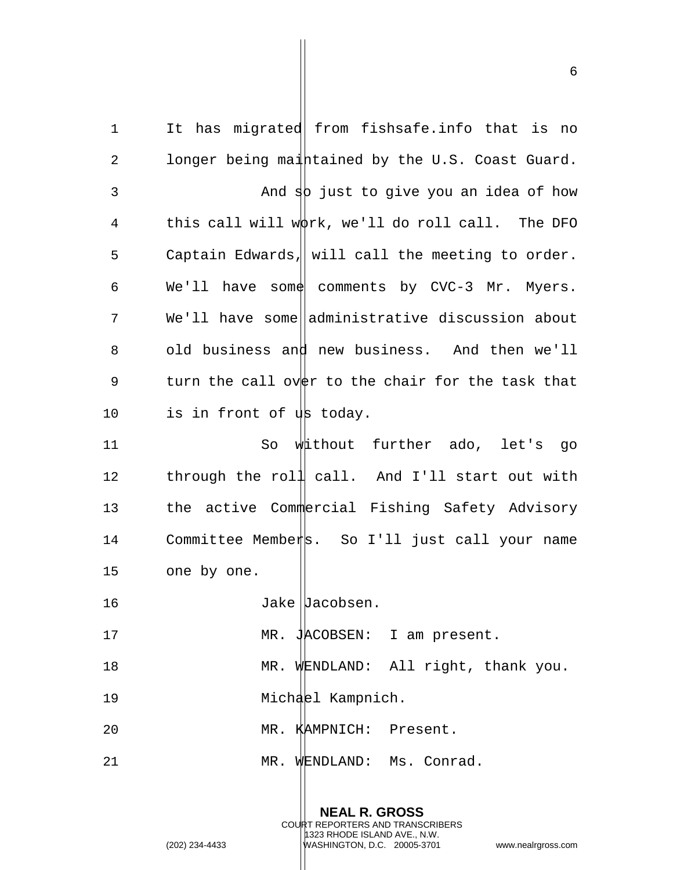1 It has migrated from fishsafe.info that is no 2 longer being maintained by the U.S. Coast Guard.  $3$  And  $\frac{1}{2}$  just to give you an idea of how 4 this call will w $\phi$ rk, we'll do roll call. The DFO 5 Captain Edwards, will call the meeting to order. 6 We'll have some comments by CVC-3 Mr. Myers. 7 We'll have some administrative discussion about 8 old business and new business. And then we'll 9 turn the call over to the chair for the task that 10 is in front of us today. 11 So without further ado, let's go

12 through the roll call. And I'll start out with 13 the active Commercial Fishing Safety Advisory 14 Committee Members. So I'll just call your name 15 one by one.

16 Jake Jacobsen.

17 MR. JACOBSEN: I am present.

18 MR. WENDLAND: All right, thank you. 19 Michael Kampnich.

20 MR. KAMPNICH: Present.

21 MR. WENDLAND: Ms. Conrad.

**NEAL R. GROSS** COURT REPORTERS AND TRANSCRIBERS 1323 RHODE ISLAND AVE., N.W. (202) 234-4433 WASHINGTON, D.C. 20005-3701 www.nealrgross.com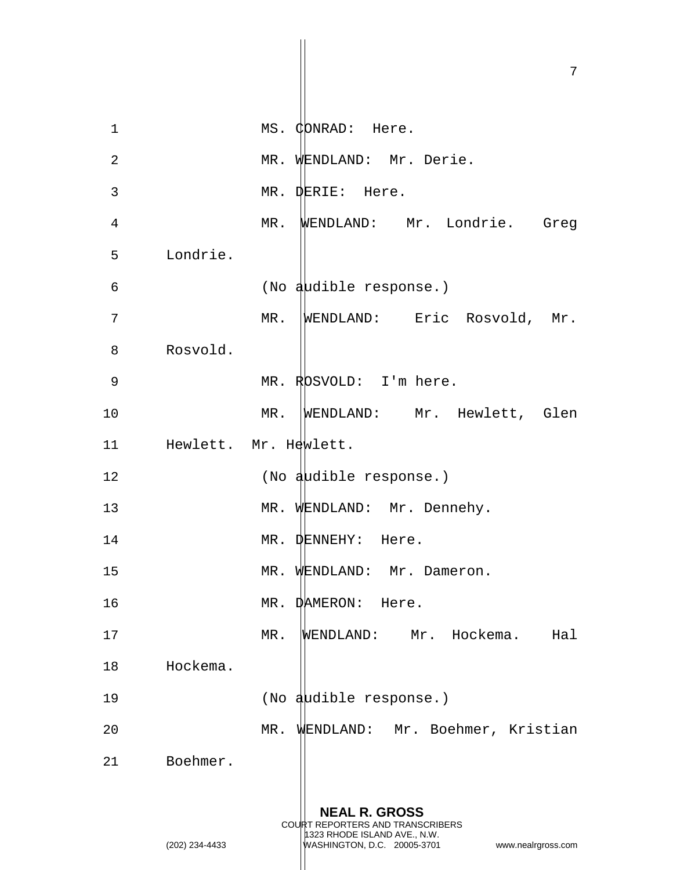**NEAL R. GROSS** COURT REPORTERS AND TRANSCRIBERS 1323 RHODE ISLAND AVE., N.W. 1 MS. CONRAD: Here. 2 MR. WENDLAND: Mr. Derie. 3 MR. DERIE: Here. 4 MR. WENDLAND: Mr. Londrie. Greg 5 Londrie. 6 (No audible response.) 7 MR. WENDLAND: Eric Rosvold, Mr. 8 Rosvold. 9 MR. RDSVOLD: I'm here. 10 MR. WENDLAND: Mr. Hewlett, Glen 11 Hewlett. Mr. Hewlett. 12 (No audible response.) 13 MR. WENDLAND: Mr. Dennehy. 14 MR. DENNEHY: Here. 15 MR. WENDLAND: Mr. Dameron. 16 MR. DAMERON: Here. 17 MR. WENDLAND: Mr. Hockema. Hal 18 Hockema. 19 (No audible response.) 20 MR. WENDLAND: Mr. Boehmer, Kristian 21 Boehmer.

(202) 234-4433 WASHINGTON, D.C. 20005-3701 www.nealrgross.com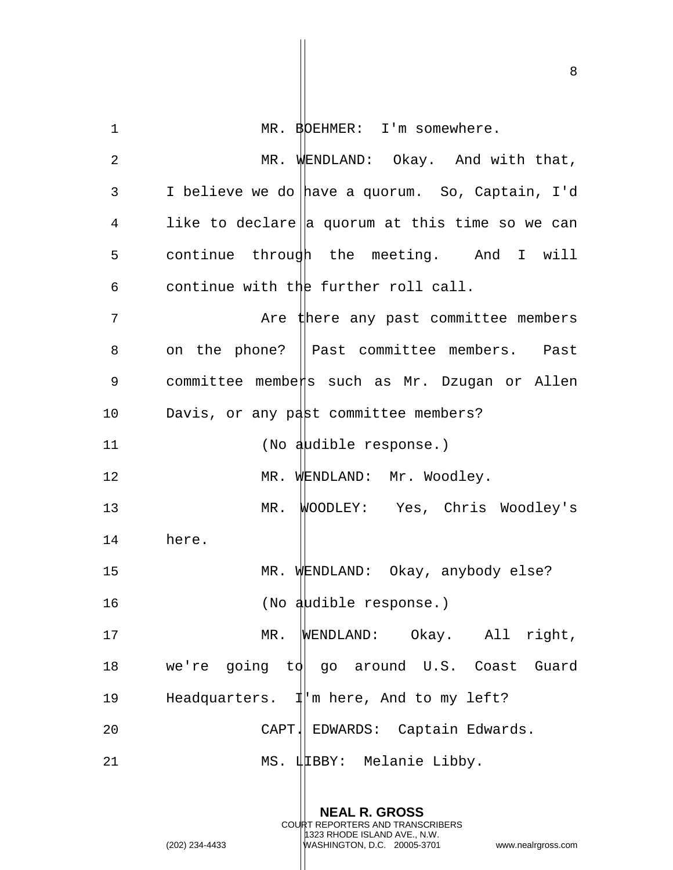1 MR. BOEHMER: I'm somewhere.

2 MR. WENDLAND: Okay. And with that, 3 I believe we do have a quorum. So, Captain, I'd  $4$  like to declare a quorum at this time so we can 5 continue through the meeting. And I will 6 continue with the further roll call. 7 Are there any past committee members 8 on the phone? || Past committee members. Past 9 committee members such as Mr. Dzugan or Allen 10 Davis, or any past committee members? 11 (No audible response.) 12 MR. WENDLAND: Mr. Woodley. 13 MR. WOODLEY: Yes, Chris Woodley's 14 here. 15 MR. WENDLAND: Okay, anybody else? 16 (No audible response.) 17 MR. WENDLAND: Okay. All right, 18 we're going to go around U.S. Coast Guard 19 Headquarters.  $\mathbb{I}$  m here, And to my left? 20 CAPT. CAPT. EDWARDS: Captain Edwards. 21 MS. ILBBY: Melanie Libby.

> **NEAL R. GROSS** COURT REPORTERS AND TRANSCRIBERS

1323 RHODE ISLAND AVE., N.W.

(202) 234-4433 WASHINGTON, D.C. 20005-3701 www.nealrgross.com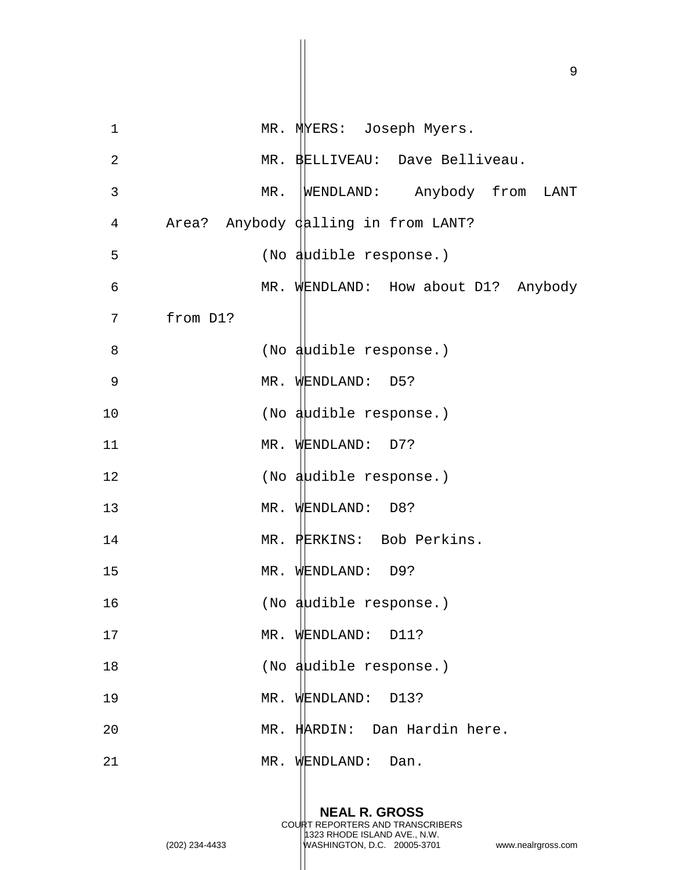| $\mathbf 1$    | MR. MYERS: Joseph Myers.            |
|----------------|-------------------------------------|
| $\overline{a}$ | MR. BELLIVEAU: Dave Belliveau.      |
| 3              | WENDLAND: Anybody from LANT<br>MR.  |
| $\overline{4}$ | Area? Anybody dalling in from LANT? |
| 5              | (No audible response.)              |
| 6              | MR. WENDLAND: How about D1? Anybody |
| 7              | from D1?                            |
| 8              | (No audible response.)              |
| 9              | MR. WENDLAND: D5?                   |
| 10             | (No audible response.)              |
| 11             | MR. WENDLAND: D7?                   |
| 12             | (No audible response.)              |
| 13             | MR. WENDLAND: D8?                   |
| 14             | MR. PERKINS: Bob Perkins.           |
| 15             | MR. WENDLAND: D9?                   |
| 16             | (No audible response.)              |
| 17             | MR. WENDLAND: D11?                  |
| 18             | (No audible response.)              |
| 19             | MR. WENDLAND: D13?                  |
| 20             | MR. HARDIN: Dan Hardin here.        |
| 21             | MR. WENDLAND: Dan.                  |

**NEAL R. GROSS** COURT REPORTERS AND TRANSCRIBERS

1323 RHODE ISLAND AVE., N.W.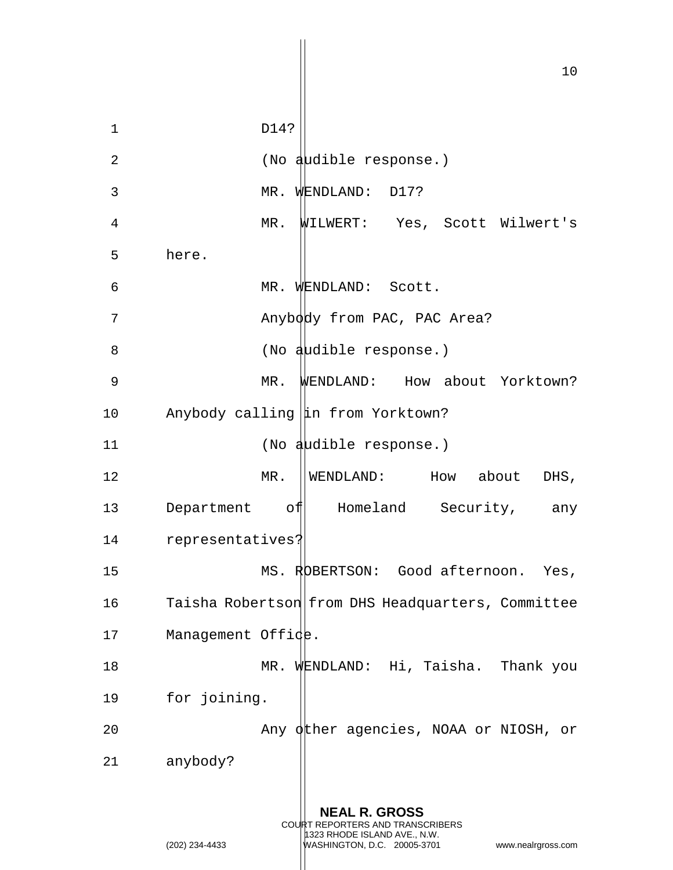10 **NEAL R. GROSS** 1 D14? 2 (No audible response.) 3 MR. WENDLAND: D17? 4 MR. WILWERT: Yes, Scott Wilwert's 5 here. 6 MR. WENDLAND: Scott. 7 Anybody from PAC, PAC Area? 8 (No audible response.) 9 MR. WENDLAND: How about Yorktown? 10 Anybody calling  $\left| \text{in from Yorktown:} \right\rangle$ 11 (No audible response.) 12 MR. WENDLAND: How about DHS, 13 Department of Homeland Security, any 14 representatives? 15 MS. ROBERTSON: Good afternoon. Yes, 16 Taisha Robertson from DHS Headquarters, Committee 17 Management Offide. 18 MR. WENDLAND: Hi, Taisha. Thank you 19 for joining. 20 Any other agencies, NOAA or NIOSH, or 21 anybody?

COURT REPORTERS AND TRANSCRIBERS 1323 RHODE ISLAND AVE., N.W.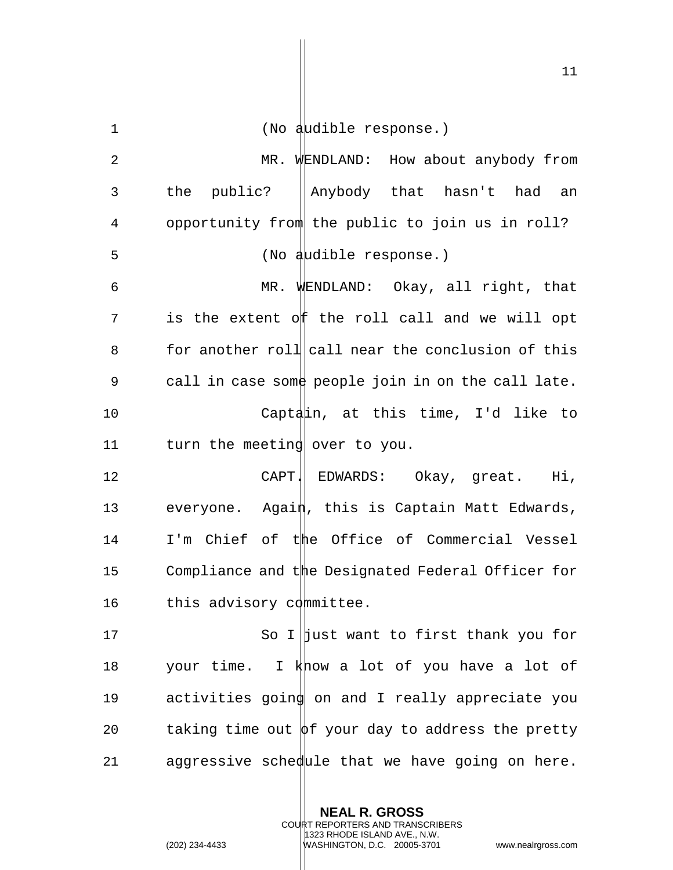| $\mathbf 1$ | (No audible response.)                                  |
|-------------|---------------------------------------------------------|
| $\sqrt{2}$  | MR. WENDLAND: How about anybody from                    |
| 3           | the public?<br>Anybody that hasn't had an               |
| 4           | opportunity from the public to join us in roll?         |
| 5           | (No audible response.)                                  |
| 6           | MR. WENDLAND: Okay, all right, that                     |
| 7           | is the extent off the roll call and we will opt         |
| 8           | for another roll call near the conclusion of this       |
| 9           | call in case some people join in on the call late.      |
| 10          | Captain, at this time, I'd like to                      |
| 11          | turn the meeting over to you.                           |
| 12          | CAPT! EDWARDS: Okay, great. Hi,                         |
| 13          | everyone. Again, this is Captain Matt Edwards,          |
| 14          | I'm Chief of the Office of Commercial Vessel            |
| 15          | Compliance and the Designated Federal Officer for       |
| 16          | this advisory committee.                                |
| 17          | So I just want to first thank you for                   |
| 18          | your time. I know a lot of you have a lot of            |
| 19          | activities going on and I really appreciate you         |
| 20          | taking time out $\phi$ f your day to address the pretty |
| 21          | aggressive schedule that we have going on here.         |

**NEAL R. GROSS** COURT REPORTERS AND TRANSCRIBERS 1323 RHODE ISLAND AVE., N.W.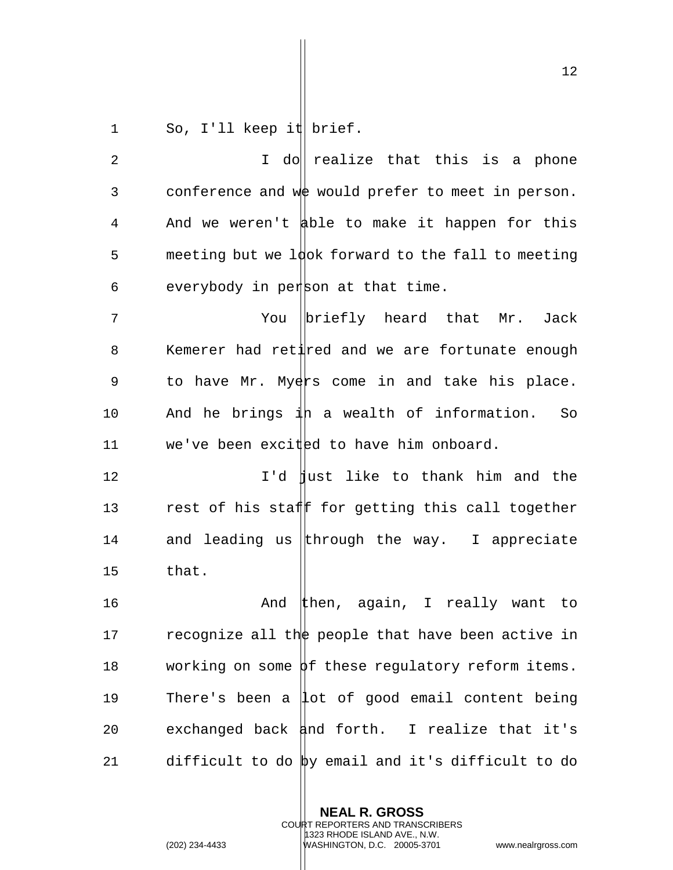1 So, I'll keep it brief.

2 1 I do realize that this is a phone 3 conference and we would prefer to meet in person. 4 And we weren't able to make it happen for this 5 meeting but we  $1\frac{1}{10}$  forward to the fall to meeting 6 everybody in person at that time.

7 The Mou Definity heard that Mr. Jack 8 Kemerer had retired and we are fortunate enough 9 to have Mr. Myers come in and take his place. 10 And he brings  $\frac{1}{4}$ h a wealth of information. So 11 we've been excited to have him onboard.

12 **I'd flust like to thank him and the** 13 rest of his staff for getting this call together 14 and leading us through the way. I appreciate 15 that.

16 And then, again, I really want to 17 recognize all the people that have been active in 18 working on some  $\beta$ f these regulatory reform items. 19 There's been a  $|$ lot of good email content being 20 exchanged back  $\sharp$ nd forth. I realize that it's 21 difficult to do by email and it's difficult to do

> **NEAL R. GROSS** COURT REPORTERS AND TRANSCRIBERS 1323 RHODE ISLAND AVE., N.W. (202) 234-4433 WASHINGTON, D.C. 20005-3701 www.nealrgross.com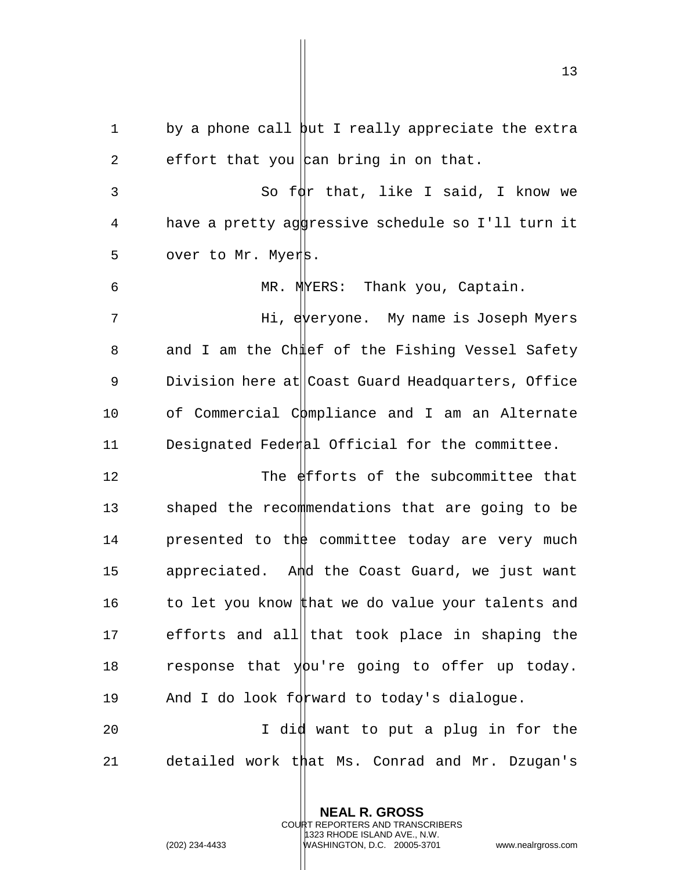1 by a phone call but I really appreciate the extra 2 effort that you  $\vert$  can bring in on that.

3 So  $f\phi$ r that, like I said, I know we 4 have a pretty aggressive schedule so I'll turn it 5 over to Mr. Myers.

6 MR. MYERS: Thank you, Captain.

7 Hi, everyone. My name is Joseph Myers 8 and I am the Chulef of the Fishing Vessel Safety 9 Division here at Coast Guard Headquarters, Office 10 of Commercial Compliance and I am an Alternate 11 Designated Federal Official for the committee.

12 The efforts of the subcommittee that 13 shaped the recommendations that are going to be 14 **presented to the committee today are very much** 15 appreciated. And the Coast Guard, we just want 16 to let you know that we do value your talents and 17 efforts and all that took place in shaping the 18 response that you're going to offer up today. 19 And I do look forward to today's dialogue.

20 1 I did want to put a plug in for the 21 detailed work that Ms. Conrad and Mr. Dzugan's

> **NEAL R. GROSS** COURT REPORTERS AND TRANSCRIBERS 1323 RHODE ISLAND AVE., N.W.

(202) 234-4433 WASHINGTON, D.C. 20005-3701 www.nealrgross.com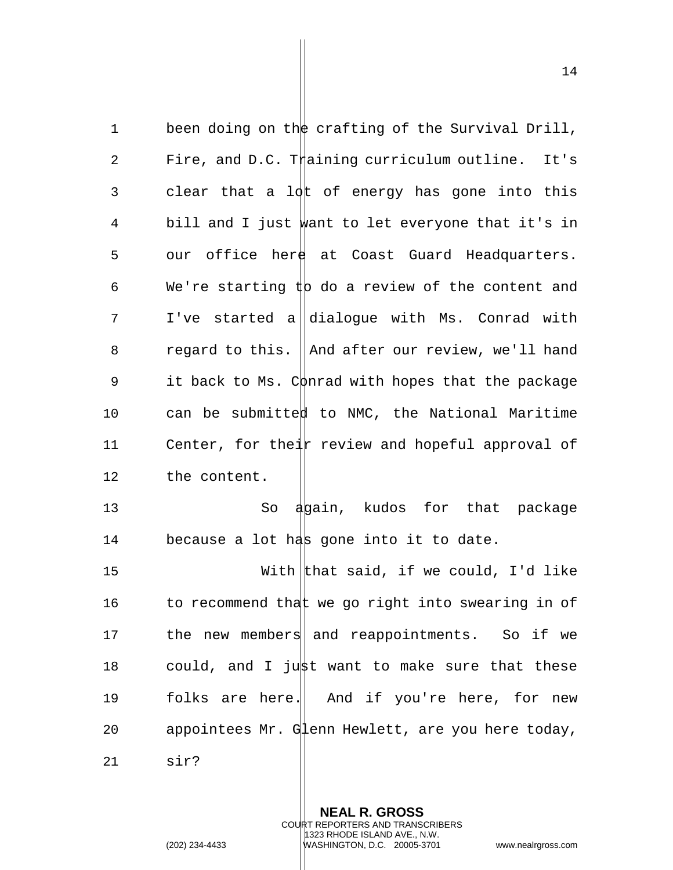1 been doing on the crafting of the Survival Drill, 2 Fire, and D.C. Thaining curriculum outline. It's 3 clear that a  $10k$  of energy has gone into this 4 bill and I just want to let everyone that it's in  $5$  our office here at Coast Guard Headquarters. 6 We're starting  $\sharp$  do a review of the content and  $7$  I've started a dialoque with Ms. Conrad with 8 regard to this. And after our review, we'll hand 9 it back to Ms. C $\phi$ nrad with hopes that the package 10 can be submitted to NMC, the National Maritime 11 Center, for their review and hopeful approval of 12 the content. 13 So again, kudos for that package 14 because a lot has gone into it to date. 15 With that said, if we could, I'd like 16 to recommend that we go right into swearing in of 17 the new members and reappointments. So if we 18 could, and I just want to make sure that these 19 folks are here. And if you're here, for new 20 appointees Mr. Glenn Hewlett, are you here today, 21 sir?

> **NEAL R. GROSS** COURT REPORTERS AND TRANSCRIBERS 1323 RHODE ISLAND AVE., N.W.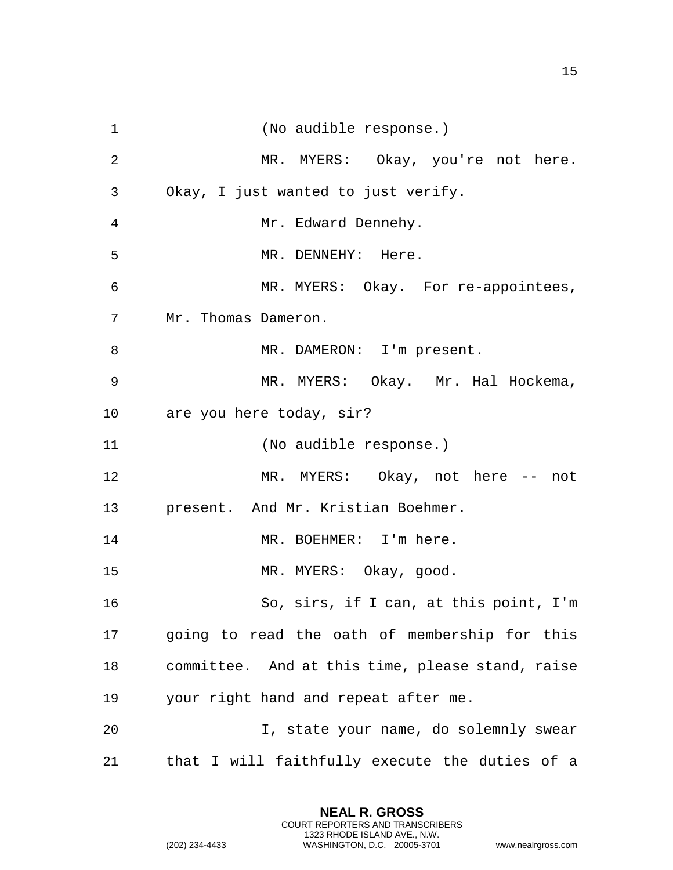1 (No audible response.) 2 MR. MYERS: Okay, you're not here. 3 Okay, I just want the delight verify. 4 Mr. Edward Dennehy. 5 MR. DENNEHY: Here. 6 MR. MERS: Okay. For re-appointees, 7 Mr. Thomas Dameron. 8 MR. DAMERON: I'm present. 9 MR. MYERS: Okay. Mr. Hal Hockema, 10 are you here today, sir? 11 (No audible response.) 12 MR. MYERS: Okay, not here -- not 13 present. And Mr. Kristian Boehmer. 14 MR. BOEHMER: I'm here. 15 MR. MINERS: Okay, good. 16 So, stirs, if I can, at this point, I'm 17 going to read  $#$ he oath of membership for this 18 committee. And at this time, please stand, raise 19 your right hand and repeat after me. 20  $I$ , state your name, do solemnly swear 21  $\qquad$  that I will faithfully execute the duties of a

> **NEAL R. GROSS** COURT REPORTERS AND TRANSCRIBERS 1323 RHODE ISLAND AVE., N.W.

(202) 234-4433 WASHINGTON, D.C. 20005-3701 www.nealrgross.com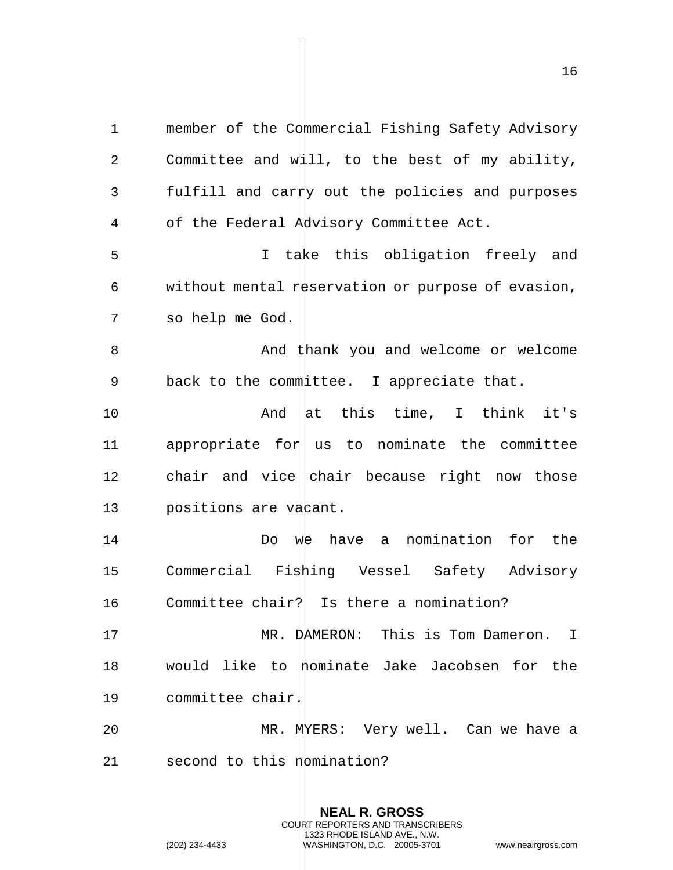1 member of the Commercial Fishing Safety Advisory 2 Committee and will, to the best of my ability, 3 fulfill and carty out the policies and purposes 4 of the Federal Advisory Committee Act. 5 I take this obligation freely and 6 without mental reservation or purpose of evasion, 7 so help me God. 8 And thank you and welcome or welcome 9 back to the committee. I appreciate that. 10 And at this time, I think it's 11 appropriate for us to nominate the committee 12 chair and vice chair because right now those 13 positions are vacant.

14 Do we have a nomination for the 15 Commercial Fishing Vessel Safety Advisory 16 Committee chair? Is there a nomination?

17 MR. DAMERON: This is Tom Dameron. I 18 would like to  $\text{momentum}$  bake Jacobsen for the 19 committee chair.

20 MR. MYERS: Very well. Can we have a 21 second to this  $n$  bmination?

> **NEAL R. GROSS** COURT REPORTERS AND TRANSCRIBERS 1323 RHODE ISLAND AVE., N.W. (202) 234-4433 WASHINGTON, D.C. 20005-3701 www.nealrgross.com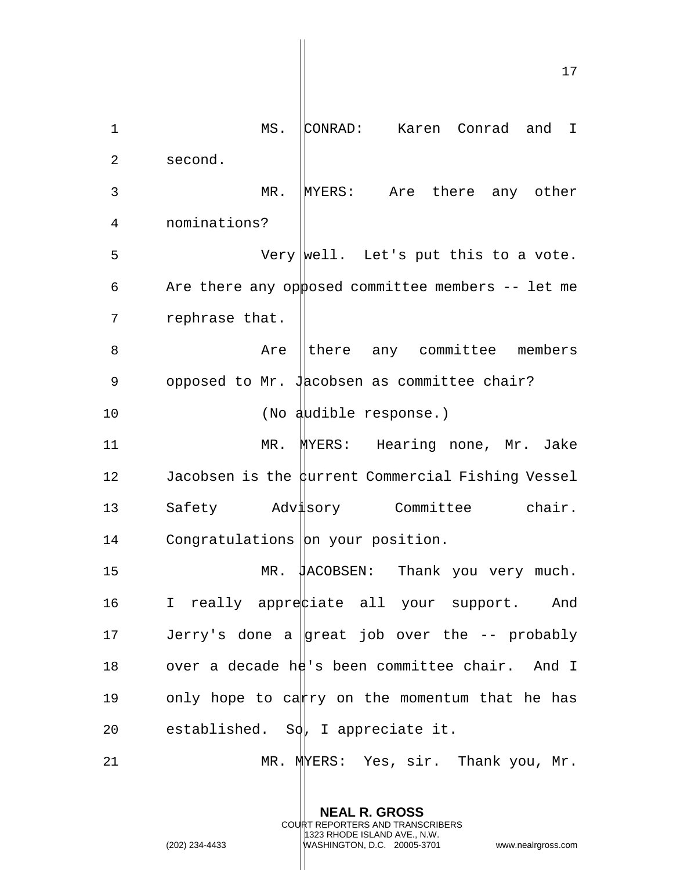17 1 MS. CONRAD: Karen Conrad and I 2 second. 3 MR. MYERS: Are there any other 4 nominations? 5 Very |well. Let's put this to a vote. 6 Are there any opposed committee members  $-$  let me 7 rephrase that. 8 Are there any committee members 9 opposed to Mr. Jacobsen as committee chair? 10 (No audible response.) 11 MR. MYERS: Hearing none, Mr. Jake 12 Jacobsen is the durrent Commercial Fishing Vessel 13 Safety Advisory Committee chair. 14 Congratulations on your position. 15 MR. JACOBSEN: Thank you very much. 16 I really appreciate all your support. And 17 Jerry's done a  $\vert$ great job over the -- probably 18 over a decade he's been committee chair. And I 19 only hope to cantry on the momentum that he has 20 established. So, I appreciate it. 21 MR. MUERS: Yes, sir. Thank you, Mr.

> **NEAL R. GROSS** COURT REPORTERS AND TRANSCRIBERS 1323 RHODE ISLAND AVE., N.W.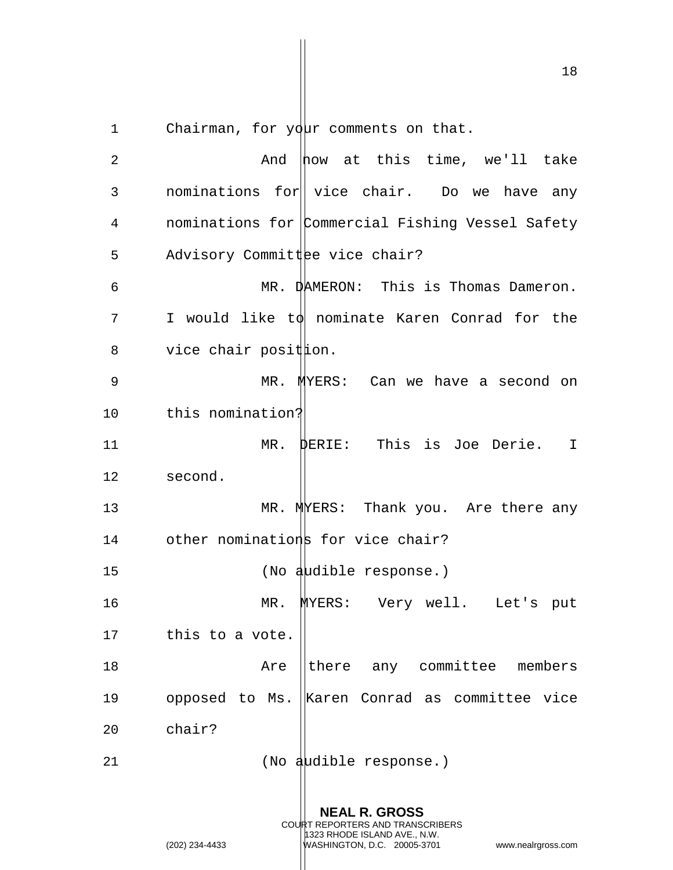1 Chairman, for  $y\ddot{q}$ ur comments on that.

**NEAL R. GROSS** COURT REPORTERS AND TRANSCRIBERS 1323 RHODE ISLAND AVE., N.W. 2 And now at this time, we'll take 3 nominations for vice chair. Do we have any 4 **nominations for Commercial Fishing Vessel Safety** 5 Advisory Committee vice chair? 6 MR. DAMERON: This is Thomas Dameron.  $7 \qquad$  I would like t $\phi$  nominate Karen Conrad for the  $8$  vice chair posit ion. 9 MR. MYERS: Can we have a second on 10 this nomination? 11 MR. DERIE: This is Joe Derie. I 12 second. 13 MR. MERS: Thank you. Are there any 14 other nominations for vice chair? 15 (No audible response.) 16 MR. MYERS: Very well. Let's put 17 this to a vote. 18 **18** Are lthere any committee members 19 opposed to Ms. |Karen Conrad as committee vice 20 chair? 21 (No audible response.)

(202) 234-4433 WASHINGTON, D.C. 20005-3701 www.nealrgross.com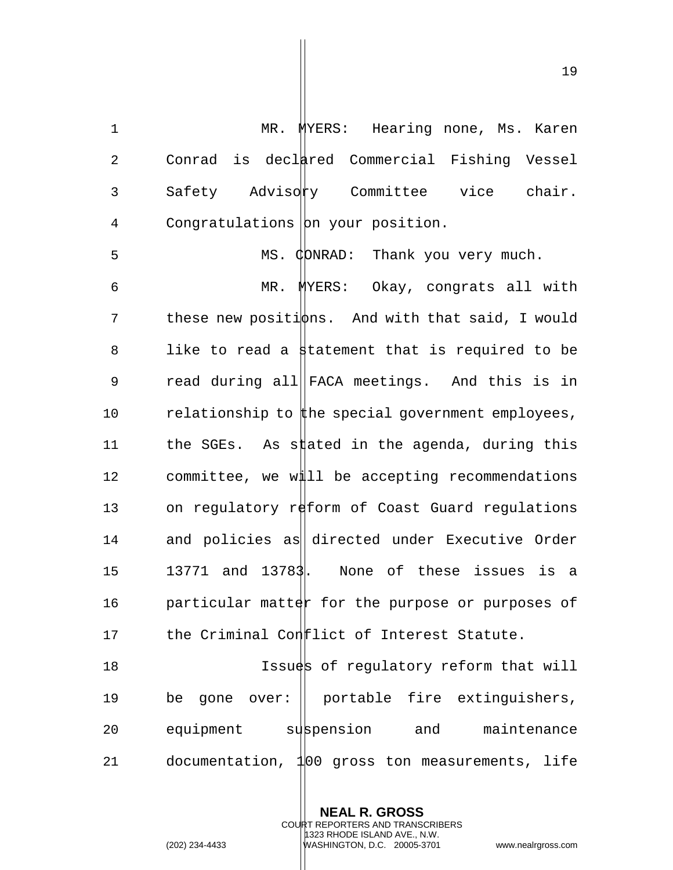19

1 MR. MYERS: Hearing none, Ms. Karen 2 Conrad is declared Commercial Fishing Vessel 3 Safety Advisory Committee vice chair. 4 Congratulations on your position. 5 MS. CONRAD: Thank you very much. 6 MR. MYERS: Okay, congrats all with 7 these new positions. And with that said, I would 8 like to read a statement that is required to be 9 read during all||FACA meetings. And this is in 10 relationship to the special government employees, 11 the SGEs. As stated in the agenda, during this 12 committee, we will be accepting recommendations 13 on regulatory reform of Coast Guard regulations 14 and policies as directed under Executive Order 15 13771 and 13783. None of these issues is a 16 **particular matter for the purpose or purposes of** 17 the Criminal Conelict of Interest Statute. 18 **Issues of requlatory reform that will** 19 be gone over: portable fire extinguishers, 20 equipment subpension and maintenance 21 documentation, 100 gross ton measurements, life

> **NEAL R. GROSS** COURT REPORTERS AND TRANSCRIBERS 1323 RHODE ISLAND AVE., N.W. (202) 234-4433 WASHINGTON, D.C. 20005-3701 www.nealrgross.com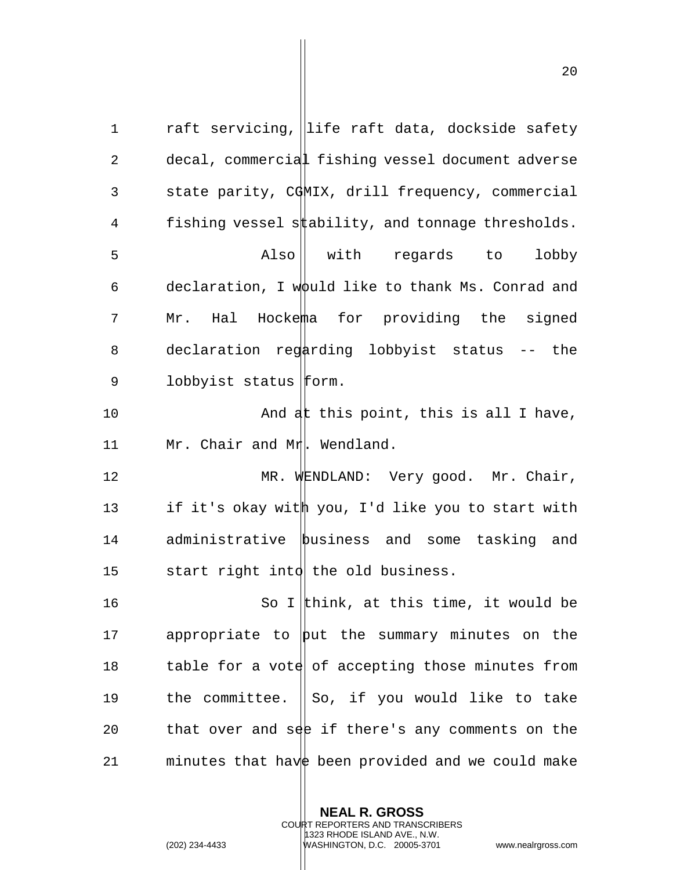1 raft servicing, life raft data, dockside safety 2 decal, commercial fishing vessel document adverse 3 state parity, CGMIX, drill frequency, commercial 4 fishing vessel stability, and tonnage thresholds. 5 Also with regards to lobby 6 declaration, I would like to thank Ms. Conrad and 7 Mr. Hal Hockema for providing the signed 8 declaration regarding lobbyist status -- the 9 lobbyist status  $|$ form. 10 And at this point, this is all I have, 11 Mr. Chair and Mr. Wendland. 12 MR. WENDLAND: Very good. Mr. Chair, 13 if it's okay with you, I'd like you to start with 14 administrative business and some tasking and 15 start right intd the old business. 16 So I think, at this time, it would be 17 appropriate to  $\psi$ ut the summary minutes on the 18 table for a vote of accepting those minutes from 19 the committee. So, if you would like to take 20 that over and see if there's any comments on the 21 minutes that have been provided and we could make

> **NEAL R. GROSS** COURT REPORTERS AND TRANSCRIBERS 1323 RHODE ISLAND AVE., N.W.

(202) 234-4433 WASHINGTON, D.C. 20005-3701 www.nealrgross.com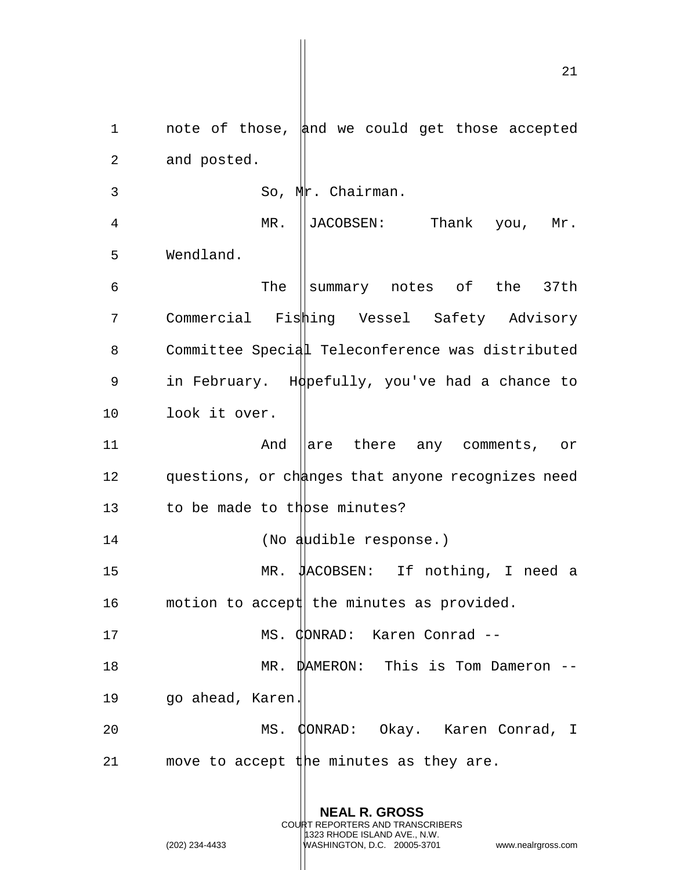1 note of those, and we could get those accepted 2 and posted. 3 So, Mr. Chairman. 4 MR. JACOBSEN: Thank you, Mr. 5 Wendland.  $6$  The Summary notes of the 37th 7 Commercial Fishing Vessel Safety Advisory 8 Committee Special Teleconference was distributed 9 in February. Hopefully, you've had a chance to 10 look it over. 11 **And are there any comments, or** 12 questions, or changes that anyone recognizes need 13 to be made to those minutes? 14 (No audible response.) 15 MR. MacOBSEN: If nothing, I need a 16 motion to accept the minutes as provided. 17 MS. CDNRAD: Karen Conrad --18 MR. DAMERON: This is Tom Dameron -- 19 go ahead, Karen. 20 MS. CONRAD: Okay. Karen Conrad, I 21 move to accept the minutes as they are.

> **NEAL R. GROSS** COURT REPORTERS AND TRANSCRIBERS 1323 RHODE ISLAND AVE., N.W.

(202) 234-4433 WASHINGTON, D.C. 20005-3701 www.nealrgross.com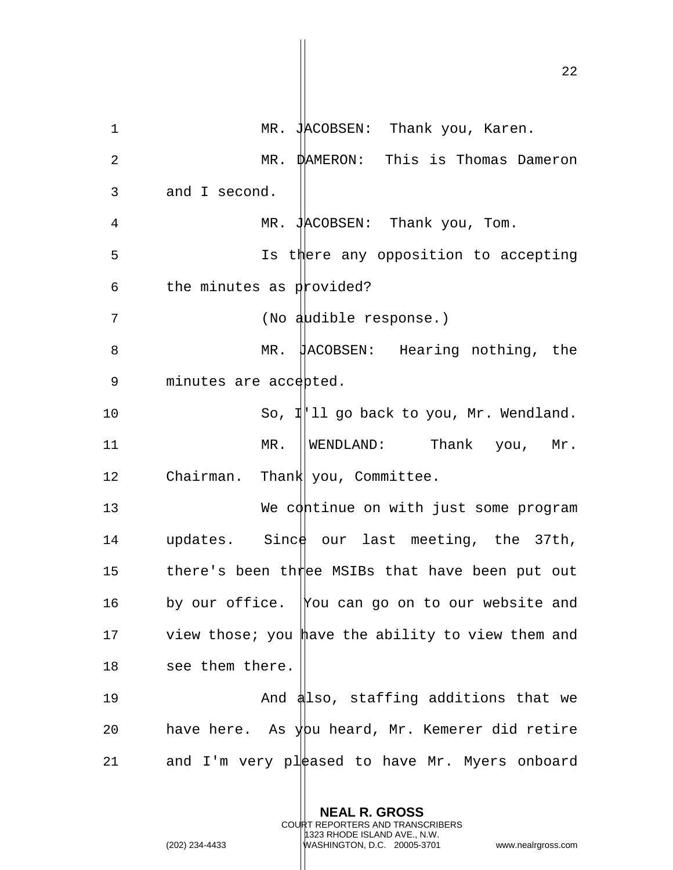22 1 MR. JACOBSEN: Thank you, Karen. 2 MR. DAMERON: This is Thomas Dameron 3 and I second. 4 MR. JACOBSEN: Thank you, Tom. 5 **Is there any opposition to accepting** 6 the minutes as  $p$  provided? 7 (No audible response.) 8 MR. HACOBSEN: Hearing nothing, the 9 minutes are accepted. 10 So, I'll go back to you, Mr. Wendland. 11 MR. WENDLAND: Thank you, Mr. 12 Chairman. Thank you, Committee. 13 We continue on with just some program 14 updates. Since our last meeting, the 37th, 15 there's been three MSIBs that have been put out 16 by our office. You can go on to our website and 17 view those; you have the ability to view them and 18 see them there. 19 And also, staffing additions that we 20 have here. As you heard, Mr. Kemerer did retire 21 and I'm very pleased to have Mr. Myers onboard

> **NEAL R. GROSS** COURT REPORTERS AND TRANSCRIBERS 1323 RHODE ISLAND AVE., N.W. (202) 234-4433 WASHINGTON, D.C. 20005-3701 www.nealrgross.com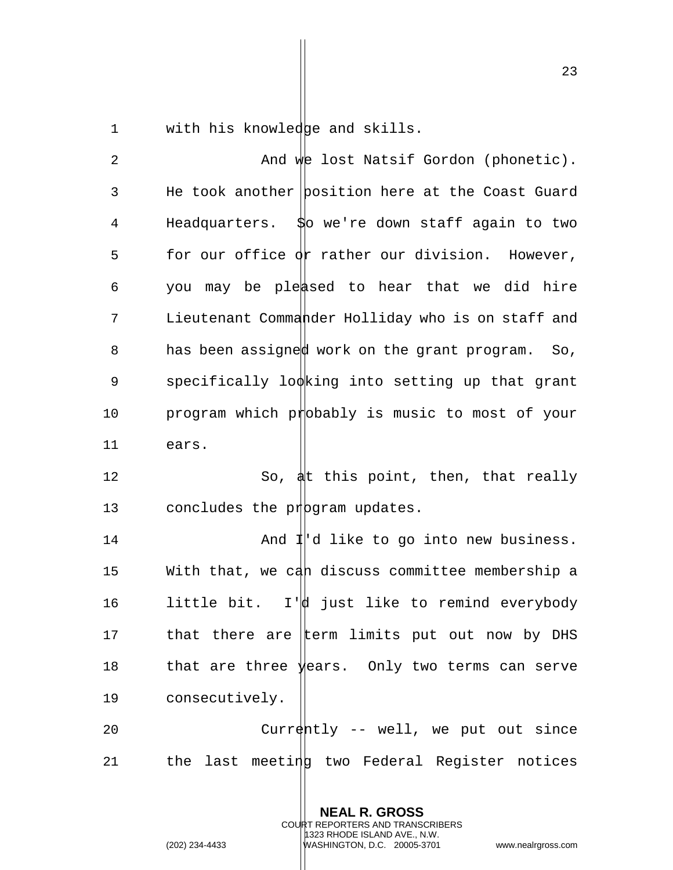1 with his knowledge and skills.

2 And we lost Natsif Gordon (phonetic). 3 He took another position here at the Coast Guard 4 Headquarters. \$0 we're down staff again to two 5 for our office  $\phi$  rather our division. However, 6 you may be pleased to hear that we did hire 7 Lieutenant Commander Holliday who is on staff and 8 has been assigned work on the grant program. So,  $9$  specifically looking into setting up that grant 10 program which probably is music to most of your 11 ears. 12 So,  $\frac{1}{2}$  So,  $\frac{1}{2}$  this point, then, that really 13 concludes the proportam updates. 14 **And I**'d like to go into new business. 15 With that, we can discuss committee membership a 16  $l$  little bit. I' $\phi$  just like to remind everybody 17 that there are term limits put out now by DHS 18 that are three years. Only two terms can serve

19 consecutively.

20 Currently -- well, we put out since 21 the last meeting two Federal Register notices

> **NEAL R. GROSS** COURT REPORTERS AND TRANSCRIBERS 1323 RHODE ISLAND AVE., N.W.

(202) 234-4433 WASHINGTON, D.C. 20005-3701 www.nealrgross.com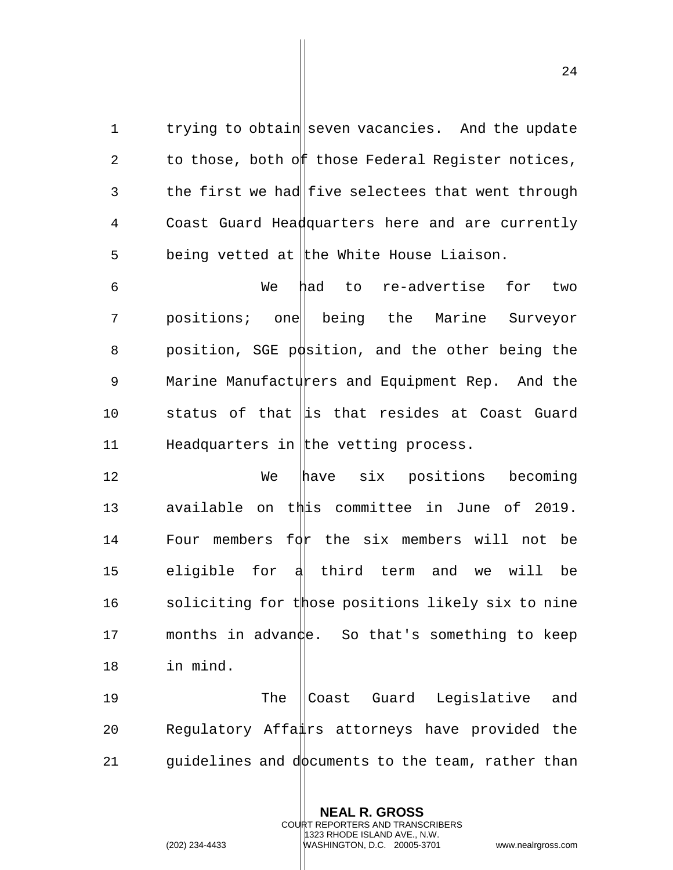1 trying to obtain seven vacancies. And the update 2 to those, both off those Federal Register notices, 3 the first we had five selectees that went through 4 Coast Guard Headquarters here and are currently  $5$  being vetted at the White House Liaison.

6 We had to re-advertise for two 7 positions; one being the Marine Surveyor 8 position, SGE p $\phi$ sition, and the other being the 9 Marine Manufacturers and Equipment Rep. And the 10 status of that  $\|\text{is that }$  resides at Coast Guard 11 Headquarters in the vetting process.

12 We have six positions becoming 13 available on this committee in June of 2019. 14 Four members for the six members will not be 15 eligible for a third term and we will be 16 soliciting for those positions likely six to nine 17 months in advance. So that's something to keep 18 in mind.

19 The Coast Guard Legislative and 20 Regulatory Affairs attorneys have provided the 21 guidelines and dot puments to the team, rather than

> **NEAL R. GROSS** COURT REPORTERS AND TRANSCRIBERS

> > 1323 RHODE ISLAND AVE., N.W.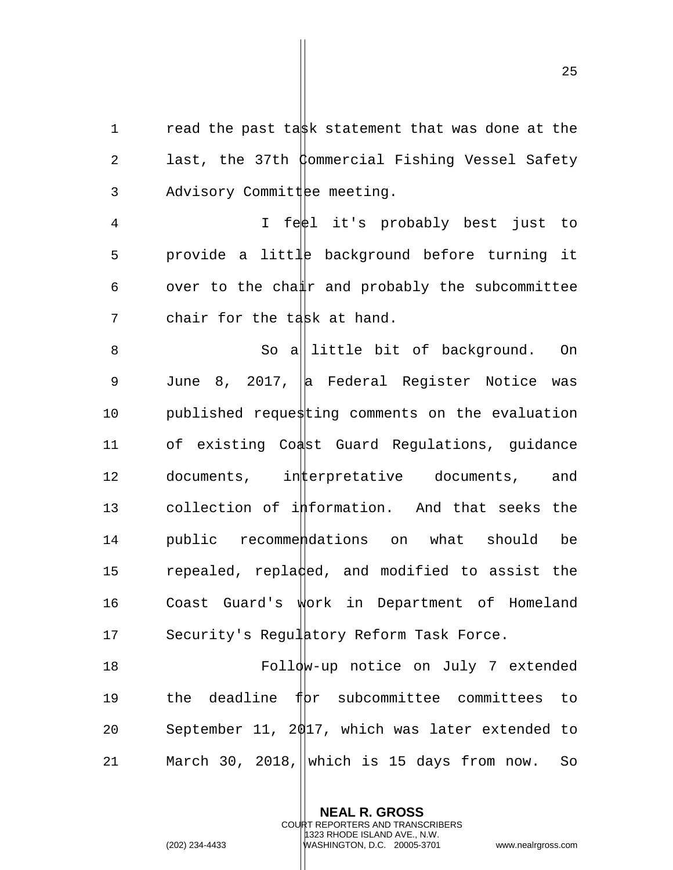1  $r$  read the past task statement that was done at the 2 last, the 37th Commercial Fishing Vessel Safety  $3$  Advisory Committee meeting.

4 I feel it's probably best just to 5 provide a little background before turning it 6 over to the cha $\sharp r$  and probably the subcommittee 7 chair for the task at hand.

8 So a|| little bit of background. On 9 June 8, 2017, a Federal Register Notice was 10 published requesting comments on the evaluation 11 of existing Coast Guard Regulations, guidance 12 documents, interpretative documents, and 13 collection of information. And that seeks the 14 public recommendations on what should be 15 repealed, repladed, and modified to assist the 16 Coast Guard's work in Department of Homeland 17 Security's Regulatory Reform Task Force.

 Follow-up notice on July 7 extended  $\qquad$  the deadline f $\beta$ r subcommittee committees to September 11, 2017, which was later extended to 21 March 30, 2018, which is 15 days from now. So

> **NEAL R. GROSS** COURT REPORTERS AND TRANSCRIBERS

> > 1323 RHODE ISLAND AVE., N.W.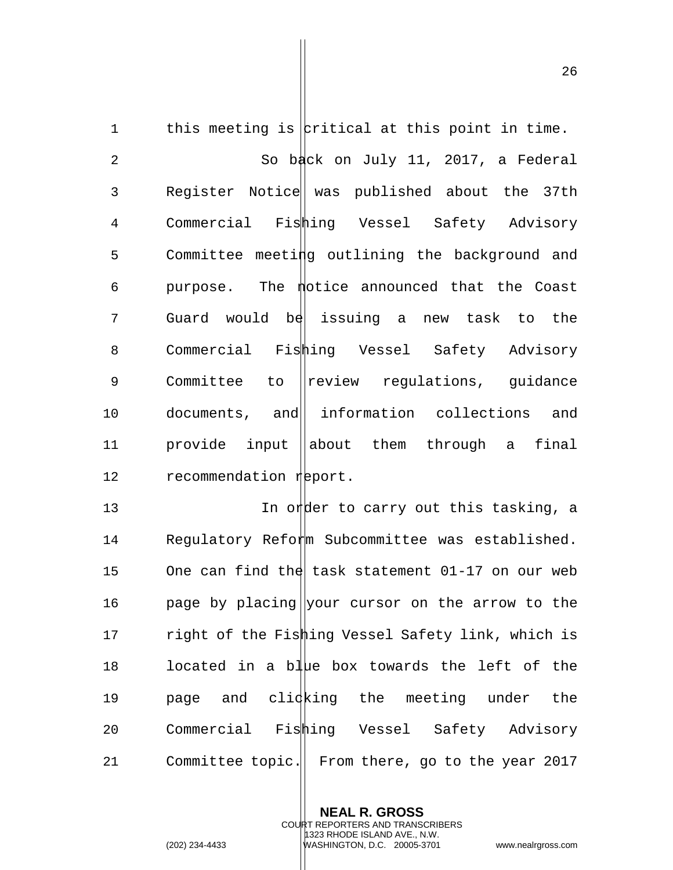1 this meeting is  $|$ critical at this point in time. 2 So back on July 11, 2017, a Federal 3 Register Notice was published about the 37th 4 Commercial Fishing Vessel Safety Advisory 5 Committee meeting outlining the background and  $6$  purpose. The  *photice announced that the Coast* 7 Guard would be issuing a new task to the 8 Commercial Fishing Vessel Safety Advisory 9 Committee to regulations, guidance 10 documents, and information collections and 11 provide input ||about them through a final 12 recommendation report.

13 **In order to carry out this tasking, a** 14 Requlatory Reform Subcommittee was established. 15 One can find the task statement  $01-17$  on our web 16 by placing your cursor on the arrow to the 17 right of the Fishing Vessel Safety link, which is 18 located in a blue box towards the left of the 19 bage and clicking the meeting under the 20 Commercial Fishing Vessel Safety Advisory 21 Committee topic. From there, go to the year 2017

> **NEAL R. GROSS** COURT REPORTERS AND TRANSCRIBERS 1323 RHODE ISLAND AVE., N.W. (202) 234-4433 WASHINGTON, D.C. 20005-3701 www.nealrgross.com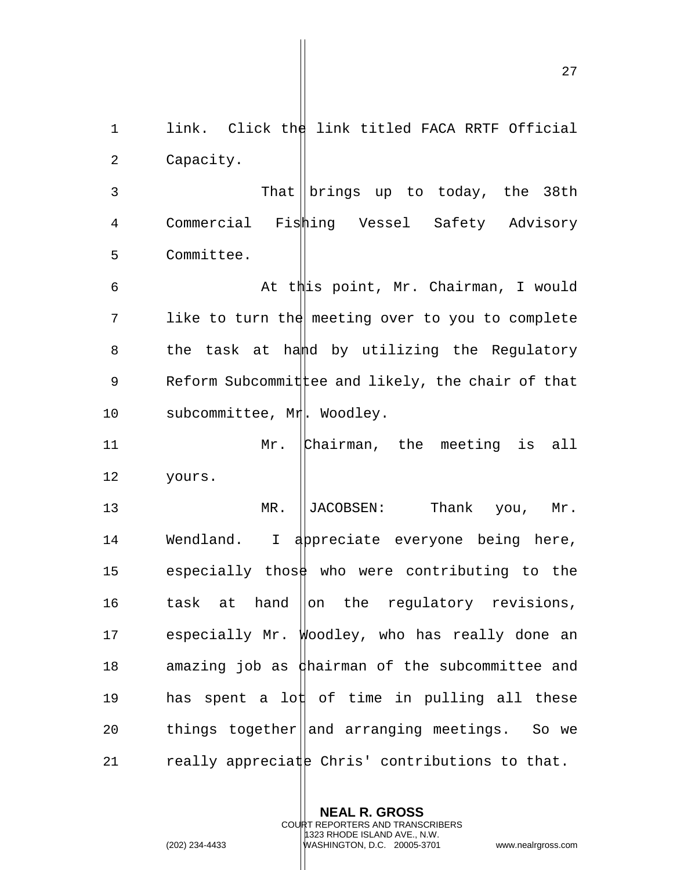1 link. Click the link titled FACA RRTF Official 2 Capacity. 3 That Drings up to today, the 38th 4 Commercial Fishing Vessel Safety Advisory 5 Committee. 6 At this point, Mr. Chairman, I would 7 like to turn the meeting over to you to complete 8 the task at hamed by utilizing the Regulatory 9 Reform Subcommit ee and likely, the chair of that 10 subcommittee, Mr. Woodley. 11 Mr. Chairman, the meeting is all 12 yours. 13 MR. ||JACOBSEN: Thank you, Mr. 14 Wendland. I appreciate everyone being here, 15 especially those who were contributing to the 16  $\qquad$  task at hand  $\|$ on the regulatory revisions, 17 especially Mr. Woodley, who has really done an 18 amazing job as  $\frac{1}{4}$  hairman of the subcommittee and 19 has spent a lot of time in pulling all these 20 things together and arranging meetings. So we 21 really appreciate Chris' contributions to that.

> **NEAL R. GROSS** COURT REPORTERS AND TRANSCRIBERS 1323 RHODE ISLAND AVE., N.W.

(202) 234-4433 WASHINGTON, D.C. 20005-3701 www.nealrgross.com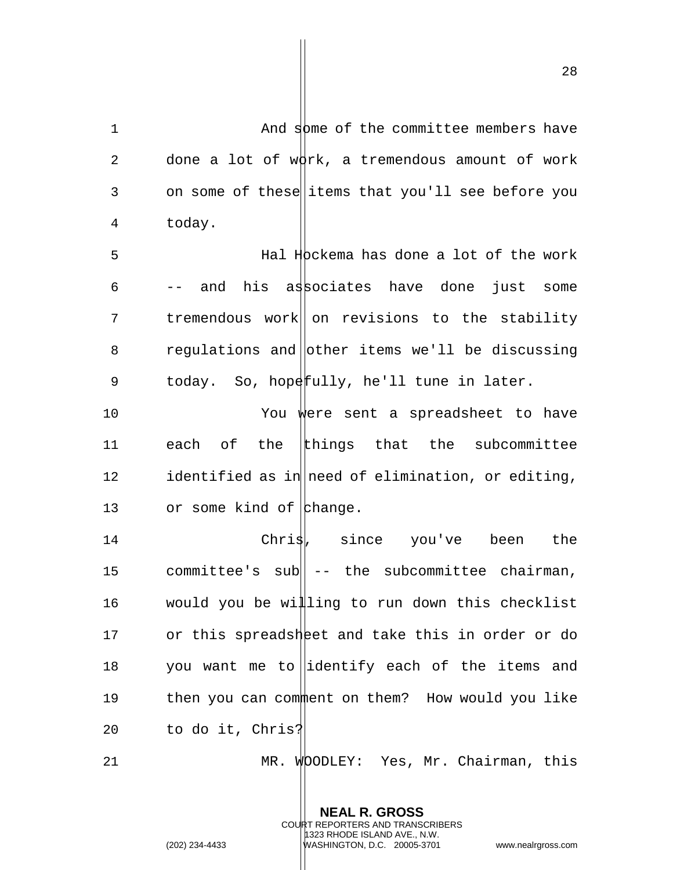1 And some of the committee members have 2 done a lot of  $w\beta$ rk, a tremendous amount of work 3 on some of these items that you'll see before you 4 today. 5 Hal Hockema has done a lot of the work 6 -- and his associates have done just some 7 tremendous work on revisions to the stability 8 regulations and other items we'll be discussing 9 today. So, hopefully, he'll tune in later. 10 You were sent a spreadsheet to have 11 each of the things that the subcommittee 12 identified as in need of elimination, or editing, 13 or some kind of  $\mathsf{h}$ hange. 14 Chris, since you've been the 15 committee's sub| -- the subcommittee chairman, 16 would you be willing to run down this checklist 17 or this spreadsheet and take this in order or do 18 you want me to identify each of the items and 19 then you can comment on them? How would you like 20 to do it, Chris? 21 MR. WOODLEY: Yes, Mr. Chairman, this

> **NEAL R. GROSS** COURT REPORTERS AND TRANSCRIBERS 1323 RHODE ISLAND AVE., N.W.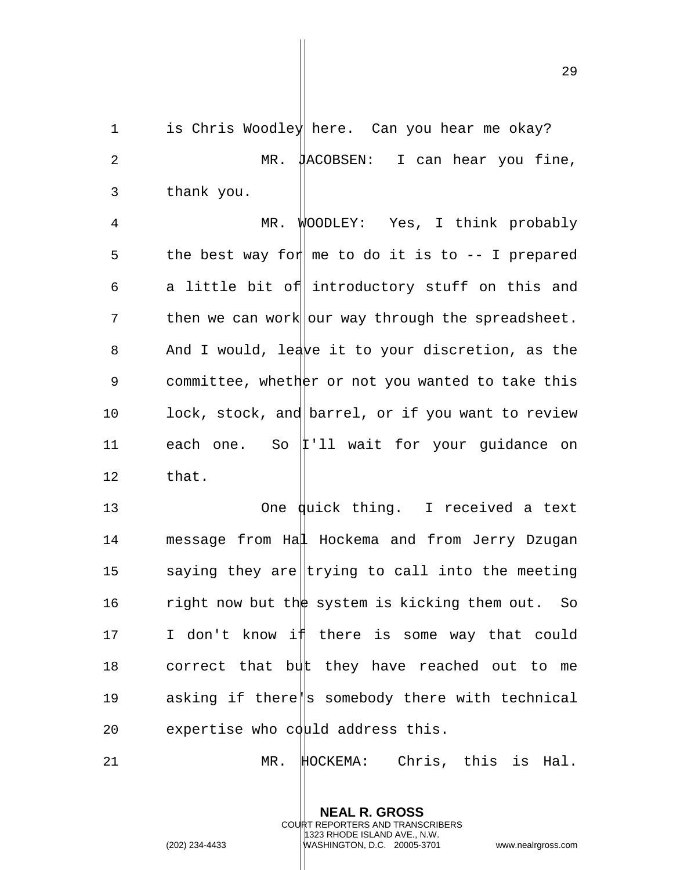29

1 is Chris Woodley here. Can you hear me okay? 2 MR.  $\sharp$ ACOBSEN: I can hear you fine, 3 thank you. 4 MR. WOODLEY: Yes, I think probably 5 the best way for  $m$  me to do it is to  $-$  I prepared 6 a little bit of introductory stuff on this and  $7$  then we can work our way through the spreadsheet. 8 And I would, leave it to your discretion, as the 9 committee, whether or not you wanted to take this 10 lock, stock, and barrel, or if you want to review 11 each one. So  $|1 \rangle$  ll wait for your guidance on 12 that. 13 One quick thing. I received a text 14 message from Hal Hockema and from Jerry Dzugan 15 saying they are trying to call into the meeting 16 right now but the system is kicking them out. So 17 I don't know i there is some way that could 18 correct that but they have reached out to me 19 asking if there||s somebody there with technical 20 expertise who could address this. 21 MR. HOCKEMA: Chris, this is Hal.

> **NEAL R. GROSS** COURT REPORTERS AND TRANSCRIBERS 1323 RHODE ISLAND AVE., N.W.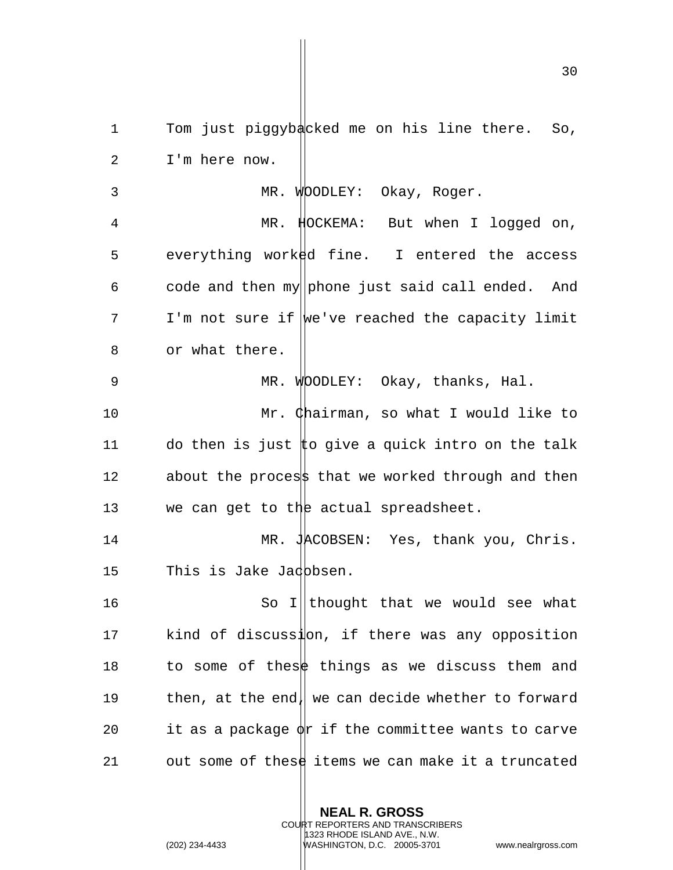1 Tom just piggybacked me on his line there. So, 2 I'm here now. 3 MR. WOODLEY: Okay, Roger. 4 MR. HOCKEMA: But when I logged on, 5 everything worked fine. I entered the access 6 code and then my phone just said call ended. And 7 I'm not sure if we've reached the capacity limit 8 or what there. 9 MR. WOODLEY: Okay, thanks, Hal. 10 Mr. Chairman, so what I would like to 11 do then is just  $\sharp$ o give a quick intro on the talk 12 about the process that we worked through and then 13 we can get to the actual spreadsheet. 14 MR. JACOBSEN: Yes, thank you, Chris. 15 This is Jake Jadbbsen. 16 So I||thought that we would see what 17 kind of discussion, if there was any opposition 18 to some of these things as we discuss them and 19 then, at the end, we can decide whether to forward 20 it as a package  $\phi$ r if the committee wants to carve 21 out some of these items we can make it a truncated

> **NEAL R. GROSS** COURT REPORTERS AND TRANSCRIBERS 1323 RHODE ISLAND AVE., N.W.

(202) 234-4433 WASHINGTON, D.C. 20005-3701 www.nealrgross.com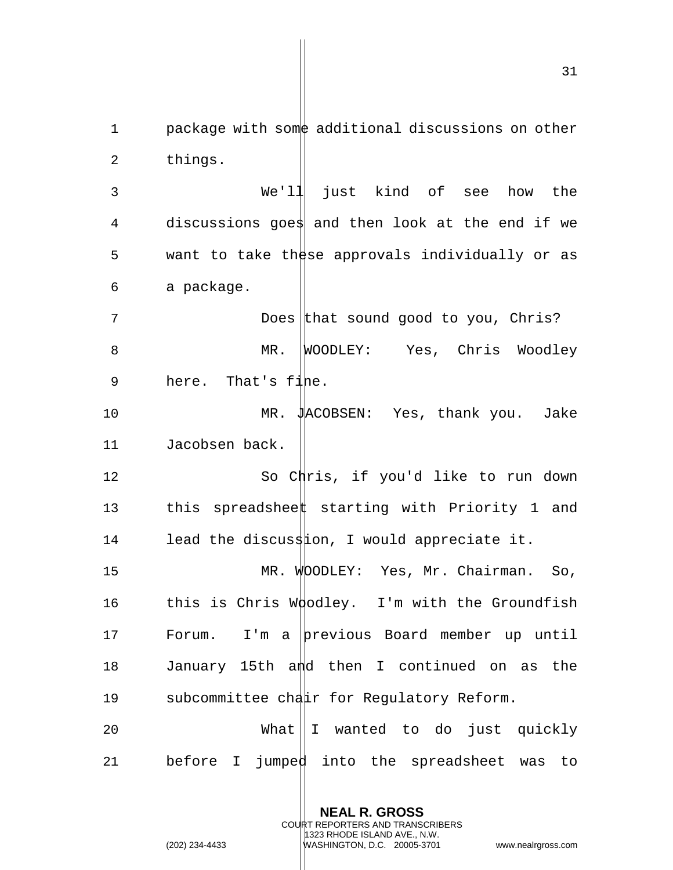1 package with some additional discussions on other 2 things. 3 We'll just kind of see how the 4 discussions goes and then look at the end if we 5 want to take these approvals individually or as 6 a package. 7 Does that sound good to you, Chris? 8 MR. WOODLEY: Yes, Chris Woodley 9 here. That's fine. 10 MR. JACOBSEN: Yes, thank you. Jake 11 Jacobsen back. 12 So Chris, if you'd like to run down 13 this spreadsheet starting with Priority 1 and 14 lead the discussion, I would appreciate it. 15 MR. WOODLEY: Yes, Mr. Chairman. So, 16 this is Chris Woodley. I'm with the Groundfish 17 Forum. I'm a previous Board member up until 18 January 15th and then I continued on as the 19 subcommittee chair for Regulatory Reform. 20 What I wanted to do just quickly 21 before I jumped into the spreadsheet was to

> **NEAL R. GROSS** COURT REPORTERS AND TRANSCRIBERS 1323 RHODE ISLAND AVE., N.W.

(202) 234-4433 WASHINGTON, D.C. 20005-3701 www.nealrgross.com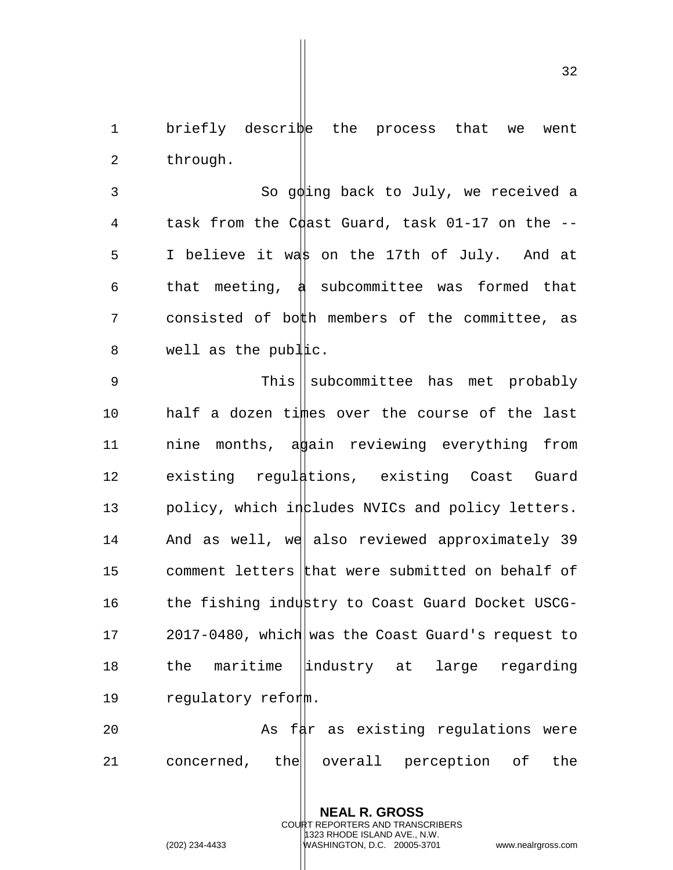1 briefly describe the process that we went 2 through.

3 So goling back to July, we received a 4 task from the C $\phi$ ast Guard, task 01-17 on the -- $5$  I believe it was on the 17th of July. And at 6 that meeting,  $\frac{1}{4}$  subcommittee was formed that 7 consisted of both members of the committee, as  $8$  well as the publac.

9 This || subcommittee has met probably 10 half a dozen times over the course of the last 11  $\ldots$  nine months, a a reviewing everything from 12 existing regulations, existing Coast Guard 13  $p$ olicy, which includes NVICs and policy letters. 14 And as well, we also reviewed approximately 39 15 comment letters that were submitted on behalf of 16 the fishing industry to Coast Guard Docket USCG-17 2017-0480, which was the Coast Guard's request to 18 the maritime lindustry at large regarding 19 regulatory reform.

20 As fat as existing regulations were 21 concerned, the | overall perception of the

> **NEAL R. GROSS** COURT REPORTERS AND TRANSCRIBERS 1323 RHODE ISLAND AVE., N.W. (202) 234-4433 WASHINGTON, D.C. 20005-3701 www.nealrgross.com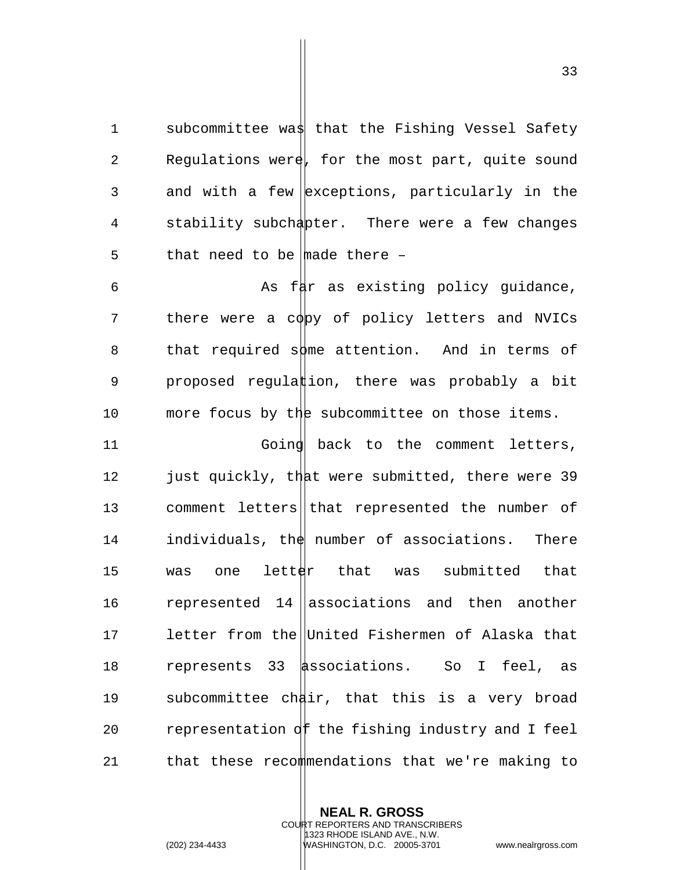1 subcommittee was that the Fishing Vessel Safety 2 Regulations were, for the most part, quite sound 3 and with a few exceptions, particularly in the 4 stability subchapter. There were a few changes 5 that need to be  $\frac{1}{2}$  there -

6 As far as existing policy quidance, 7 there were a copy of policy letters and NVICs 8 that required some attention. And in terms of 9 proposed regulation, there was probably a bit 10 more focus by the subcommittee on those items.

11 Going back to the comment letters, 12 just quickly, that were submitted, there were 39 13 comment letters that represented the number of  $14$  individuals, the number of associations. There 15 was one letter that was submitted that 16  $r$  represented 14 associations and then another 17 letter from the United Fishermen of Alaska that 18 represents 33 associations. So I feel, as 19 subcommittee chair, that this is a very broad 20 representation of the fishing industry and I feel 21 that these recommendations that we're making to

> **NEAL R. GROSS** COURT REPORTERS AND TRANSCRIBERS 1323 RHODE ISLAND AVE., N.W. (202) 234-4433 WASHINGTON, D.C. 20005-3701 www.nealrgross.com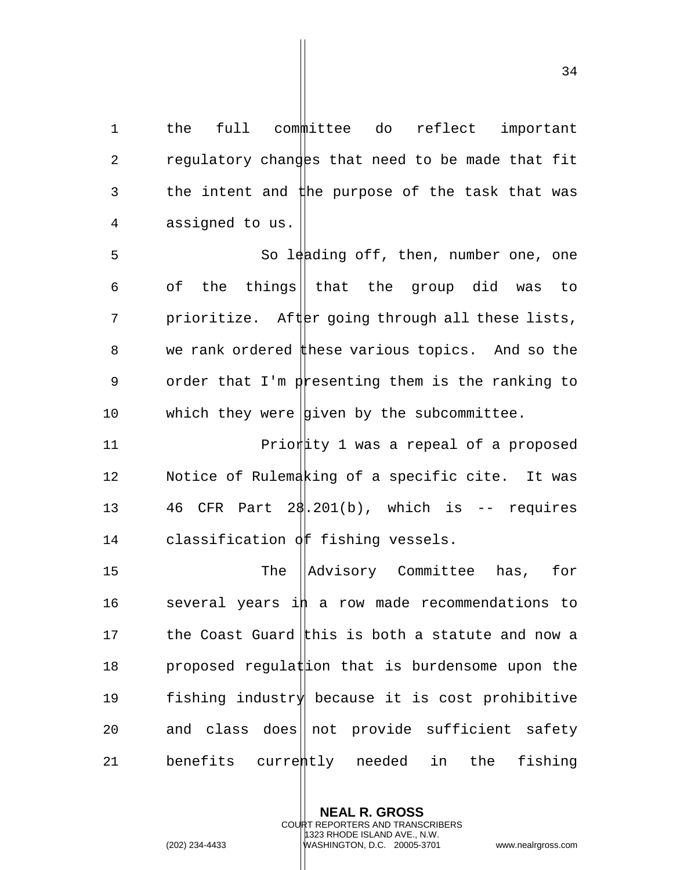1 the full committee do reflect important 2 regulatory changes that need to be made that fit 3 the intent and the purpose of the task that was 4 assigned to us.

5 So leading off, then, number one, one 6 of the things that the group did was to 7 prioritize. After going through all these lists, 8 we rank ordered these various topics. And so the 9 order that I'm presenting them is the ranking to 10 which they were  $|$ given by the subcommittee.

**Priority 1 was a repeal of a proposed**  Notice of Rulemaking of a specific cite. It was  $46$  CFR Part 2 $\frac{1}{201(b)}$ , which is -- requires 14 classification  $\phi$  f fishing vessels.

15 The Advisory Committee has, for 16 several years in a row made recommendations to 17 the Coast Guard this is both a statute and now a 18  $p$  proposed regulat is burdensome upon the 19 fishing industry because it is cost prohibitive 20 and class does  $\vert \vert$  not provide sufficient safety 21 benefits currently needed in the fishing

> **NEAL R. GROSS** COURT REPORTERS AND TRANSCRIBERS 1323 RHODE ISLAND AVE., N.W. (202) 234-4433 WASHINGTON, D.C. 20005-3701 www.nealrgross.com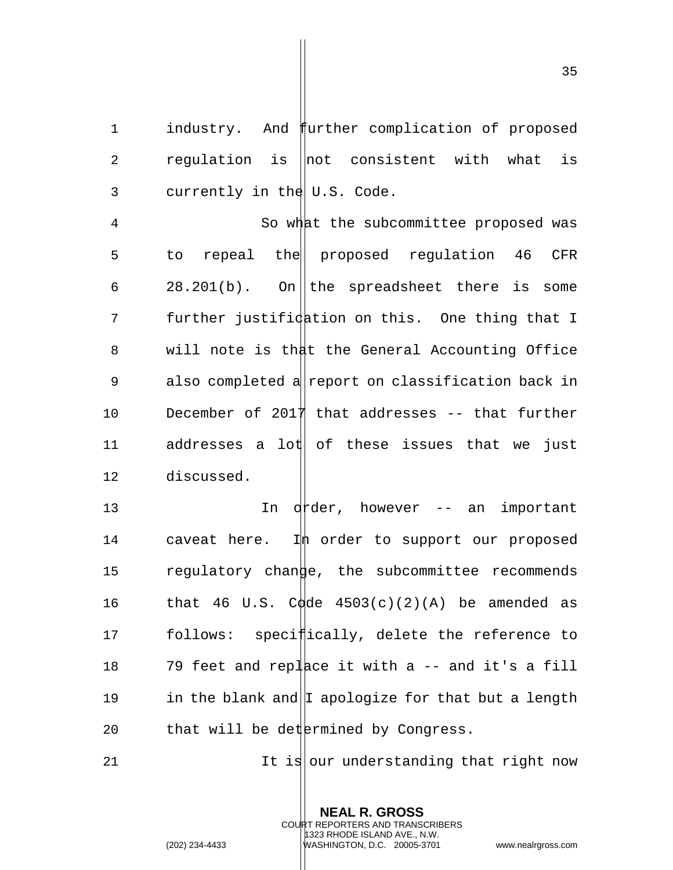1 industry. And further complication of proposed 2  $r$  requlation is  $|$ not consistent with what is 3 currently in the  $|U.S.$  Code.

4 So what the subcommittee proposed was 5 to repeal the proposed requlation 46 CFR 6 28.201(b). On the spreadsheet there is some 7 further justification on this. One thing that I 8 will note is that the General Accounting Office 9 also completed a report on classification back in 10 December of 2017 that addresses -- that further  $11$  addresses a lot of these issues that we just 12 discussed.

13 In d<sup>t</sup>der, however -- an important 14 caveat here. In order to support our proposed 15 regulatory change, the subcommittee recommends 16 that 46 U.S. Codde  $4503(c)(2)(A)$  be amended as 17 follows: specifically, delete the reference to 18  $\overline{79}$  feet and replace it with a -- and it's a fill 19 in the blank and  $|I \text{ apologize}$  for that but a length 20  $\qquad$  that will be det ermined by Congress.

21 It is our understanding that right now

**NEAL R. GROSS** COURT REPORTERS AND TRANSCRIBERS 1323 RHODE ISLAND AVE., N.W. (202) 234-4433 WASHINGTON, D.C. 20005-3701 www.nealrgross.com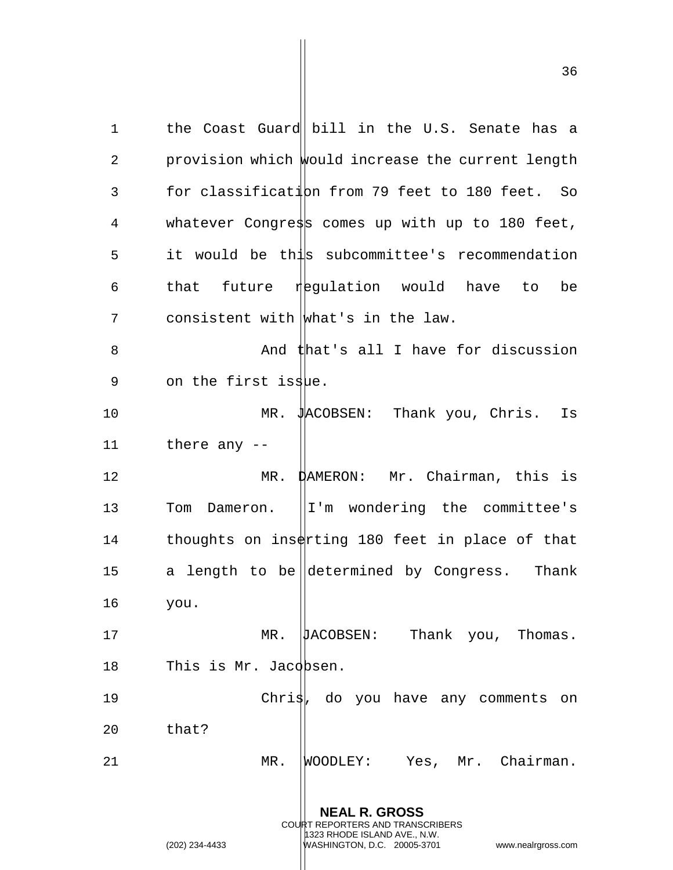**NEAL R. GROSS** COURT REPORTERS AND TRANSCRIBERS 1 the Coast Guard bill in the U.S. Senate has a 2 provision which would increase the current length 3 for classification from 79 feet to 180 feet. So 4 whatever Congress comes up with up to 180 feet, 5 it would be this subcommittee's recommendation 6 that future regulation would have to be  $7$  consistent with what's in the law. 8 And that's all I have for discussion 9 on the first issue. 10 MR. JACOBSEN: Thank you, Chris. Is 11 there any -- 12 MR. DAMERON: Mr. Chairman, this is 13 Tom Dameron. II'm wondering the committee's 14 thoughts on inserting 180 feet in place of that 15 a length to be determined by Congress. Thank 16 you. 17 MR. **JACOBSEN:** Thank you, Thomas. 18 This is Mr. Jacobsen. 19 Chris, do you have any comments on 20 that? 21 MR. WOODLEY: Yes, Mr. Chairman.

1323 RHODE ISLAND AVE., N.W.

(202) 234-4433 WASHINGTON, D.C. 20005-3701 www.nealrgross.com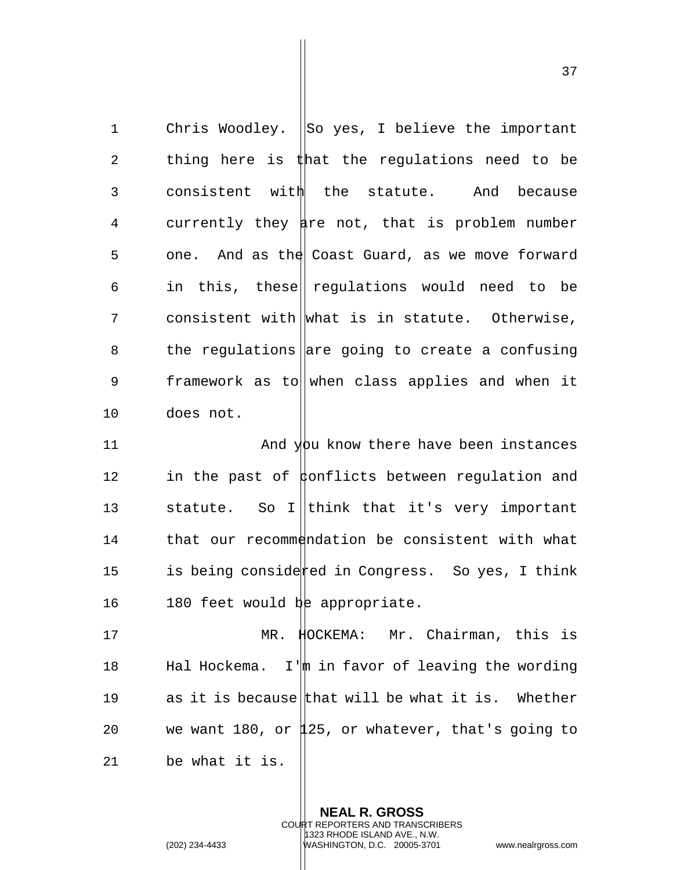1 Chris Woodley. So yes, I believe the important 2 thing here is that the regulations need to be 3 consistent with the statute. And because 4 currently they are not, that is problem number 5 one. And as the Coast Guard, as we move forward 6 in this, these regulations would need to be 7 consistent with what is in statute. Otherwise, 8 the regulations are going to create a confusing 9 framework as to when class applies and when it 10 does not. 11 And you know there have been instances 12 in the past of ponflicts between regulation and 13 statute. So I think that it's very important 14 that our recommendation be consistent with what 15 is being considerted in Congress. So yes, I think 16 180 feet would be appropriate. 17 MR. HOCKEMA: Mr. Chairman, this is 18 Hal Hockema. I'm in favor of leaving the wording 19 as it is because that will be what it is. Whether

21 be what it is.

**NEAL R. GROSS** COURT REPORTERS AND TRANSCRIBERS 1323 RHODE ISLAND AVE., N.W. (202) 234-4433 WASHINGTON, D.C. 20005-3701 www.nealrgross.com

20 we want 180, or 125, or whatever, that's going to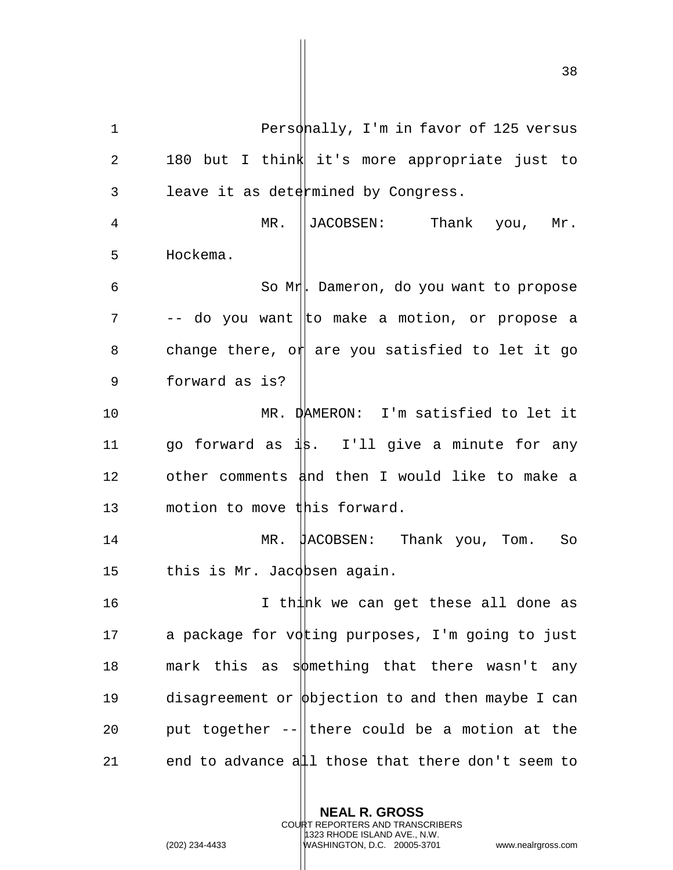1 Personally, I'm in favor of 125 versus 2 180 but I think it's more appropriate just to 3 leave it as determined by Congress. 4 MR. JACOBSEN: Thank you, Mr. 5 Hockema. 6 So Mr. Dameron, do you want to propose  $7$  -- do you want to make a motion, or propose a 8 change there, or are you satisfied to let it go 9 forward as is? 10 MR. DAMERON: I'm satisfied to let it 11 go forward as  $\frac{1}{8}$ . I'll give a minute for any 12 other comments  $\frac{1}{4}$ nd then I would like to make a 13 motion to move this forward. 14 MR. JACOBSEN: Thank you, Tom. So 15 this is Mr. Jacobsen again. 16 I think we can get these all done as 17 a package for voting purposes, I'm going to just 18 mark this as sot thing that there wasn't any 19 disagreement or  $\phi$ bjection to and then maybe I can 20 put together  $-\|$  there could be a motion at the

21 end to advance all those that there don't seem to

**NEAL R. GROSS** COURT REPORTERS AND TRANSCRIBERS

1323 RHODE ISLAND AVE., N.W.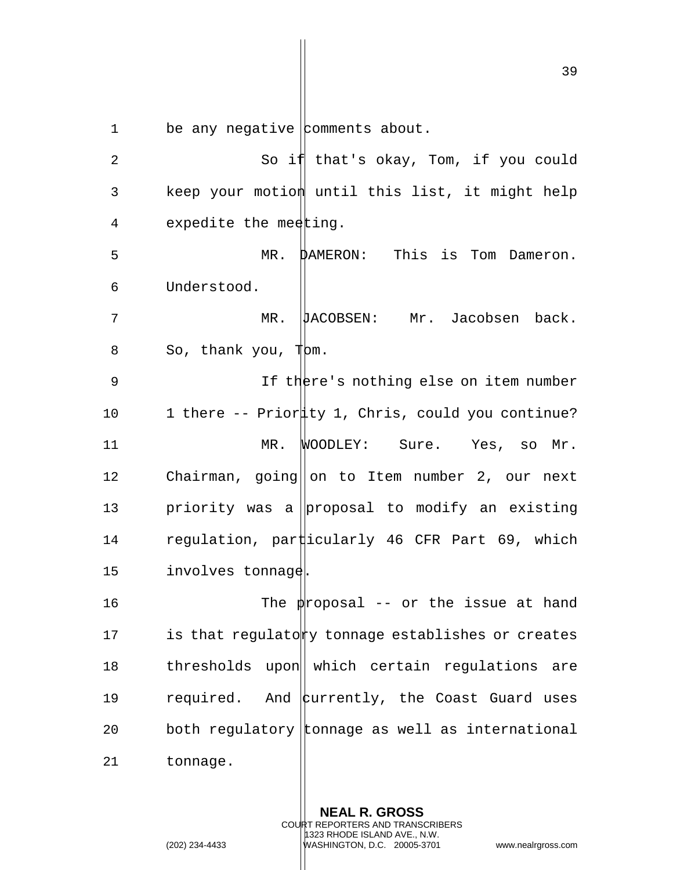1 be any negative comments about.

2 So if that's okay, Tom, if you could 3 beep your motion until this list, it might help 4 expedite the meeting. 5 MR. DAMERON: This is Tom Dameron. 6 Understood. 7 MR. JACOBSEN: Mr. Jacobsen back.  $8$  So, thank you,  $\mathbb{T}$ bm. 9 11 If there's nothing else on item number 10 1 there -- Priority 1, Chris, could you continue? 11 MR. WOODLEY: Sure. Yes, so Mr. 12 Chairman, going on to Item number 2, our next 13 beta priority was a proposal to modify an existing 14 regulation, particularly 46 CFR Part 69, which 15 involves tonnage. 16 The proposal -- or the issue at hand 17 is that regulatory tonnage establishes or creates 18 thresholds upon|| which certain regulations are 19 required. And  $\frac{1}{2}$  the Coast Guard uses 20 both regulatory tonnage as well as international 21 tonnage.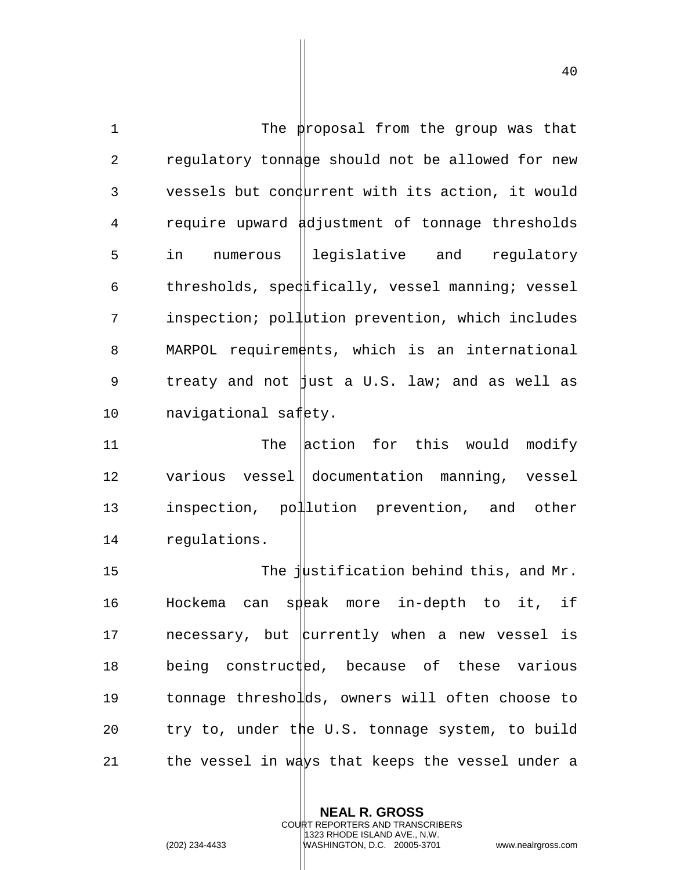1 The proposal from the group was that 2 regulatory tonnage should not be allowed for new 3 vessels but condurrent with its action, it would 4 require upward adjustment of tonnage thresholds 5 in numerous leqislative and requlatory 6 thresholds, specultically, vessel manning; vessel 7 inspection; pollution prevention, which includes 8 MARPOL requirements, which is an international 9 treaty and not  $\parallel$ ust a U.S. law; and as well as 10 navigational safety.

11 The action for this would modify 12 various vessel documentation manning, vessel 13 inspection, pollution prevention, and other 14 regulations.

15 The justification behind this, and Mr. 16 Hockema can speak more in-depth to it, if 17 and necessary, but  $\frac{1}{2}$  when a new vessel is 18 being constructed, because of these various 19 tonnage thresholds, owners will often choose to 20 try to, under the U.S. tonnage system, to build 21 the vessel in ways that keeps the vessel under a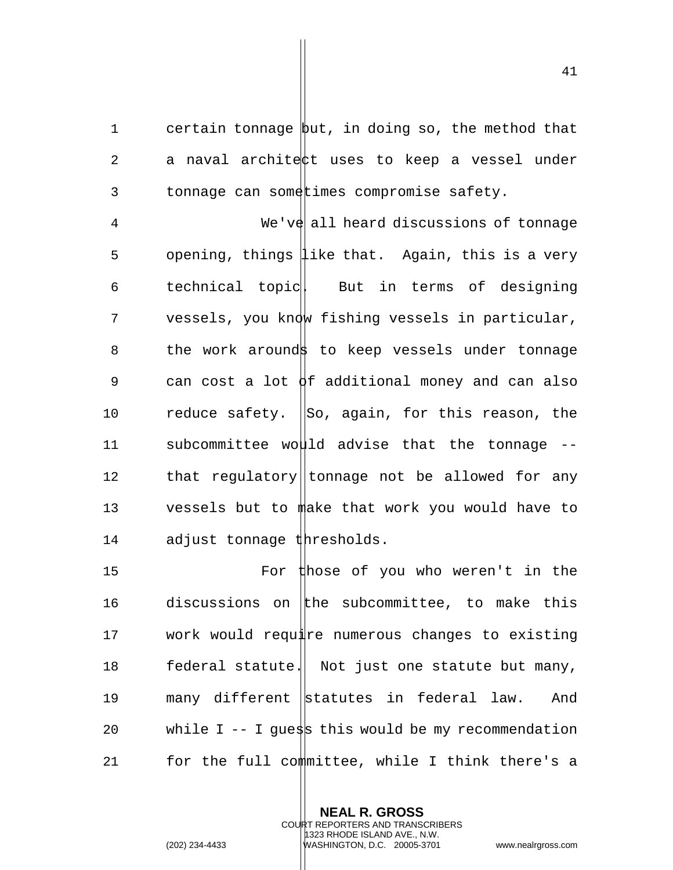1 certain tonnage but, in doing so, the method that 2 a naval architect uses to keep a vessel under 3 tonnage can sometimes compromise safety.

4 We've all heard discussions of tonnage 5 opening, things like that. Again, this is a very 6 technical topic But in terms of designing 7 vessels, you know fishing vessels in particular, 8 the work arounds to keep vessels under tonnage 9 can cost a lot  $\varphi$ f additional money and can also 10  $r = r$  reduce safety.  $\vert$ So, again, for this reason, the 11 subcommittee would advise that the tonnage  $-$ 12 that regulatory||tonnage not be allowed for any 13 vessels but to make that work you would have to 14 adjust tonnage thresholds.

15 For those of you who weren't in the 16 discussions on the subcommittee, to make this 17 work would require numerous changes to existing 18 federal statute. Not just one statute but many, 19 many different statutes in federal law. And 20 while I -- I guess this would be my recommendation 21 for the full committee, while I think there's a

> **NEAL R. GROSS** COURT REPORTERS AND TRANSCRIBERS 1323 RHODE ISLAND AVE., N.W. (202) 234-4433 WASHINGTON, D.C. 20005-3701 www.nealrgross.com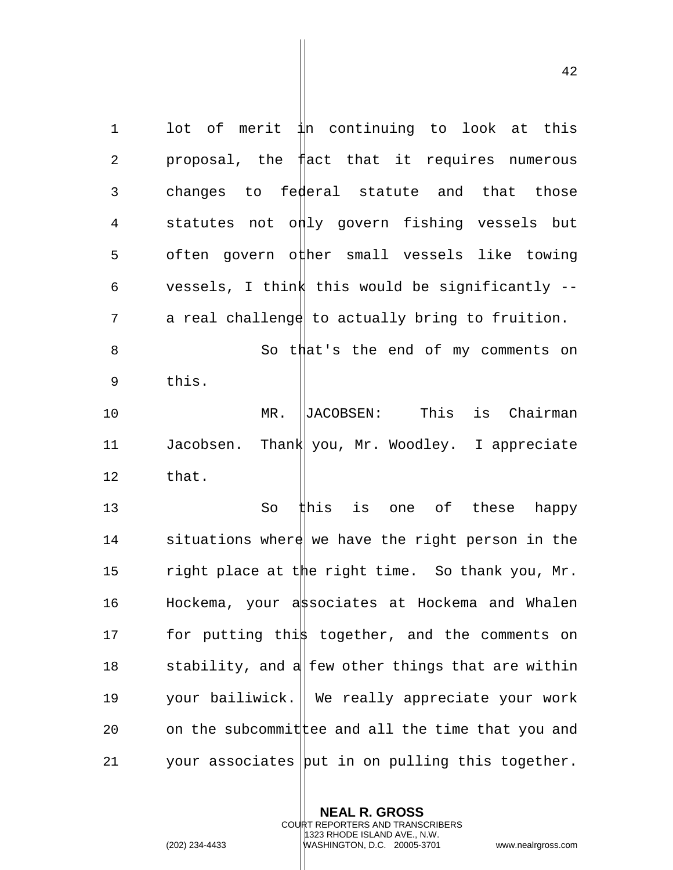1 lot of merit in continuing to look at this 2 proposal, the fact that it requires numerous 3 changes to federal statute and that those 4 statutes not only govern fishing vessels but 5 often govern other small vessels like towing 6 vessels, I think this would be significantly -- 7 a real challenge to actually bring to fruition. 8 So that's the end of my comments on 9 this. 10 MR. JACOBSEN: This is Chairman 11 Jacobsen. Thank you, Mr. Woodley. I appreciate 12 that. 13 So this is one of these happy 14 situations where we have the right person in the 15 right place at the right time. So thank you, Mr. 16 Hockema, your associates at Hockema and Whalen 17 for putting this together, and the comments on 18 stability, and a  $\parallel$  few other things that are within 19 your bailiwick. We really appreciate your work 20 on the subcommit tee and all the time that you and 21 your associates  $\vert$  but in on pulling this together.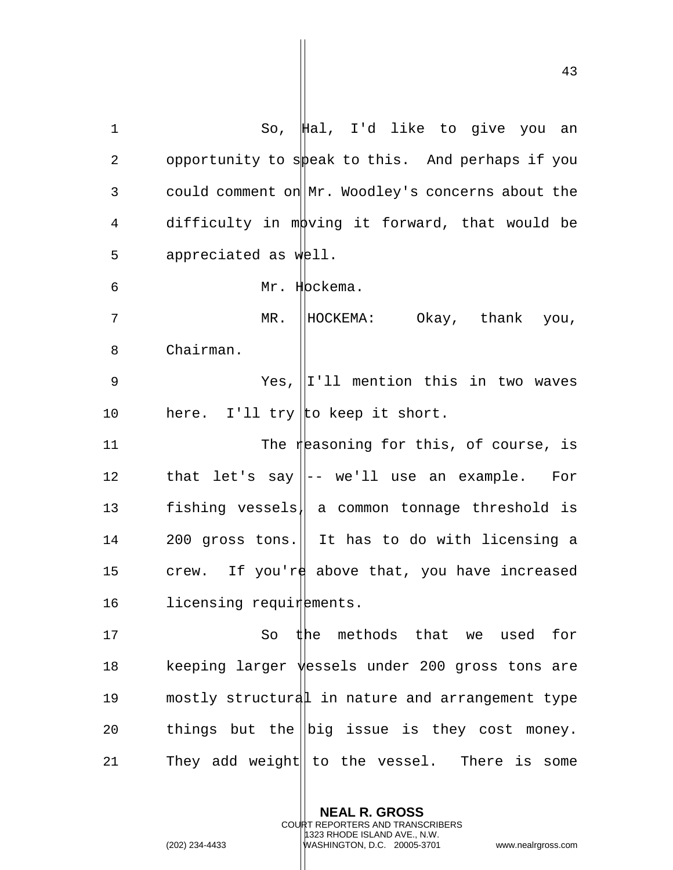| $\mathbf 1$ | So, $\sharp$ al, I'd like to give you an                   |
|-------------|------------------------------------------------------------|
| 2           | opportunity to speak to this. And perhaps if you           |
| 3           | could comment on Mr. Woodley's concerns about the          |
| 4           | difficulty in moving it forward, that would be             |
| 5           | appreciated as well.                                       |
| 6           | Mr. Hockema.                                               |
| 7           | HOCKEMA: Okay, thank you,<br>$MR$ .                        |
| 8           | Chairman.                                                  |
| 9           | Yes, $  I'  $ mention this in two waves                    |
| 10          | here. I'll try to keep it short.                           |
| 11          | The reasoning for this, of course, is                      |
| 12          | that let's say $\parallel$ -- we'll use an example.<br>For |
| 13          | fishing vessels  a common tonnage threshold is             |
| 14          | 200 gross tons. If thas to do with licensing a             |
| 15          | crew. If you're above that, you have increased             |
| 16          | licensing requirements.                                    |
| 17          | So the methods that we used<br>for                         |
| $18\,$      | keeping larger vessels under 200 gross tons are            |
| 19          | mostly structural in nature and arrangement type           |
| 20          | things but the $\ $ big issue is they cost money.          |
| 21          | They add weight   to the vessel. There is some             |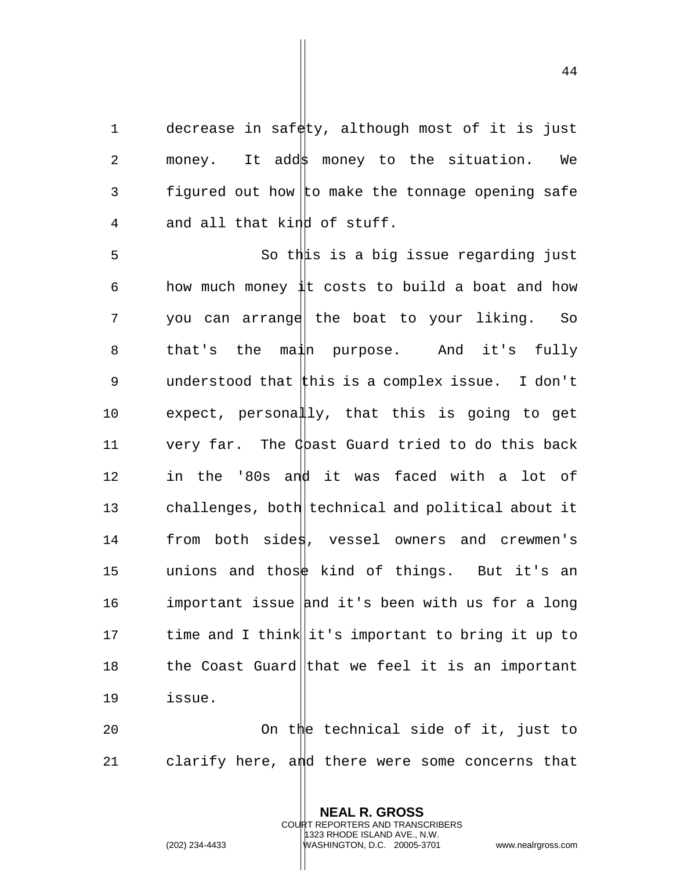1 decrease in safety, although most of it is just 2 money. It add money to the situation. We 3 figured out how to make the tonnage opening safe 4 and all that kind of stuff.

5 So this is a big issue regarding just 6 how much money  $\frac{1}{4}$ t costs to build a boat and how 7 you can arrange the boat to your liking. So 8 that's the main purpose. And it's fully 9 understood that this is a complex issue. I don't 10 expect, personally, that this is going to get 11 very far. The Chast Guard tried to do this back 12 in the '80s and it was faced with a lot of 13 challenges, both technical and political about it 14 from both sides, vessel owners and crewmen's 15 unions and those kind of things. But it's an 16 important issue and it's been with us for a long 17 time and I think it's important to bring it up to 18 the Coast Guard that we feel it is an important 19 issue. 20 On the technical side of it, just to

21 clarify here, and there were some concerns that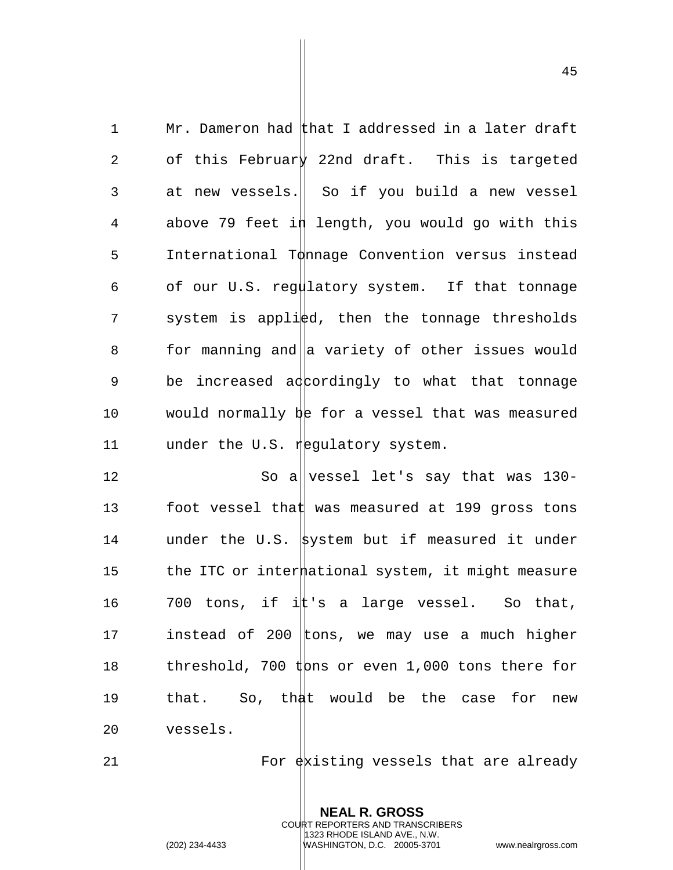1 Mr. Dameron had  $\sharp$  hat I addressed in a later draft 2 of this February 22nd draft. This is targeted 3 at new vessels. So if you build a new vessel 4 above 79 feet in length, you would go with this 5 International Tonnage Convention versus instead 6 of our U.S. regulatory system. If that tonnage 7 system is applied, then the tonnage thresholds 8 for manning and  $\parallel$  variety of other issues would 9 be increased adcordingly to what that tonnage 10 would normally  $b$ e for a vessel that was measured 11 under the U.S. regulatory system.

12 So allvessel let's say that was 130-13 foot vessel that was measured at 199 gross tons 14 under the U.S. system but if measured it under 15 the ITC or intermational system, it might measure 16  $\,$  700 tons, if i $\sharp$  s a large vessel. So that, 17 instead of 200  $|$ tons, we may use a much higher 18 threshold, 700 tons or even 1,000 tons there for 19 that. So, that would be the case for new 20 vessels.

21  $\qquad \qquad$  For  $\frac{1}{2}$  existing vessels that are already

**NEAL R. GROSS** COURT REPORTERS AND TRANSCRIBERS 1323 RHODE ISLAND AVE., N.W.

(202) 234-4433 WASHINGTON, D.C. 20005-3701 www.nealrgross.com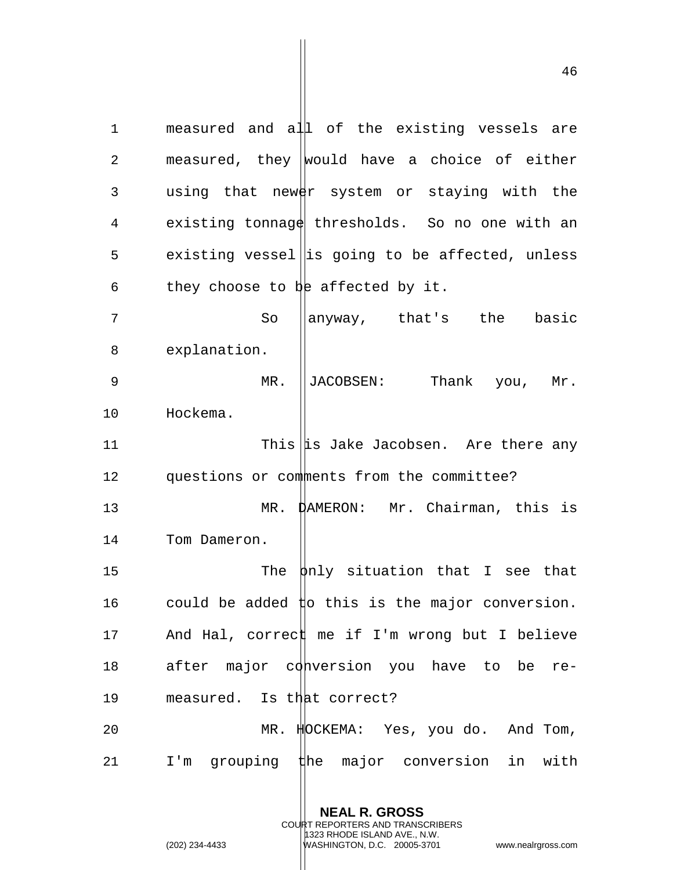1 measured and all of the existing vessels are 2 measured, they would have a choice of either 3 using that newer system or staying with the 4 existing tonnage thresholds. So no one with an 5 existing vessel is going to be affected, unless 6 they choose to be affected by it. 7 So anyway, that's the basic 8 explanation. 9 MR. JACOBSEN: Thank you, Mr. 10 Hockema. 11  $\frac{1}{1}$  This  $\frac{1}{15}$  Jake Jacobsen. Are there any 12 questions or comments from the committee?

13 MR. DAMERON: Mr. Chairman, this is

14 Tom Dameron.

15 The  $\frac{1}{2}$  The  $\frac{1}{2}$  situation that I see that 16 could be added  $\sharp$ o this is the major conversion. 17 And Hal, correct me if I'm wrong but I believe 18 after major conversion you have to be re-19 measured. Is that correct?

20 MR. HOCKEMA: Yes, you do. And Tom, 21 I'm grouping the major conversion in with

> **NEAL R. GROSS** COURT REPORTERS AND TRANSCRIBERS 1323 RHODE ISLAND AVE., N.W. (202) 234-4433 WASHINGTON, D.C. 20005-3701 www.nealrgross.com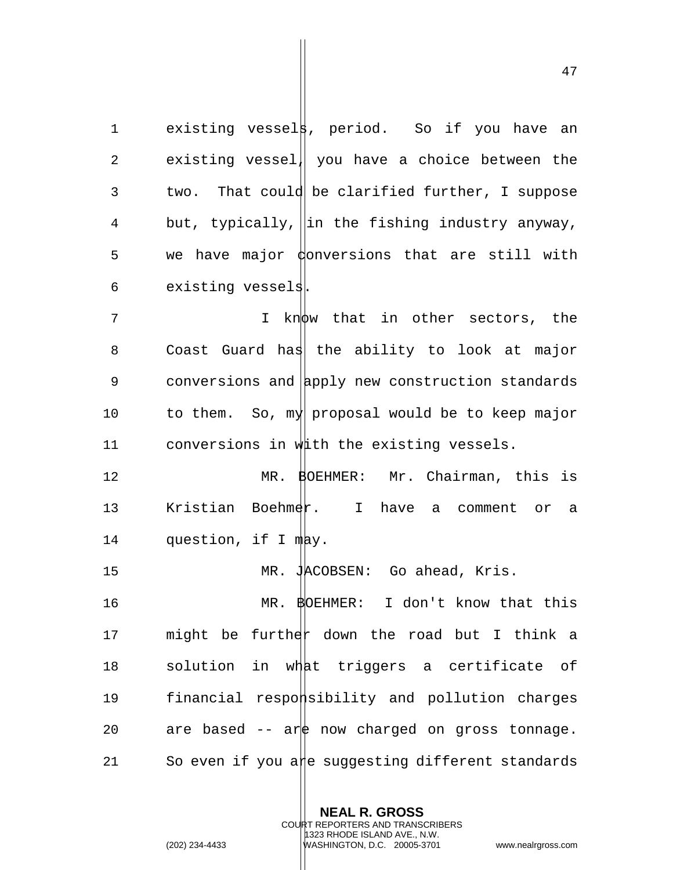1 existing vessel**s**, period. So if you have an 2 existing vessel| you have a choice between the 3 two. That could be clarified further, I suppose 4 but, typically, ||in the fishing industry anyway,  $5$  we have major  $\phi$  onversions that are still with 6 existing vessels.

7 Thinknow that in other sectors, the 8 Coast Guard has the ability to look at major 9 conversions and apply new construction standards 10 to them. So,  $m_y$  proposal would be to keep major 11 conversions in with the existing vessels.

12 MR. BOEHMER: Mr. Chairman, this is 13 Kristian Boehmer. I have a comment or a 14 question, if I may.

15 MR. JACOBSEN: Go ahead, Kris.

16 MR. BOEHMER: I don't know that this 17 and might be further down the road but I think a 18 solution in what triggers a certificate of 19 financial responsibility and pollution charges 20 are based  $--$  are now charged on gross tonnage. 21 So even if you are suggesting different standards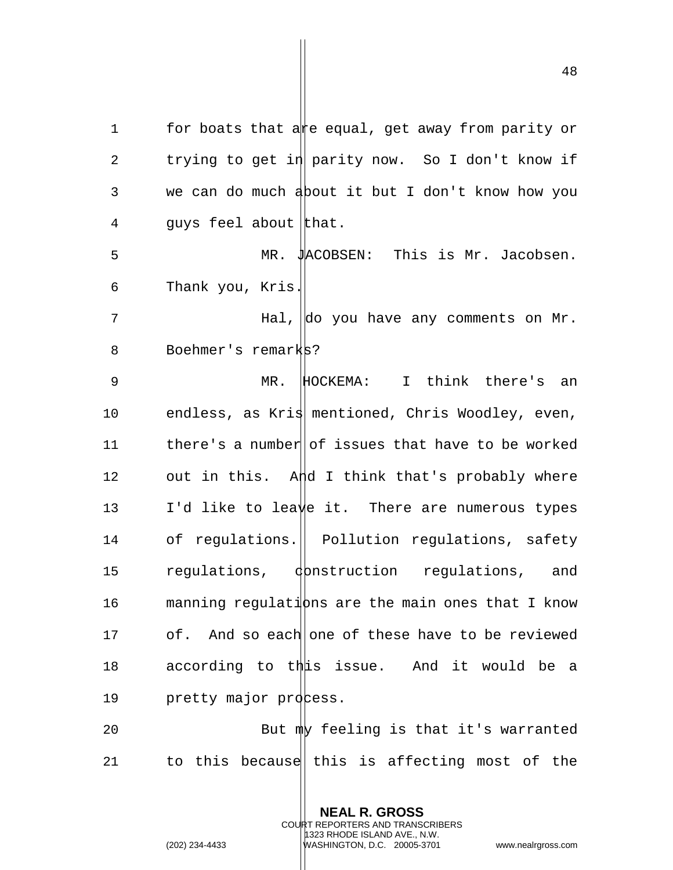1 for boats that are equal, get away from parity or 2 trying to get in parity now. So I don't know if 3 we can do much about it but I don't know how you 4 guys feel about that. 5 MR. JACOBSEN: This is Mr. Jacobsen. 6 Thank you, Kris. 7 The Hal, do you have any comments on Mr. 8 Boehmer's remarks? 9 MR. HOCKEMA: I think there's an 10 endless, as Kris mentioned, Chris Woodley, even, 11 there's a number of issues that have to be worked 12 out in this. And I think that's probably where 13 I'd like to leave it. There are numerous types 14 of regulations. | Pollution regulations, safety 15 regulations, donstruction regulations, and 16 manning regulations are the main ones that I know 17 of. And so each one of these have to be reviewed 18 according to this issue. And it would be a

20 But my feeling is that it's warranted 21 to this because this is affecting most of the

> **NEAL R. GROSS** COURT REPORTERS AND TRANSCRIBERS 1323 RHODE ISLAND AVE., N.W.

19 pretty major process.

(202) 234-4433 WASHINGTON, D.C. 20005-3701 www.nealrgross.com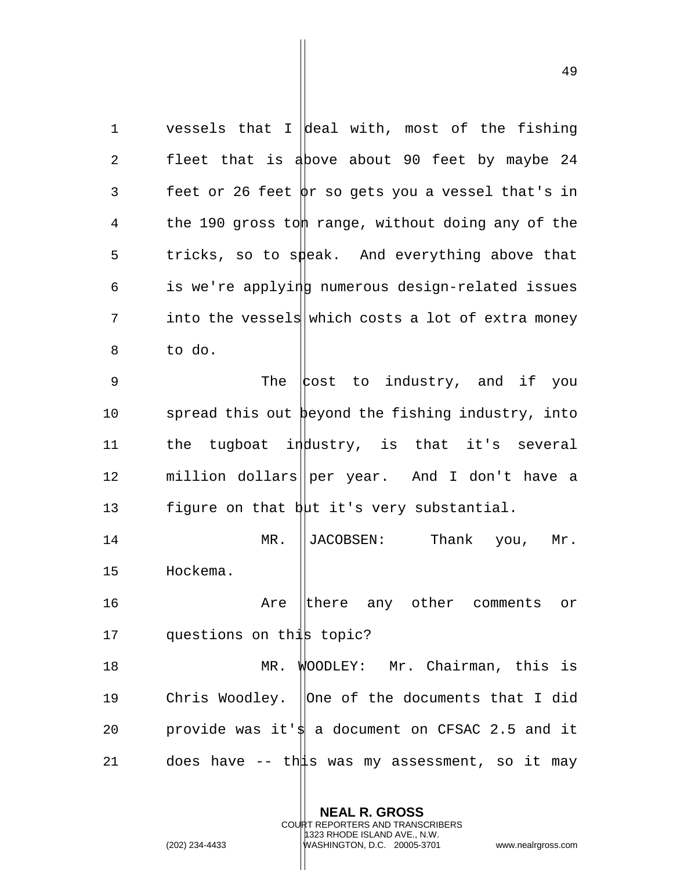1 vessels that I deal with, most of the fishing 2 fleet that is above about 90 feet by maybe 24 3 feet or 26 feet  $\phi$ r so gets you a vessel that's in 4 the 190 gross tom range, without doing any of the 5 tricks, so to speak. And everything above that  $6$  is we're applying numerous design-related issues 7 into the vessels which costs a lot of extra money 8 to do. 9 The cost to industry, and if you 10 spread this out beyond the fishing industry, into 11 the tugboat industry, is that it's several 12 million dollars per year. And I don't have a 13 figure on that  $b\mu t$  it's very substantial. 14 MR. ||JACOBSEN: Thank you, Mr. 15 Hockema. 16 **16** Are there any other comments or 17 questions on this topic? 18 MR. WOODLEY: Mr. Chairman, this is 19 Chris Woodley. ||One of the documents that I did 20 provide was it's a document on CFSAC 2.5 and it 21 does have  $-$  this was my assessment, so it may

> **NEAL R. GROSS** COURT REPORTERS AND TRANSCRIBERS

> > 1323 RHODE ISLAND AVE., N.W.

(202) 234-4433 WASHINGTON, D.C. 20005-3701 www.nealrgross.com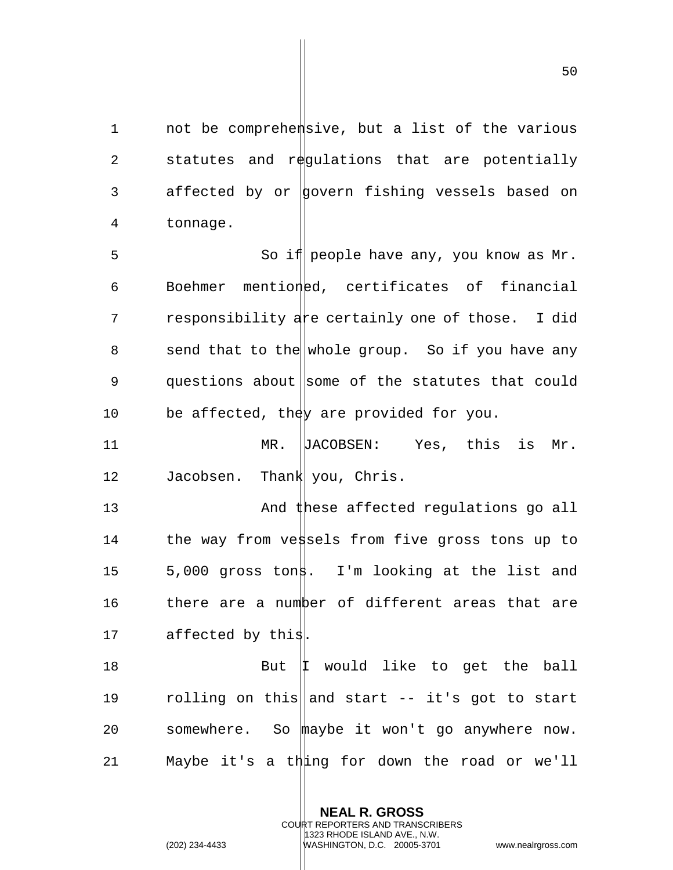1 not be comprehemsive, but a list of the various 2 statutes and regulations that are potentially 3 affected by or govern fishing vessels based on 4 tonnage.

5 So if people have any, you know as Mr. 6 Boehmer mentioned, certificates of financial 7 responsibility a reertainly one of those. I did 8 send that to the whole group. So if you have any 9 questions about some of the statutes that could 10 be affected, the  $y$  are provided for you.

11 MR. DACOBSEN: Yes, this is Mr. 12 Jacobsen. Thank you, Chris.

13 And these affected regulations go all 14 the way from vessels from five gross tons up to 15 5,000 gross tons. I'm looking at the list and 16 there are a number of different areas that are 17 affected by this

18 But | I would like to get the ball 19  $r$  olling on this and start  $-$  it's got to start 20 somewhere. So maybe it won't go anywhere now. 21 Maybe it's a thing for down the road or we'll

> **NEAL R. GROSS** COURT REPORTERS AND TRANSCRIBERS 1323 RHODE ISLAND AVE., N.W.

(202) 234-4433 WASHINGTON, D.C. 20005-3701 www.nealrgross.com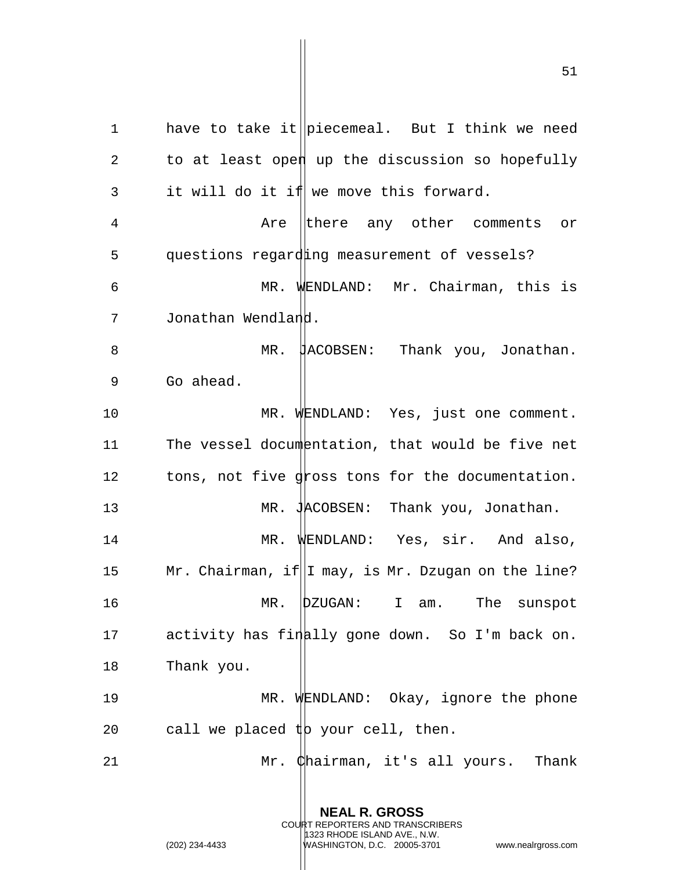1 have to take it piecemeal. But I think we need 2 to at least open up the discussion so hopefully  $3$  it will do it if we move this forward. 4 Are there any other comments or 5 questions regarding measurement of vessels? 6 MR. WENDLAND: Mr. Chairman, this is 7 Jonathan Wendland. 8 MR. HACOBSEN: Thank you, Jonathan. 9 Go ahead. 10 MR. WENDLAND: Yes, just one comment. 11 The vessel documentation, that would be five net 12 tons, not five gross tons for the documentation. 13 MR. JACOBSEN: Thank you, Jonathan. 14 MR. WENDLAND: Yes, sir. And also, 15 Mr. Chairman, if  $\|I\|$  may, is Mr. Dzugan on the line? 16 MR. DZUGAN: I am. The sunspot 17 activity has finally gone down. So I'm back on. 18 Thank you. 19 MR. WENDLAND: Okay, ignore the phone 20 call we placed  $\sharp$ b your cell, then. 21 Mr. Chairman, it's all yours. Thank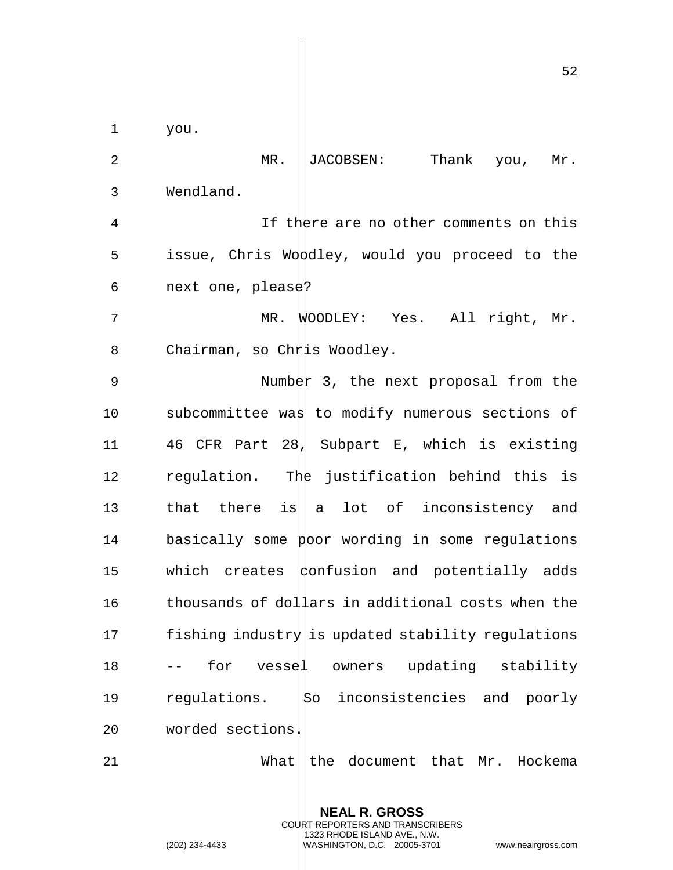1 you. 2 MR. ||JACOBSEN: Thank you, Mr. 3 Wendland. 4 If there are no other comments on this 5 issue, Chris Woodley, would you proceed to the 6 next one, please? 7 MR. WOODLEY: Yes. All right, Mr. 8 Chairman, so Chris Woodley. 9 Number 3, the next proposal from the 10 subcommittee was to modify numerous sections of 11 46 CFR Part 28, Subpart E, which is existing 12 regulation. The justification behind this is 13 that there is  $\|a\|$  a lot of inconsistency and  $14$  basically some poor wording in some regulations 15 which creates  $\phi$ onfusion and potentially adds 16 thousands of dollars in additional costs when the 17 fishing industry is updated stability regulations 18 -- for vessel owners updating stability 19 regulations. So inconsistencies and poorly 20 worded sections. 21 What  $\|$  the document that Mr. Hockema

> **NEAL R. GROSS** COURT REPORTERS AND TRANSCRIBERS 1323 RHODE ISLAND AVE., N.W.

(202) 234-4433 WASHINGTON, D.C. 20005-3701 www.nealrgross.com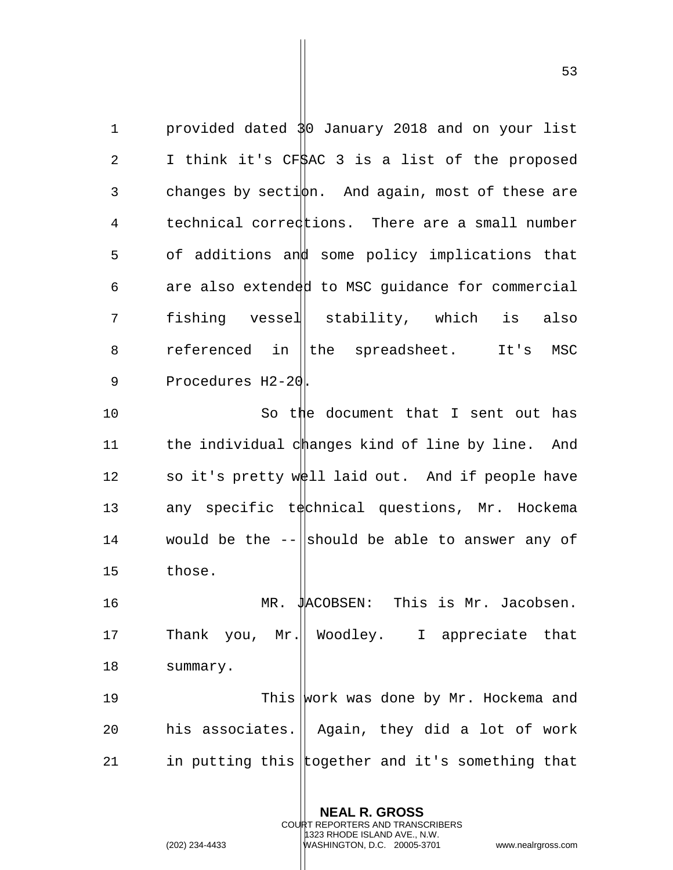1 provided dated 30 January 2018 and on your list 2 I think it's CF\$AC 3 is a list of the proposed 3 changes by secti $\phi$ n. And again, most of these are 4 technical corrections. There are a small number 5 of additions and some policy implications that  $6$  are also extended to MSC quidance for commercial 7 fishing vessel stability, which is also 8 referenced in the spreadsheet. It's MSC 9 Procedures H2-20.

10 So the document that I sent out has 11 the individual changes kind of line by line. And 12 so it's pretty  $w \notin \{1\}$  laid out. And if people have 13 any specific technical questions, Mr. Hockema 14 would be the  $-$  should be able to answer any of 15 those.

16 MR. JACOBSEN: This is Mr. Jacobsen. 17 Thank you, Mr.|| Woodley. I appreciate that 18 summary. 19 This work was done by Mr. Hockema and 20 his associates. | Again, they did a lot of work 21 in putting this together and it's something that

> **NEAL R. GROSS** COURT REPORTERS AND TRANSCRIBERS 1323 RHODE ISLAND AVE., N.W.

(202) 234-4433 WASHINGTON, D.C. 20005-3701 www.nealrgross.com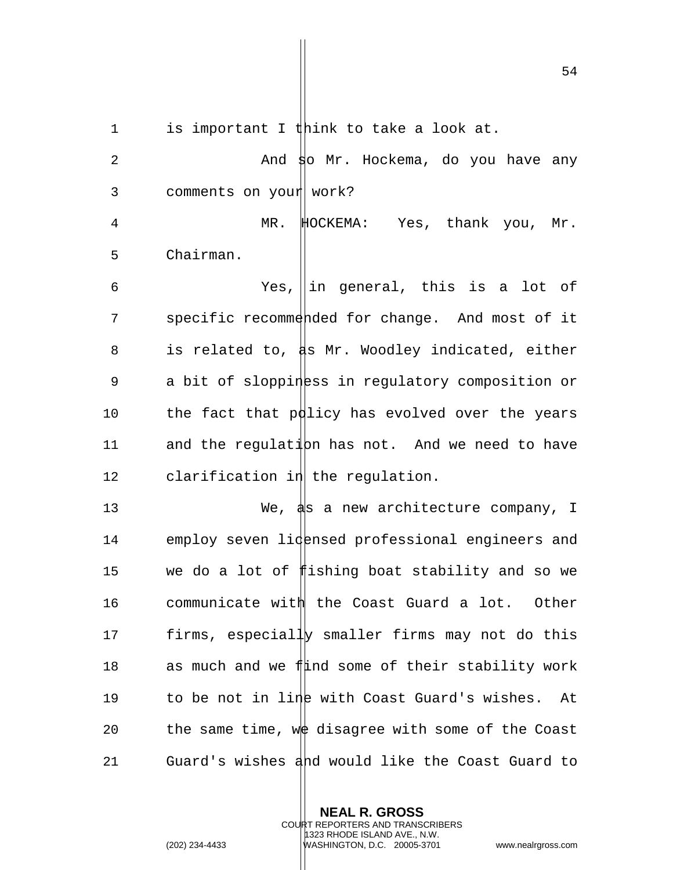1 is important I think to take a look at.

2 And so Mr. Hockema, do you have any 3 comments on your work? 4 MR. HOCKEMA: Yes, thank you, Mr. 5 Chairman. 6  $Yes$ , in general, this is a lot of 7 specific recommended for change. And most of it 8 is related to,  $\sharp s$  Mr. Woodley indicated, either 9 a bit of sloppiness in regulatory composition or 10 the fact that p $\phi$ licy has evolved over the years 11 and the regulation has not. And we need to have  $12$  clarification in the regulation. 13 We, as a new architecture company, I 14 employ seven lidensed professional engineers and 15 we do a lot of fishing boat stability and so we 16 communicate with the Coast Guard a lot. Other 17 firms, especially smaller firms may not do this 18 as much and we find some of their stability work 19 to be not in line with Coast Guard's wishes. At 20 the same time, we disagree with some of the Coast 21 Guard's wishes and would like the Coast Guard to

> **NEAL R. GROSS** COURT REPORTERS AND TRANSCRIBERS 1323 RHODE ISLAND AVE., N.W. (202) 234-4433 WASHINGTON, D.C. 20005-3701 www.nealrgross.com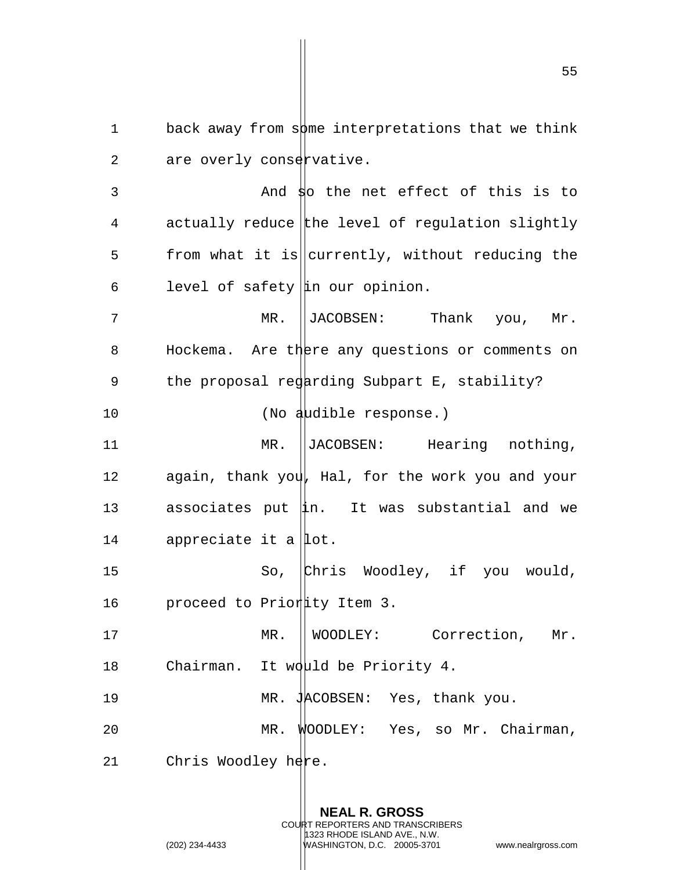1 back away from some interpretations that we think 2 are overly conservative.

3 And so the net effect of this is to  $4$  actually reduce the level of regulation slightly 5 from what it is currently, without reducing the 6 level of safety in our opinion.

7 MR. ||JACOBSEN: Thank you, Mr. 8 Hockema. Are there any questions or comments on 9 the proposal regarding Subpart E, stability?

10 (No audible response.)

11 MR. ||JACOBSEN: Hearing nothing, 12 again, thank you, Hal, for the work you and your 13 associates put  $\ln$ . It was substantial and we 14 appreciate it a  $|$ lot.

15 So, Chris Woodley, if you would, 16 proceed to Priority Item 3.

17 MR. | WOODLEY: Correction, Mr. 18 Chairman. It would be Priority 4.

19 MR. JACOBSEN: Yes, thank you. 20 MR. WOODLEY: Yes, so Mr. Chairman,

21 Chris Woodley  $h$ ere.

**NEAL R. GROSS** COURT REPORTERS AND TRANSCRIBERS 1323 RHODE ISLAND AVE., N.W.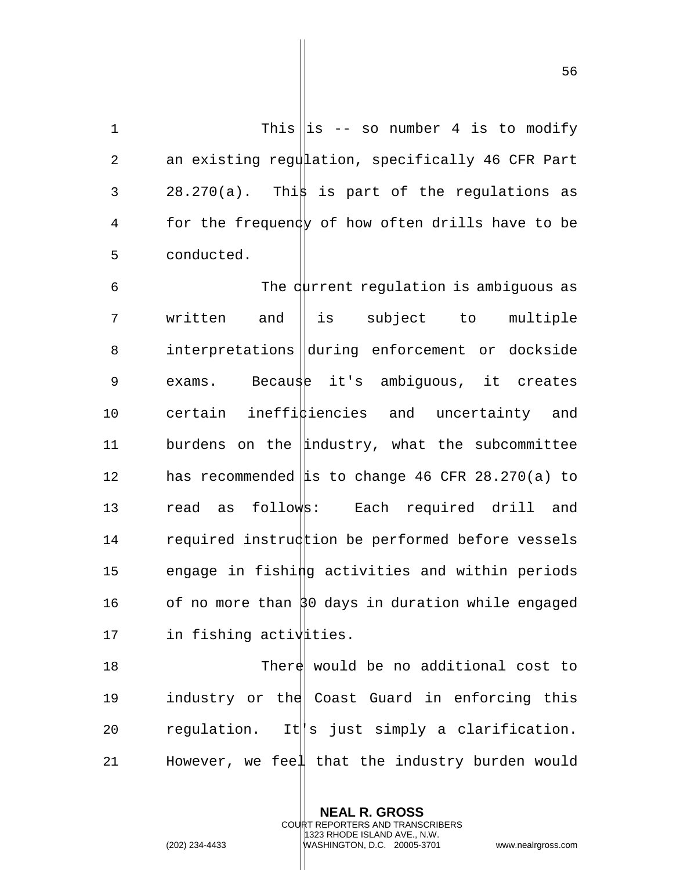56

1 This is -- so number 4 is to modify 2 an existing regulation, specifically 46 CFR Part  $3$  28.270(a). This is part of the regulations as 4 for the frequency of how often drills have to be 5 conducted.

6 The current regulation is ambiguous as 7 written and l is subject to multiple 8 interpretations during enforcement or dockside 9 exams. Because it's ambiguous, it creates 10 certain ineffi $\sharp$ iencies and uncertainty and 11 burdens on the  $\|\text{industry},\text{ what the subcommittee}\|$ 12 has recommended  $\|\mathbf{is}\|$  to change 46 CFR 28.270(a) to 13 read as follows: Each required drill and 14 required instruction be performed before vessels 15 engage in fishing activities and within periods 16 of no more than  $30$  days in duration while engaged 17 in fishing activaties.

18 There would be no additional cost to 19 industry or the Coast Guard in enforcing this 20  $r$  regulation. It  $||s|$  just simply a clarification. 21 However, we feel that the industry burden would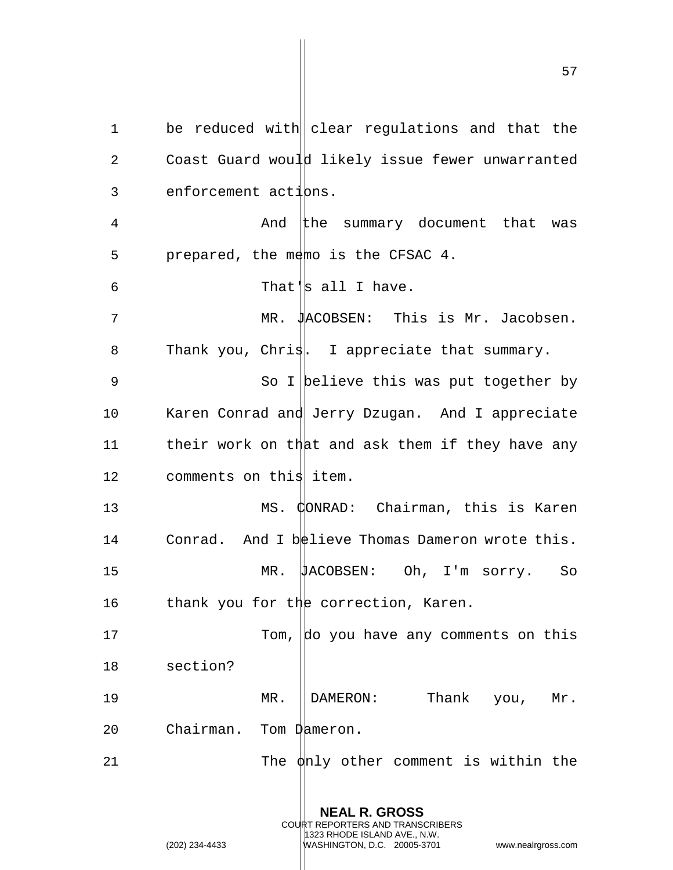1 be reduced with clear regulations and that the 2 Coast Guard would likely issue fewer unwarranted  $3$  enforcement actions. 4 And the summary document that was 5 prepared, the memo is the CFSAC 4. 6 That's all I have. 7 MR. JACOBSEN: This is Mr. Jacobsen. 8 Thank you, Chris. I appreciate that summary. 9 So I believe this was put together by 10 Karen Conrad and Jerry Dzugan. And I appreciate 11 their work on that and ask them if they have any 12 comments on this item. 13 MS. CONRAD: Chairman, this is Karen 14 Conrad. And I believe Thomas Dameron wrote this. 15 MR. JACOBSEN: Oh, I'm sorry. So 16 thank you for the correction, Karen. 17 Tom, do you have any comments on this 18 section? 19 MR. DAMERON: Thank you, Mr. 20 Chairman. Tom Dameron. 21 The  $\phi$ nly other comment is within the

> **NEAL R. GROSS** COURT REPORTERS AND TRANSCRIBERS 1323 RHODE ISLAND AVE., N.W.

(202) 234-4433 WASHINGTON, D.C. 20005-3701 www.nealrgross.com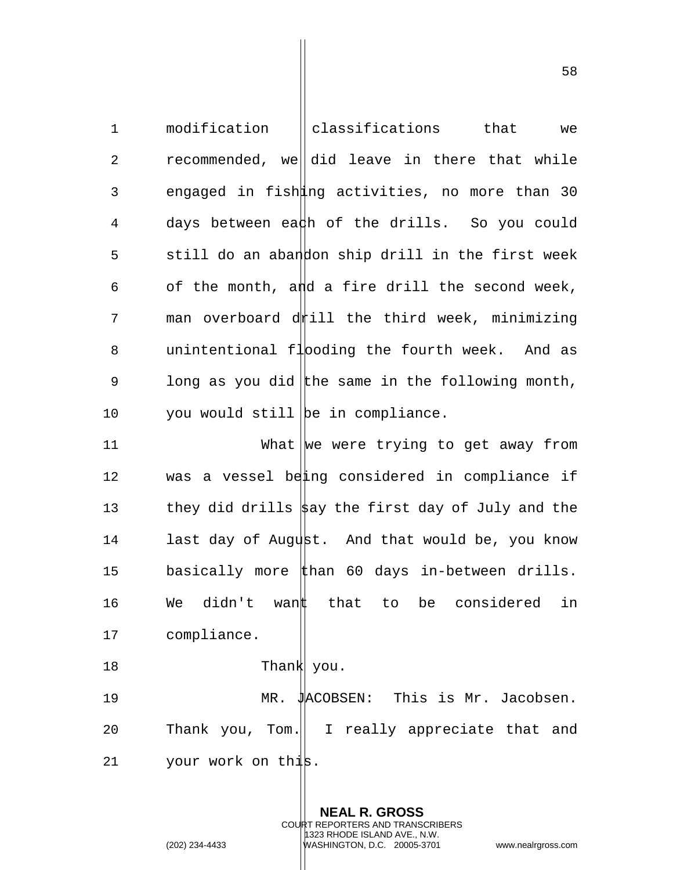1 modification classifications that we 2 recommended, we did leave in there that while 3 engaged in fishang activities, no more than 30 4 days between ea $\sharp$ h of the drills. So you could 5 still do an abandon ship drill in the first week 6 of the month, and a fire drill the second week,  $7$  man overboard d $\nparallel$ ill the third week, minimizing 8 unintentional flooding the fourth week. And as 9 long as you did the same in the following month, 10 you would still be in compliance. 11 What  $\vert$  we we trying to get away from 12 was a vessel being considered in compliance if 13 they did drills  $\frac{1}{2}$  the first day of July and the 14 last day of August. And that would be, you know 15 basically more  $\sharp$ han 60 days in-between drills. 16 We didn't want that to be considered in 17 compliance. 18 Thank you. 19 MR. JACOBSEN: This is Mr. Jacobsen. 20 Thank you, Tom.|| I really appreciate that and 21 your work on this.

> **NEAL R. GROSS** COURT REPORTERS AND TRANSCRIBERS 1323 RHODE ISLAND AVE., N.W.

(202) 234-4433 WASHINGTON, D.C. 20005-3701 www.nealrgross.com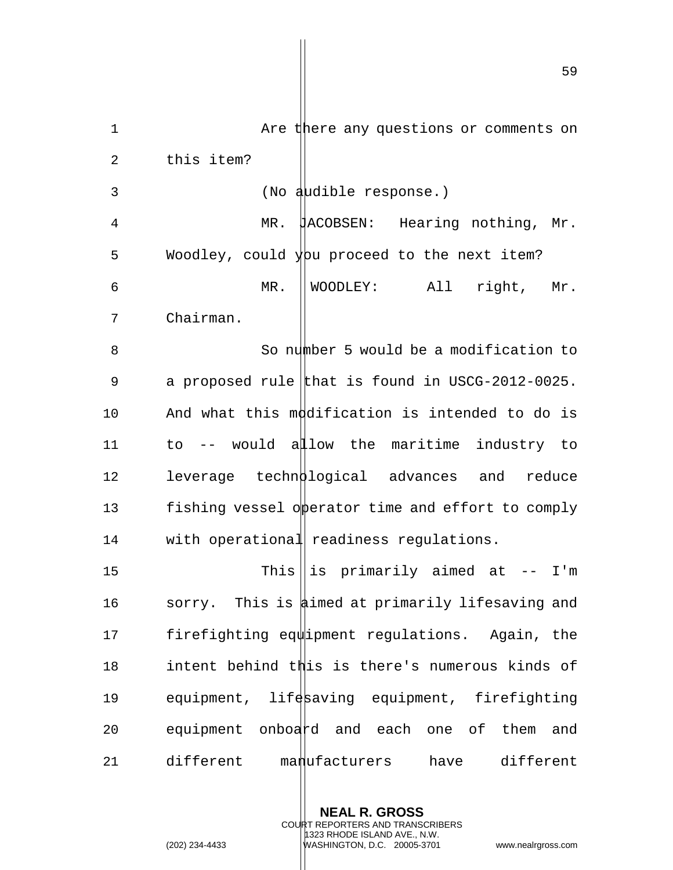1 Are there any questions or comments on 2 this item? 3 (No audible response.) 4 MR. JACOBSEN: Hearing nothing, Mr. 5 Woodley, could y proceed to the next item? 6 MR. WOODLEY: All right, Mr. 7 Chairman. 8 So number 5 would be a modification to 9 a proposed rule that is found in USCG-2012-0025. 10 And what this modification is intended to do is 11 to -- would allow the maritime industry to 12 leverage technological advances and reduce 13 fishing vessel opperator time and effort to comply 14 with operational readiness regulations. 15 This is primarily aimed at -- I'm 16 sorry. This is aimed at primarily lifesaving and 17 firefighting equipment regulations. Again, the 18 intent behind this is there's numerous kinds of 19 equipment, lifesaving equipment, firefighting

20 equipment onboard and each one of them and 21 different manufacturers have different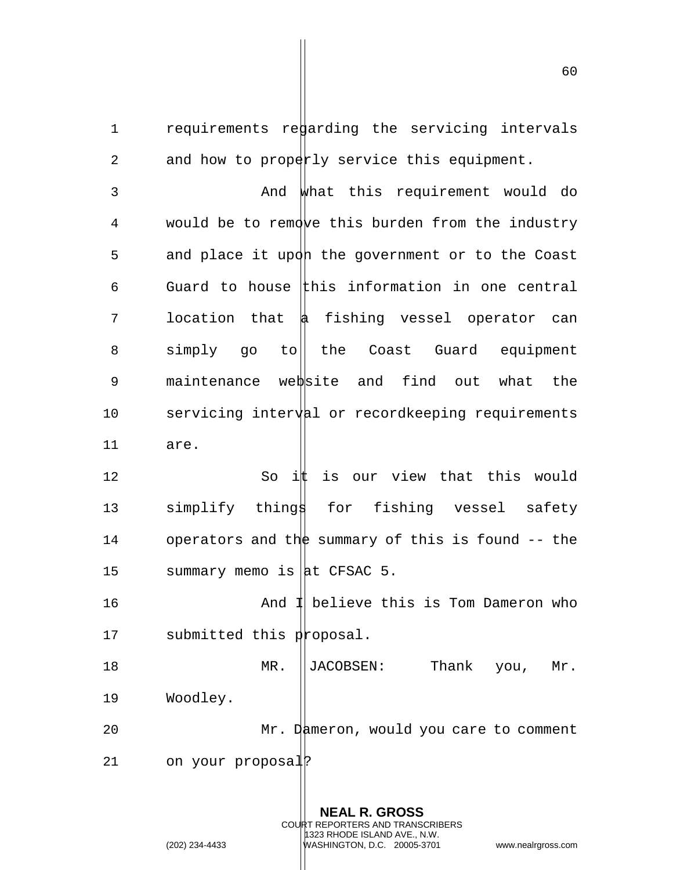1 requirements redarding the servicing intervals 2 and how to properly service this equipment.

3 And what this requirement would do 4 would be to remove this burden from the industry 5 and place it upon the government or to the Coast 6 Guard to house this information in one central 7 location that a fishing vessel operator can 8 simply go to the Coast Guard equipment 9 maintenance website and find out what the 10 servicing interval or recordkeeping requirements 11 are.

12 So ith is our view that this would 13 simplify things for fishing vessel safety 14 operators and the summary of this is found -- the 15 summary memo is  $\vert$ at CFSAC 5.

16 And 1 believe this is Tom Dameron who 17 submitted this proposal.

18 MR. JACOBSEN: Thank you, Mr. 19 Woodley. 20 Mr. Dameron, would you care to comment

21 on your proposal?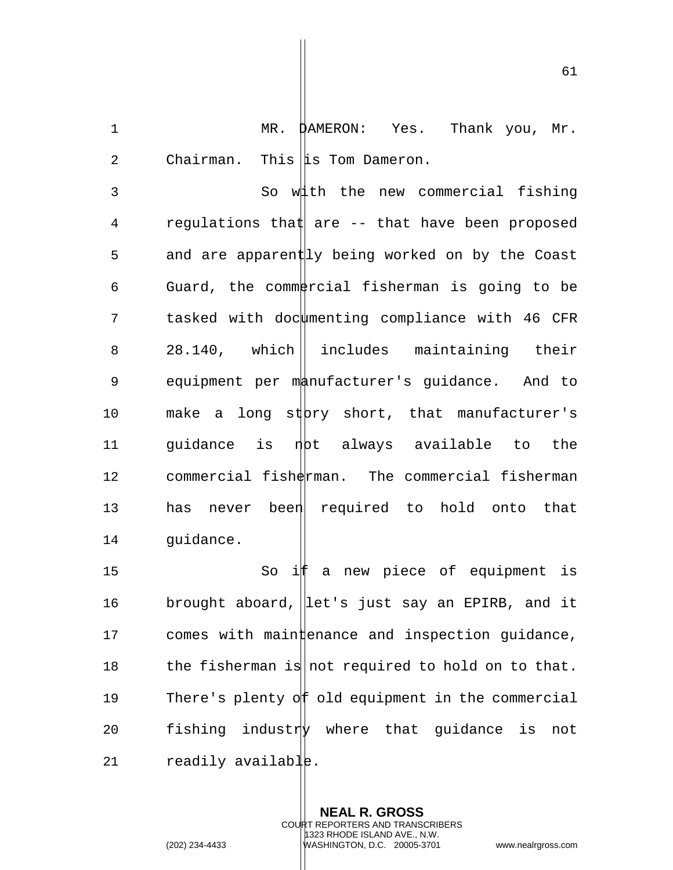1 MR. DAMERON: Yes. Thank you, Mr. 2 Chairman. This  $\|\mathbf{i}\|$  Tom Dameron.

3 So with the new commercial fishing 4 regulations that are -- that have been proposed 5 and are apparently being worked on by the Coast 6 Guard, the commetrcial fisherman is going to be 7 tasked with docwmenting compliance with 46 CFR 8 28.140, which includes maintaining their 9 equipment per manufacturer's guidance. And to 10 make a long st bry short, that manufacturer's 11 guidance is not always available to the 12 commercial fisherman. The commercial fisherman 13 has never been required to hold onto that 14 guidance.

15 So if a new piece of equipment is 16 brought aboard, | let's just say an EPIRB, and it  $17$  comes with main  $\sharp$  enance and inspection guidance, 18 the fisherman is not required to hold on to that. 19 There's plenty of old equipment in the commercial 20 fishing industry where that guidance is not 21 readily available.

> **NEAL R. GROSS** COURT REPORTERS AND TRANSCRIBERS 1323 RHODE ISLAND AVE., N.W.

(202) 234-4433 WASHINGTON, D.C. 20005-3701 www.nealrgross.com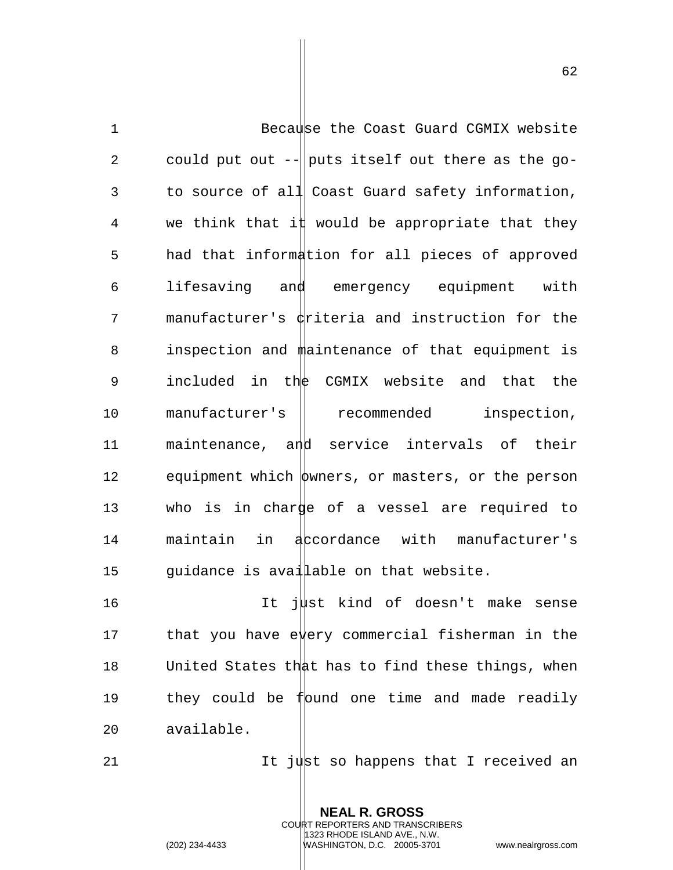1 Because the Coast Guard CGMIX website 2 could put out  $-$  puts itself out there as the go-3 to source of all Coast Guard safety information, 4 we think that it would be appropriate that they 5 had that information for all pieces of approved 6 lifesaving and emergency equipment with 7 manufacturer's criteria and instruction for the 8 inspection and maintenance of that equipment is 9 included in the CGMIX website and that the 10 manufacturer's || recommended inspection, 11 maintenance, and service intervals of their 12 equipment which  $\phi$ wners, or masters, or the person 13 who is in charge of a vessel are required to 14 maintain in accordance with manufacturer's 15 guidance is available on that website.

16 It just kind of doesn't make sense 17 that you have ewery commercial fisherman in the 18 United States that has to find these things, when 19 they could be found one time and made readily 20 available.

> **NEAL R. GROSS** COURT REPORTERS AND TRANSCRIBERS 1323 RHODE ISLAND AVE., N.W.

21  $21$  It just so happens that I received an

(202) 234-4433 WASHINGTON, D.C. 20005-3701 www.nealrgross.com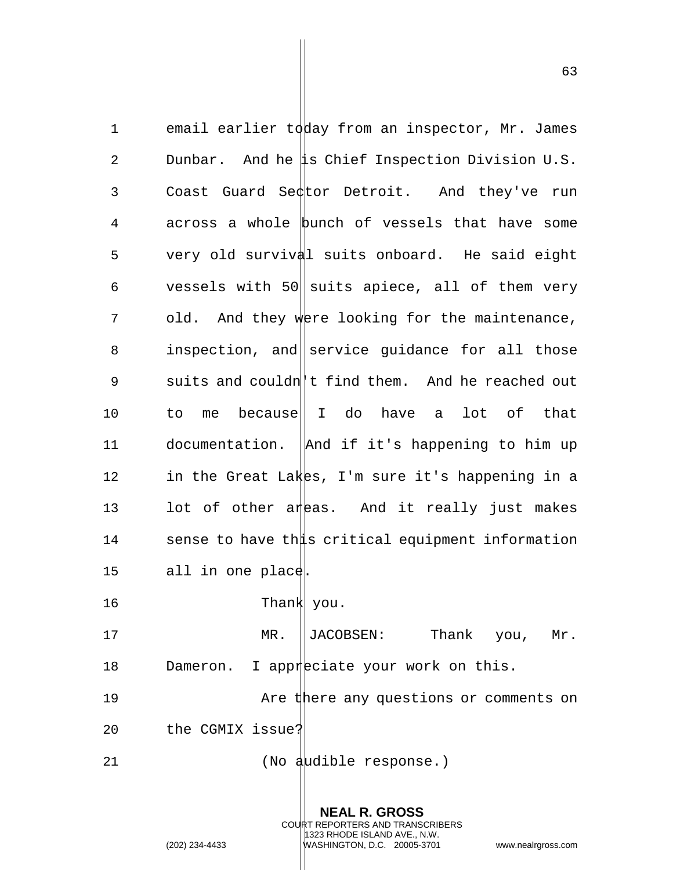1 email earlier today from an inspector, Mr. James 2 Dunbar. And he is Chief Inspection Division U.S. 3 Coast Guard Sector Detroit. And they've run 4 across a whole bunch of vessels that have some 5 very old survival suits onboard. He said eight 6 vessels with 50 suits apiece, all of them very 7 old. And they were looking for the maintenance, 8 inspection, and service guidance for all those 9 suits and couldn't find them. And he reached out 10 to me because|| I do have a lot of that 11 documentation.  $\Delta$  and if it's happening to him up 12 in the Great Lakes, I'm sure it's happening in a 13 lot of other areas. And it really just makes 14 sense to have this critical equipment information 15 all in one place. 16 Thank you. 17 MR. ||JACOBSEN: Thank you, Mr. 18 Dameron. I appreciate your work on this. 19 Are there any questions or comments on 20 the CGMIX issue?

21 (No audible response.)

**NEAL R. GROSS** COURT REPORTERS AND TRANSCRIBERS 1323 RHODE ISLAND AVE., N.W. (202) 234-4433 WASHINGTON, D.C. 20005-3701 www.nealrgross.com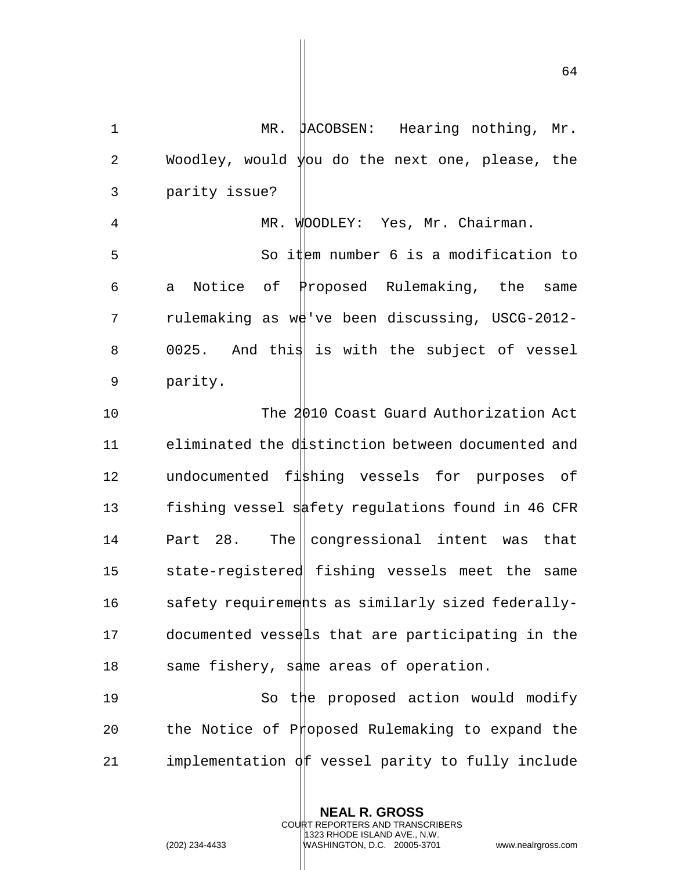1 MR. JACOBSEN: Hearing nothing, Mr. 2 Woodley, would you do the next one, please, the 3 parity issue? 4 MR. WOODLEY: Yes, Mr. Chairman. 5 So item number 6 is a modification to 6 a Notice of Proposed Rulemaking, the same 7 rulemaking as we've been discussing, USCG-2012-8 0025. And this is with the subject of vessel 9 parity. 10 The 2010 Coast Guard Authorization Act 11 eliminated the distinction between documented and 12 undocumented fishing vessels for purposes of 13 fishing vessel safety regulations found in 46 CFR 14 Part 28. The congressional intent was that 15 state-registered fishing vessels meet the same 16 safety requirements as similarly sized federally-17 documented vessels that are participating in the 18 same fishery, same areas of operation.

19 So the proposed action would modify 20 the Notice of Proposed Rulemaking to expand the 21 implementation  $\partial f$  vessel parity to fully include

> **NEAL R. GROSS** COURT REPORTERS AND TRANSCRIBERS 1323 RHODE ISLAND AVE., N.W.

(202) 234-4433 WASHINGTON, D.C. 20005-3701 www.nealrgross.com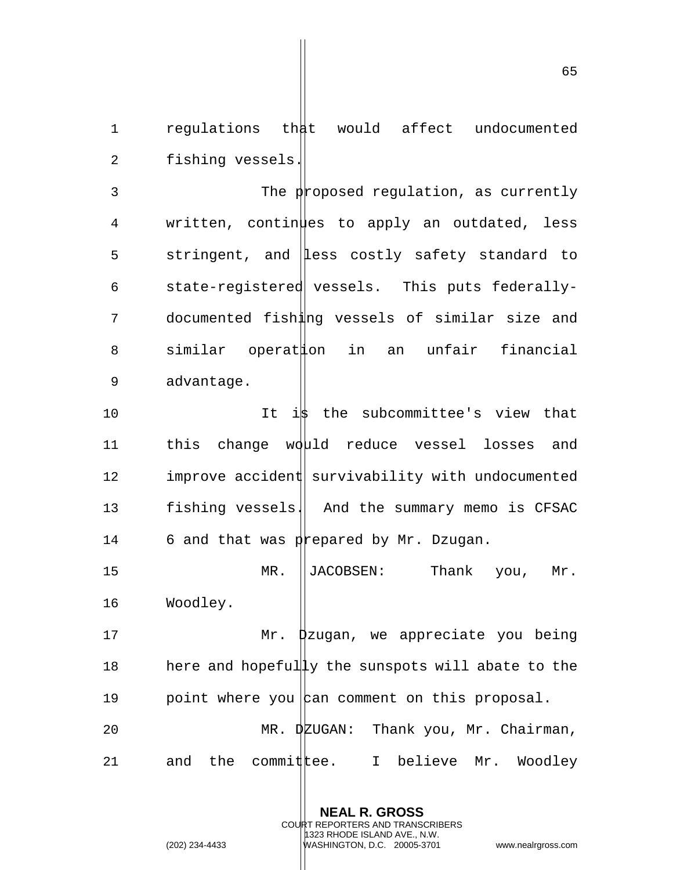1 regulations that would affect undocumented 2 fishing vessels.

3 The proposed regulation, as currently 4 written, continues to apply an outdated, less 5 stringent, and Less costly safety standard to 6 state-registered vessels. This puts federally-7 documented fishing vessels of similar size and 8 similar operation in an unfair financial 9 advantage.

10 10 It is the subcommittee's view that 11 this change would reduce vessel losses and 12 improve accident survivability with undocumented 13 fishing vessels. And the summary memo is CFSAC 14 6 and that was prepared by Mr. Dzugan.

15 MR. JACOBSEN: Thank you, Mr. 16 Woodley.

17 Mr. Dzugan, we appreciate you being 18 here and hopefully the sunspots will abate to the 19 both point where you can comment on this proposal. 20 MR. DEUGAN: Thank you, Mr. Chairman, 21 and the commit  $\ell$ ee. I believe Mr. Woodley

> **NEAL R. GROSS** COURT REPORTERS AND TRANSCRIBERS 1323 RHODE ISLAND AVE., N.W.

(202) 234-4433 WASHINGTON, D.C. 20005-3701 www.nealrgross.com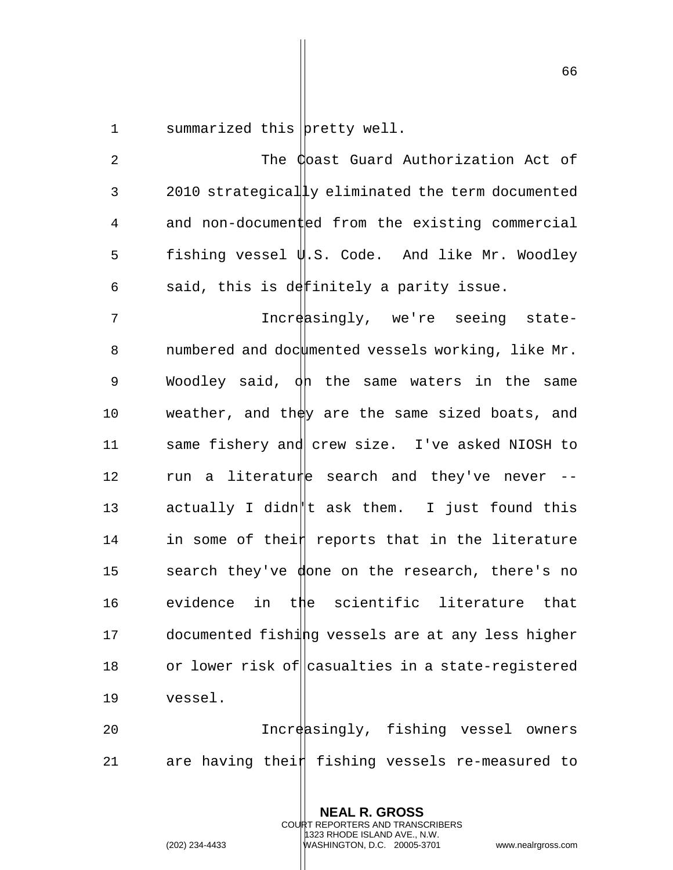1 summarized this pretty well.

2 The Coast Guard Authorization Act of 3 2010 strategically eliminated the term documented 4 and non-documented from the existing commercial 5 fishing vessel  $\psi$ .S. Code. And like Mr. Woodley 6 said, this is definitely a parity issue. 7 The Increasingly, we're seeing state-8 numbered and doc $\downarrow$  mented vessels working, like Mr. 9 Woodley said,  $\phi$ h the same waters in the same 10 weather, and they are the same sized boats, and 11 same fishery and crew size. I've asked NIOSH to 12  $r$ un a literature search and they've never  $-$ 13 actually I didn||t ask them. I just found this  $14$  in some of thei $\sharp$  reports that in the literature 15 search they've done on the research, there's no 16 evidence in the scientific literature that 17 documented fishing vessels are at any less higher 18 or lower risk of casualties in a state-reqistered 19 vessel. 20 **Increasingly, fishing vessel owners** 

21 are having thei $#$  fishing vessels re-measured to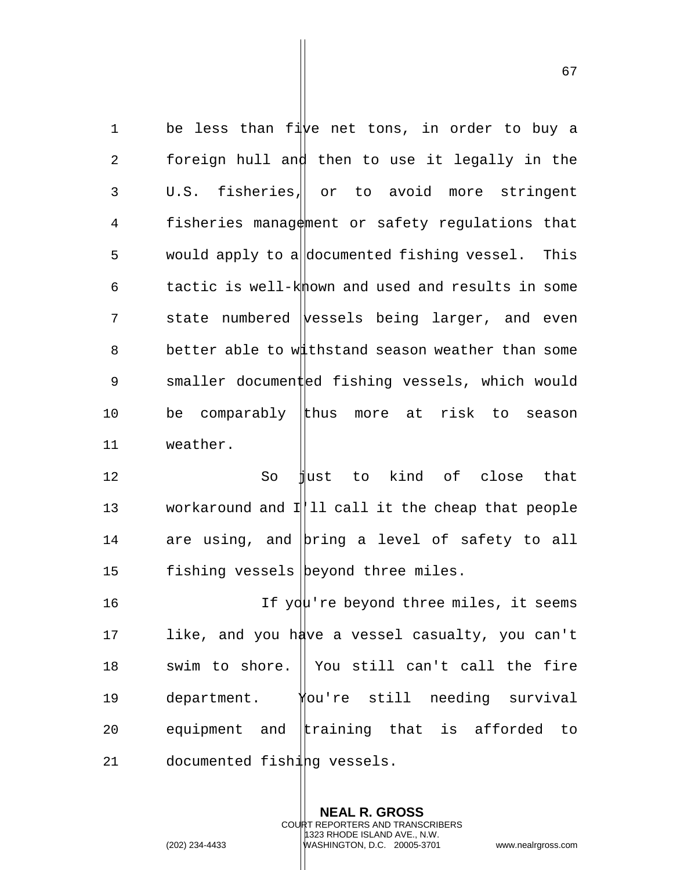1 be less than five net tons, in order to buy a 2 foreign hull and then to use it legally in the 3 U.S. fisheries, or to avoid more stringent 4 fisheries management or safety regulations that 5 would apply to a documented fishing vessel. This  $6$  tactic is well-k mown and used and results in some  $7$  state numbered vessels being larger, and even 8 better able to withstand season weather than some 9 smaller documented fishing vessels, which would 10 be comparably thus more at risk to season 11 weather. 12 So just to kind of close that 13 workaround and I||11 call it the cheap that people 14 are using, and bring a level of safety to all 15 fishing vessels beyond three miles. 16 16 If you're beyond three miles, it seems 17 like, and you have a vessel casualty, you can't 18 swim to shore. I You still can't call the fire

20 equipment and training that is afforded to 21 documented fishing vessels.

19 department. You're still needing survival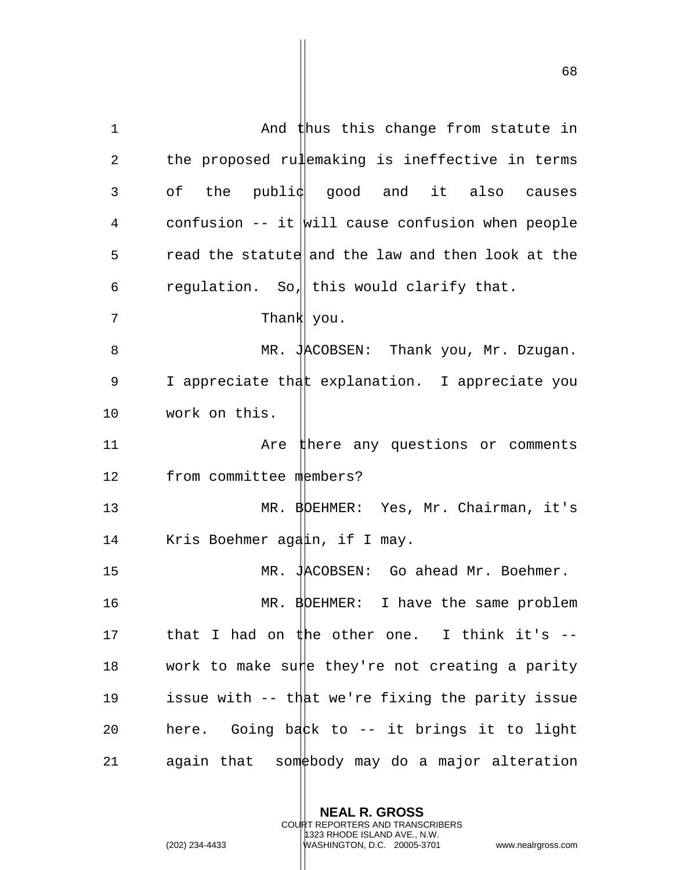1 and thus this change from statute in 2 the proposed rulemaking is ineffective in terms 3 of the publiq good and it also causes 4 confusion  $--$  it  $|$ will cause confusion when people 5 read the statute and the law and then look at the 6 regulation. So, this would clarify that. 7 Thank you. 8 MR. JACOBSEN: Thank you, Mr. Dzugan. 9 I appreciate that explanation. I appreciate you 10 work on this. 11 Are there any questions or comments 12 from committee members? 13 MR. BDEHMER: Yes, Mr. Chairman, it's 14 Kris Boehmer again, if I may. 15 MR. JACOBSEN: Go ahead Mr. Boehmer. 16 MR. BOEHMER: I have the same problem 17 that I had on  $#$ he other one. I think it's  $--$ 18 work to make sup they're not creating a parity 19 issue with -- that we're fixing the parity issue 20 here. Going back to -- it brings it to light 21 again that some body may do a major alteration

> **NEAL R. GROSS** COURT REPORTERS AND TRANSCRIBERS 1323 RHODE ISLAND AVE., N.W.

(202) 234-4433 WASHINGTON, D.C. 20005-3701 www.nealrgross.com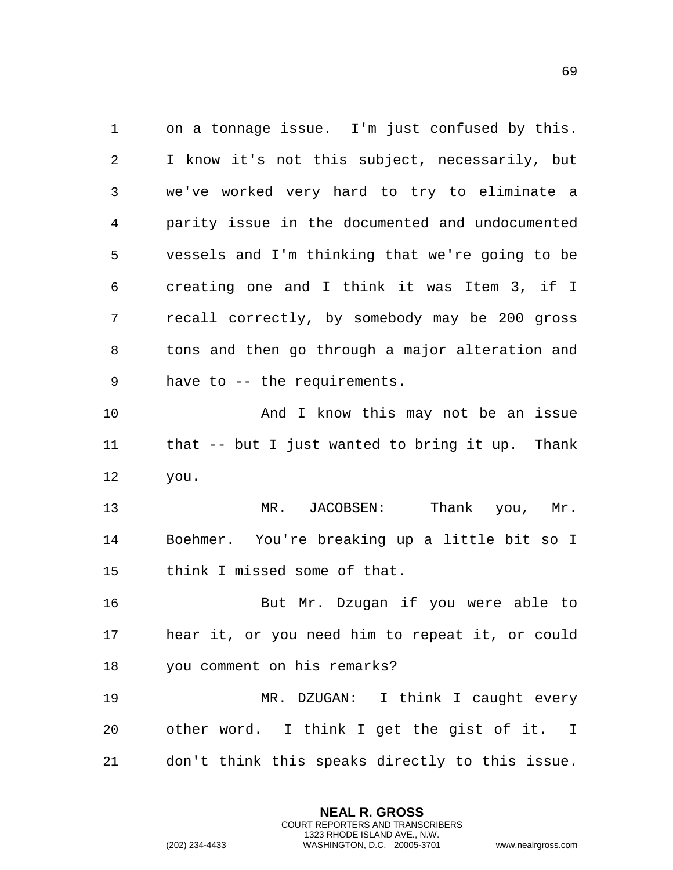1 on a tonnage is  $\frac{1}{n}$  is  $\frac{1}{n}$  in just confused by this. 2 I know it's not this subject, necessarily, but 3 we've worked very hard to try to eliminate a 4 parity issue in the documented and undocumented 5 vessels and I'm thinking that we're going to be 6 creating one and I think it was Item 3, if I 7 recall correctly, by somebody may be 200 gross 8 tons and then  $g\phi$  through a major alteration and 9 have to  $-$  the requirements. 10 And I know this may not be an issue 11 that  $-$  but I just wanted to bring it up. Thank 12 you. 13 MR. ||JACOBSEN: Thank you, Mr. 14 Boehmer. You're breaking up a little bit so I 15 think I missed  $s$ bme of that. 16 But Mr. Dzugan if you were able to 17 hear it, or you need him to repeat it, or could 18 you comment on his remarks? 19 MR. DZUGAN: I think I caught every 20 other word. I think I get the gist of it. I 21 don't think thi $\frac{1}{2}$  speaks directly to this issue.

**NEAL R. GROSS**

COURT REPORTERS AND TRANSCRIBERS 1323 RHODE ISLAND AVE., N.W.

(202) 234-4433 WASHINGTON, D.C. 20005-3701 www.nealrgross.com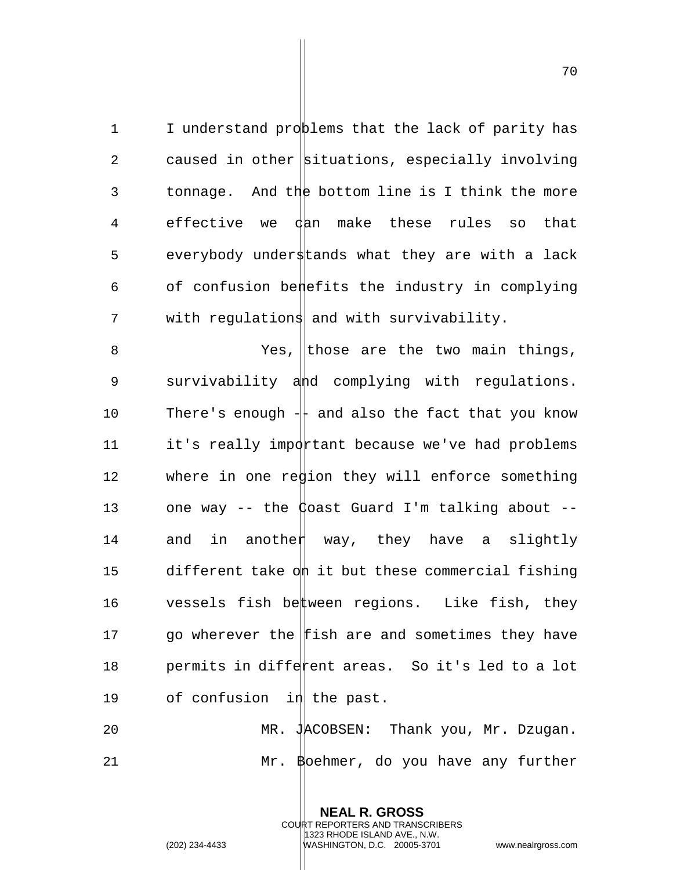1 I understand problems that the lack of parity has 2 caused in other situations, especially involving 3 tonnage. And the bottom line is I think the more 4 effective we dan make these rules so that 5 everybody understands what they are with a lack 6 of confusion benefits the industry in complying 7 with regulations and with survivability.

8 Yes, those are the two main things, 9 survivability and complying with regulations. 10 There's enough  $+\overline{ }$  and also the fact that you know  $11$  it's really important because we've had problems 12 where in one region they will enforce something 13 one way -- the  $\phi$  oast Guard I'm talking about --14 and in another way, they have a slightly 15 different take om it but these commercial fishing 16  $\qquad$  vessels fish be $\sharp$ ween regions. Like fish, they 17 go wherever the fish are and sometimes they have 18 permits in different areas. So it's led to a lot 19 of confusion  $\left| \text{1} \right|$  the past.

20 MR. JACOBSEN: Thank you, Mr. Dzugan. 21 Mr. Boehmer, do you have any further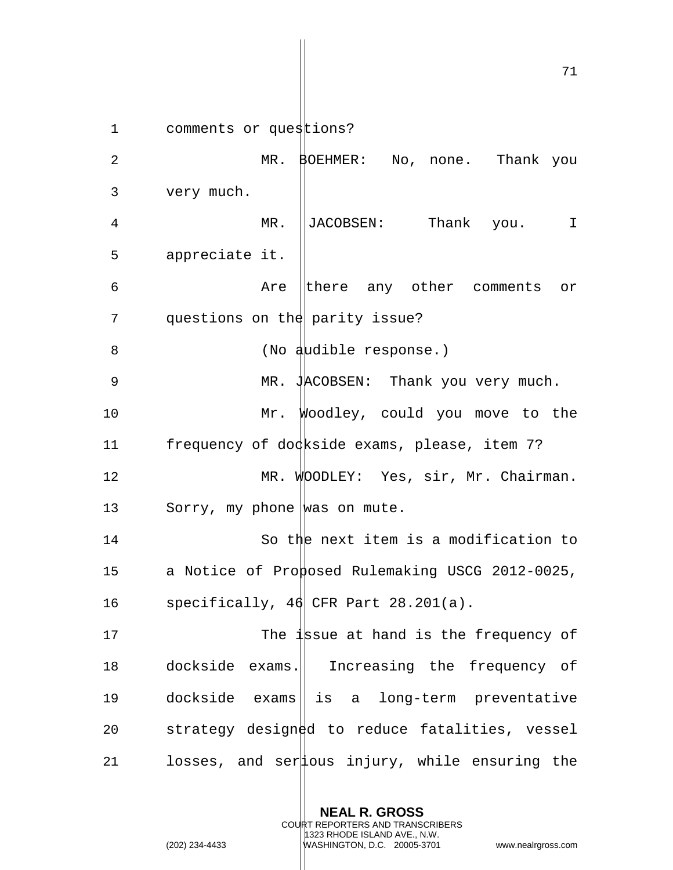1 comments or questions? 2 MR. BOEHMER: No, none. Thank you 3 very much. 4 MR. JACOBSEN: Thank you. I 5 appreciate it. 6 Are there any other comments or 7 questions on the parity issue? 8 (No audible response.) 9 MR. JACOBSEN: Thank you very much. 10 Mr. Woodley, could you move to the 11 frequency of dockside exams, please, item 7? 12 MR. WOODLEY: Yes, sir, Mr. Chairman. 13 Sorry, my phone was on mute. 14 So the next item is a modification to 15 a Notice of Proposed Rulemaking USCG 2012-0025, 16 specifically, 46 CFR Part 28.201(a). 17 The issue at hand is the frequency of 18 dockside exams. Increasing the frequency of 19 dockside exams|| is a long-term preventative 20 strategy designed to reduce fatalities, vessel 21 losses, and ser  $\frac{1}{2}$  ous injury, while ensuring the

> **NEAL R. GROSS** COURT REPORTERS AND TRANSCRIBERS 1323 RHODE ISLAND AVE., N.W.

(202) 234-4433 WASHINGTON, D.C. 20005-3701 www.nealrgross.com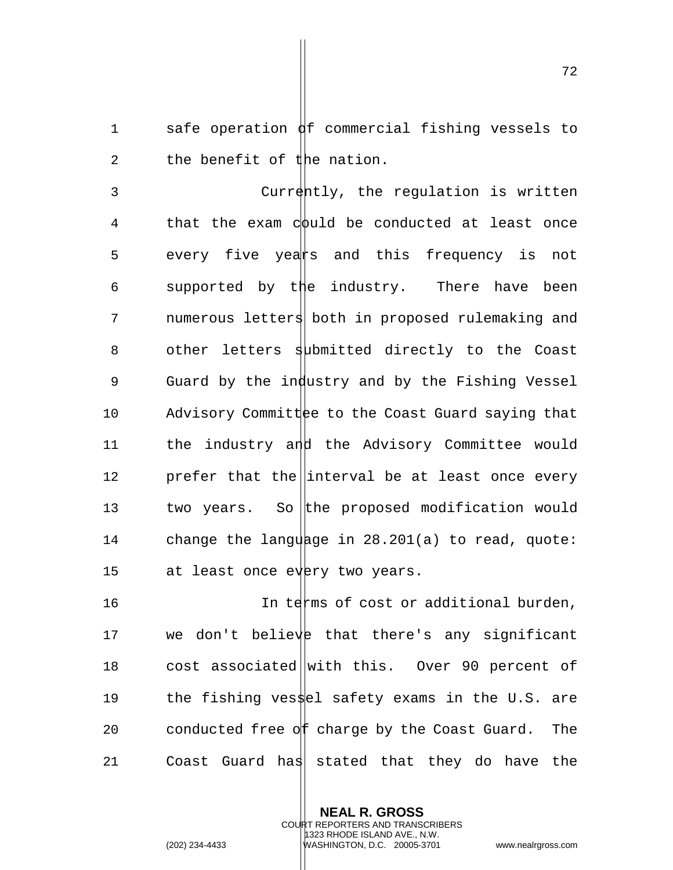1 safe operation  $\frac{d}{dx}$  commercial fishing vessels to 2 the benefit of the nation.

3 Currently, the regulation is written 4 that the exam could be conducted at least once 5 every five years and this frequency is not 6 supported by the industry. There have been 7 numerous letters both in proposed rulemaking and 8 other letters submitted directly to the Coast 9 Guard by the industry and by the Fishing Vessel 10 Advisory Committee to the Coast Guard saying that 11 the industry and the Advisory Committee would 12 prefer that the interval be at least once every 13 two years. So the proposed modification would 14 change the language in  $28.201(a)$  to read, quote: 15 at least once every two years.

16 16 In terms of cost or additional burden, 17 we don't believe that there's any significant 18 cost associated with this. Over 90 percent of 19 the fishing ves\$el safety exams in the U.S. are 20 conducted free of charge by the Coast Guard. The 21 Coast Guard has stated that they do have the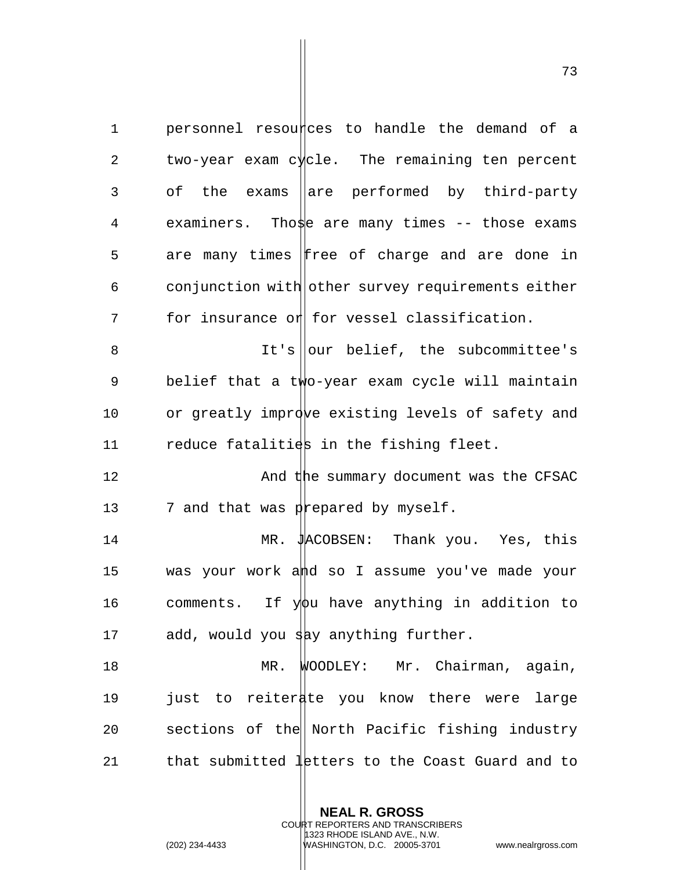$1$  personnel resources to handle the demand of a 2 two-year exam c $\sqrt{x}$ cle. The remaining ten percent 3 of the exams aare performed by third-party 4 examiners. Those are many times -- those exams 5 are many times Free of charge and are done in  $6$  conjunction with other survey requirements either  $7$  for insurance or for vessel classification. 8 It's our belief, the subcommittee's 9 belief that a two-year exam cycle will maintain 10 or greatly improve existing levels of safety and 11 reduce fatalities in the fishing fleet. 12 **And the summary document was the CFSAC** 13  $\blacksquare$  7 and that was prepared by myself. 14 MR. JACOBSEN: Thank you. Yes, this 15 was your work and so I assume you've made your 16 comments. If  $y\phi u$  have anything in addition to 17 add, would you say anything further. 18 MR. WOODLEY: Mr. Chairman, again, 19 just to reiterate you know there were large 20 sections of the North Pacific fishing industry 21 that submitted  $\frac{1}{1}$ etters to the Coast Guard and to

> **NEAL R. GROSS** COURT REPORTERS AND TRANSCRIBERS 1323 RHODE ISLAND AVE., N.W.

(202) 234-4433 WASHINGTON, D.C. 20005-3701 www.nealrgross.com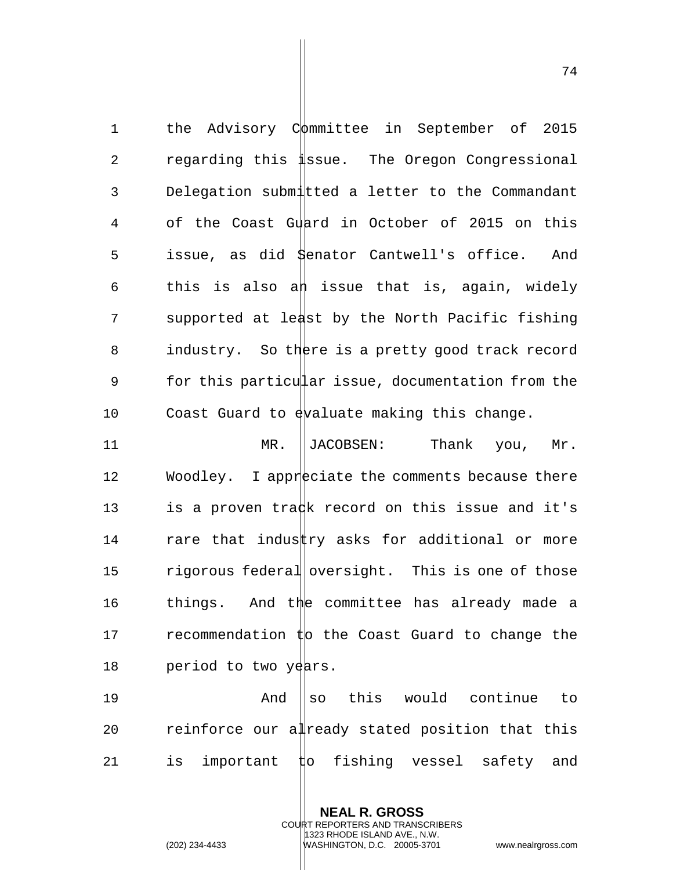1 the Advisory Committee in September of 2015 2 regarding this issue. The Oregon Congressional 3 Delegation submitted a letter to the Commandant 4 of the Coast Guard in October of 2015 on this 5 issue, as did Senator Cantwell's office. And 6 this is also an issue that is, again, widely 7 supported at least by the North Pacific fishing 8 industry. So there is a pretty good track record 9 for this particular issue, documentation from the 10 Coast Guard to  $\frac{1}{2}$  evaluate making this change. 11 MR. ||JACOBSEN: Thank you, Mr.

12 Woodley. I appreciate the comments because there 13 is a proven tradk record on this issue and it's 14  $r$  rare that industty asks for additional or more 15 rigorous federal oversight. This is one of those 16 things. And the committee has already made a 17  $r$  recommendation  $\sharp$ b the Coast Guard to change the 18 period to two years.

19 The And Section Music would continue to 20 reinforce our already stated position that this 21 is important  $t$  is fishing vessel safety and

> **NEAL R. GROSS** COURT REPORTERS AND TRANSCRIBERS 1323 RHODE ISLAND AVE., N.W.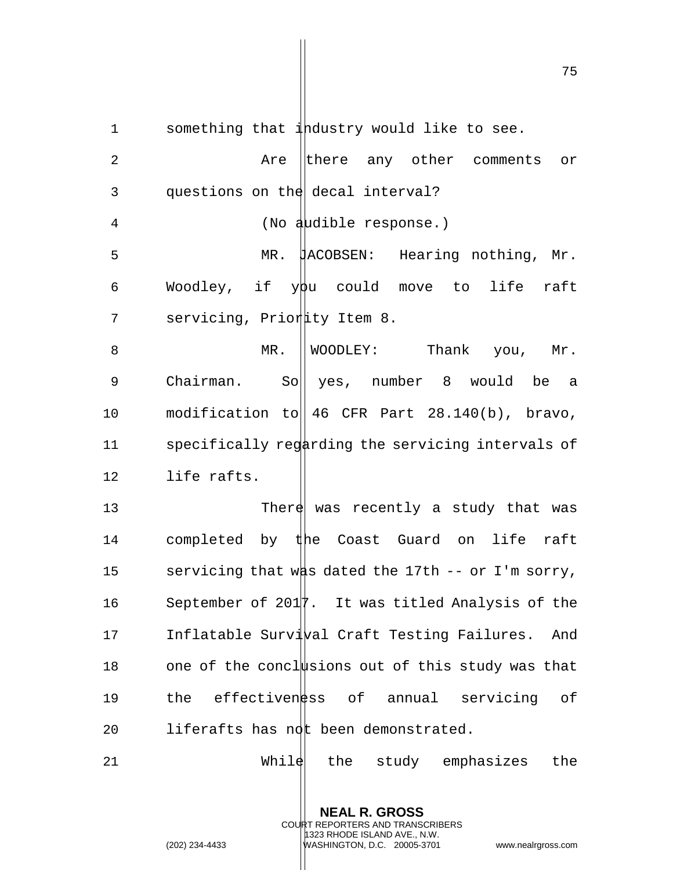1 something that industry would like to see.

2 Are there any other comments or 3 questions on the decal interval? 4 (No audible response.) 5 MR. JACOBSEN: Hearing nothing, Mr. 6 Woodley, if  $y\beta u$  could move to life raft 7 servicing, Priority Item 8. 8 MR. WOODLEY: Thank you, Mr. 9 Chairman. So|| yes, number 8 would be a 10 modification to 46 CFR Part 28.140(b), bravo, 11 specifically regarding the servicing intervals of 12 life rafts. 13 There was recently a study that was 14 completed by the Coast Guard on life raft 15 servicing that was dated the 17th  $-$ - or I'm sorry, 16 September of 2017. It was titled Analysis of the 17 Inflatable Survi*val* Craft Testing Failures. And 18 one of the conclusions out of this study was that 19 the effectiven as of annual servicing of 20 liferafts has not been demonstrated.  $21$  While the study emphasizes the

> **NEAL R. GROSS** COURT REPORTERS AND TRANSCRIBERS 1323 RHODE ISLAND AVE., N.W.

(202) 234-4433 WASHINGTON, D.C. 20005-3701 www.nealrgross.com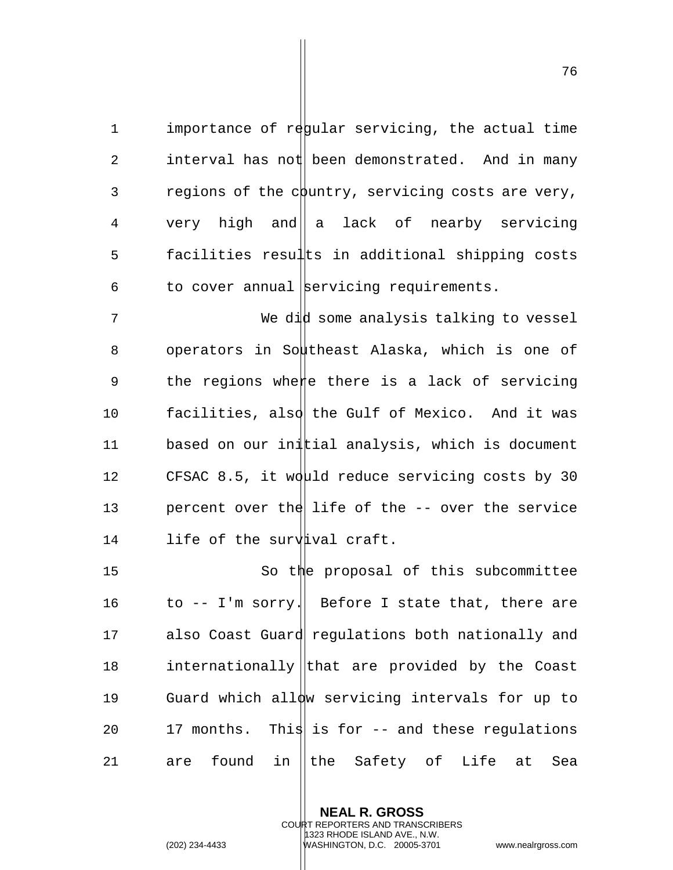1 importance of regular servicing, the actual time 2 interval has not been demonstrated. And in many  $3$  regions of the country, servicing costs are very, 4 very high and  $|a|$  lack of nearby servicing 5 facilities results in additional shipping costs  $6$  to cover annual servicing requirements.

7 We did some analysis talking to vessel 8 operators in Southeast Alaska, which is one of 9 the regions where there is a lack of servicing 10 facilities, also the Gulf of Mexico. And it was 11 based on our initial analysis, which is document 12 CFSAC 8.5, it would reduce servicing costs by 30 13 percent over the life of the  $-$  over the service 14 life of the surv ival craft.

15 So the proposal of this subcommittee 16 to  $-$  I'm sorry. Before I state that, there are 17 also Coast Guard requlations both nationally and 18 internationally that are provided by the Coast 19 Guard which allow servicing intervals for up to 20 17 months. This is for  $-$  and these regulations 21 are found in the Safety of Life at Sea

> **NEAL R. GROSS** COURT REPORTERS AND TRANSCRIBERS 1323 RHODE ISLAND AVE., N.W.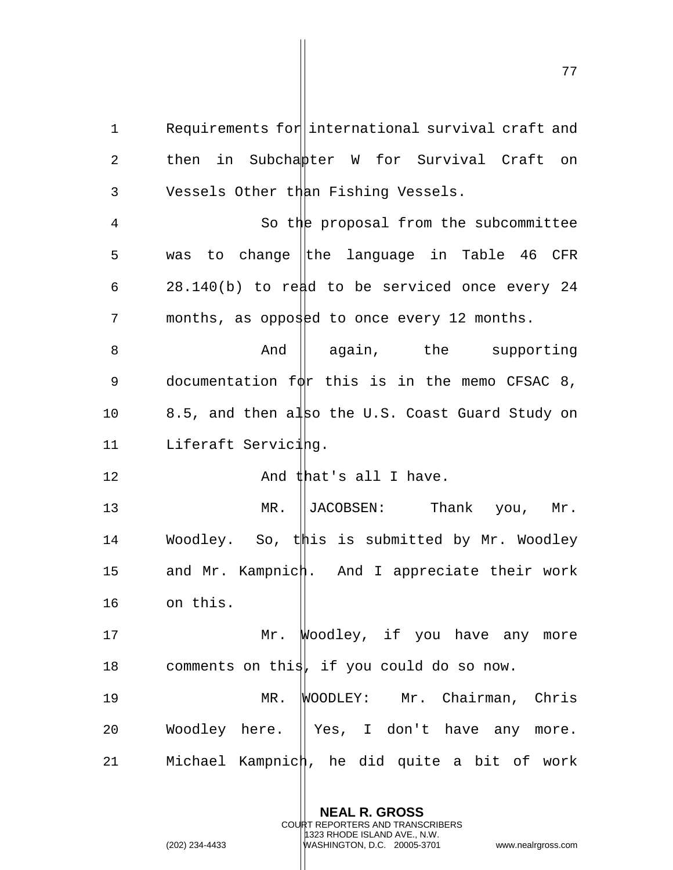1 Requirements for international survival craft and 2 then in Subchapter W for Survival Craft on 3 Vessels Other than Fishing Vessels.

4 So the proposal from the subcommittee 5 was to change the language in Table 46 CFR 6  $28.140(b)$  to read to be serviced once every 24 7 months, as opposed to once every 12 months.

8 And aqain, the supporting 9 documentation  $f\phi$ r this is in the memo CFSAC 8, 10 8.5, and then also the U.S. Coast Guard Study on 11 Liferaft Servicing.

12 And that's all I have.

13 MR. ||JACOBSEN: Thank you, Mr. 14 Woodley. So, this is submitted by Mr. Woodley 15 and Mr. Kampnich. And I appreciate their work 16 on this.

17 Mr. Woodley, if you have any more 18 comments on this, if you could do so now.

19 MR. WOODLEY: Mr. Chairman, Chris 20 Woodley here. || Yes, I don't have any more. 21 Michael Kampnich, he did quite a bit of work

> **NEAL R. GROSS** COURT REPORTERS AND TRANSCRIBERS 1323 RHODE ISLAND AVE., N.W.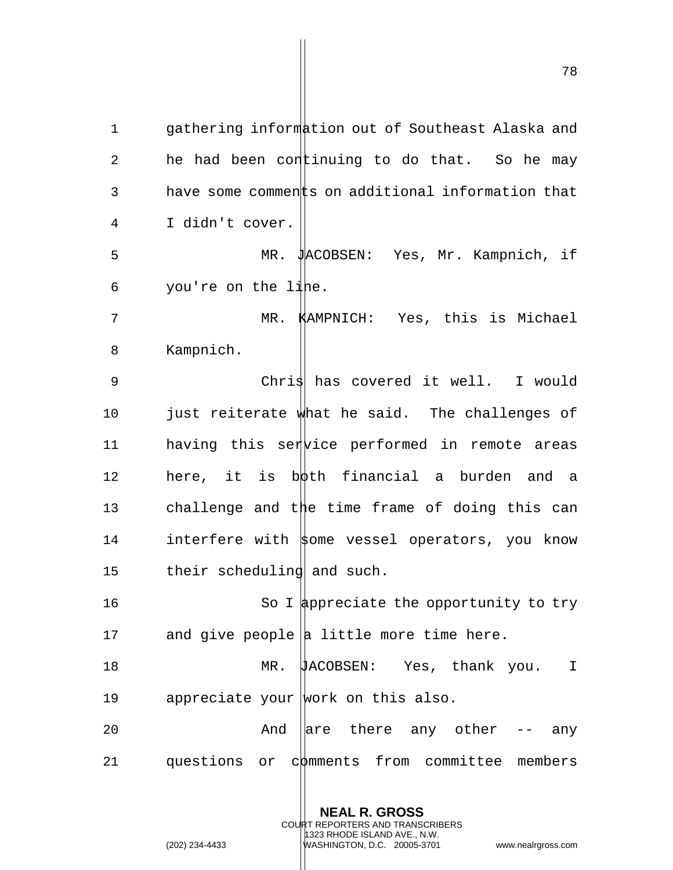1 gathering information out of Southeast Alaska and 2 he had been continuing to do that. So he may  $3$  have some comments on additional information that 4 I didn't cover. 5 MR. JACOBSEN: Yes, Mr. Kampnich, if  $6$  you're on the line. 7 MR. KAMPNICH: Yes, this is Michael 8 Kampnich. 9 Chris covered it well. I would 10 just reiterate what he said. The challenges of 11 having this ser ice performed in remote areas 12 here, it is both financial a burden and a 13 challenge and the time frame of doing this can 14 interfere with  $\frac{1}{2}$  vessel operators, you know 15 their scheduling and such. 16 So I appreciate the opportunity to try 17 and give people  $|a|$  little more time here. 18 MR. JACOBSEN: Yes, thank you. I 19 appreciate your work on this also. 20  $\blacksquare$  And  $\blacksquare$  are there any other -- any

21 questions or comments from committee members

**NEAL R. GROSS** COURT REPORTERS AND TRANSCRIBERS

1323 RHODE ISLAND AVE., N.W.

(202) 234-4433 WASHINGTON, D.C. 20005-3701 www.nealrgross.com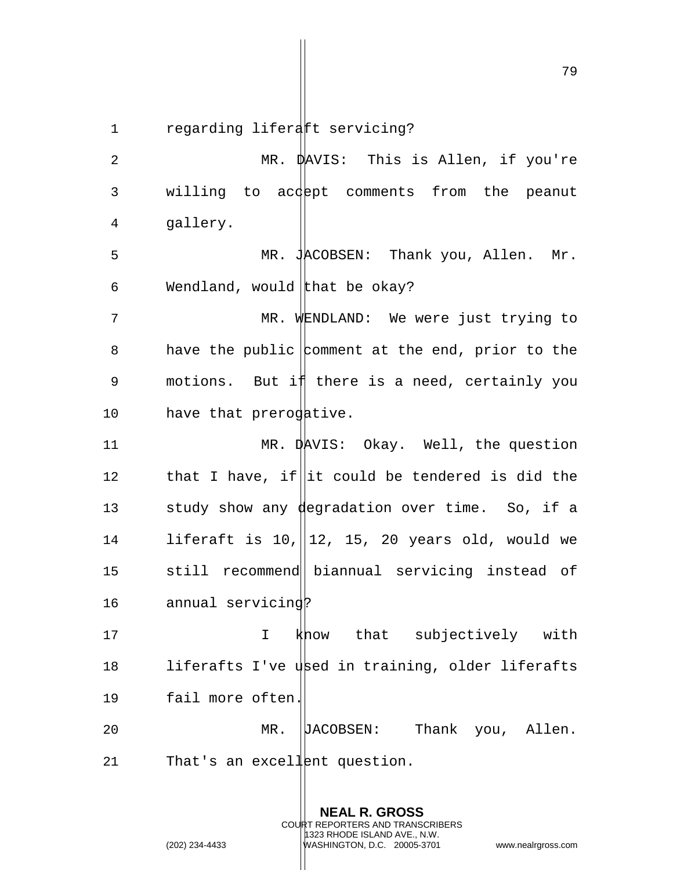1 regarding liferatt servicing?

2 MR. DAVIS: This is Allen, if you're 3 willing to acdept comments from the peanut 4 gallery. 5 MR. JACOBSEN: Thank you, Allen. Mr. 6 Wendland, would that be okay? 7 MR. WENDLAND: We were just trying to 8 have the public comment at the end, prior to the 9 motions. But if there is a need, certainly you 10 have that prerogative. 11 MR. DAVIS: Okay. Well, the question 12 that I have, if it could be tendered is did the 13 study show any degradation over time. So, if a 14 liferaft is 10, 12, 15, 20 years old, would we 15 still recommend|| biannual servicing instead of 16 annual servicing? 17 I know that subjectively with 18 liferafts I've used in training, older liferafts 19 fail more often. 20 MR. JACOBSEN: Thank you, Allen. 21 That's an excellent question.

> **NEAL R. GROSS** COURT REPORTERS AND TRANSCRIBERS 1323 RHODE ISLAND AVE., N.W. (202) 234-4433 WASHINGTON, D.C. 20005-3701 www.nealrgross.com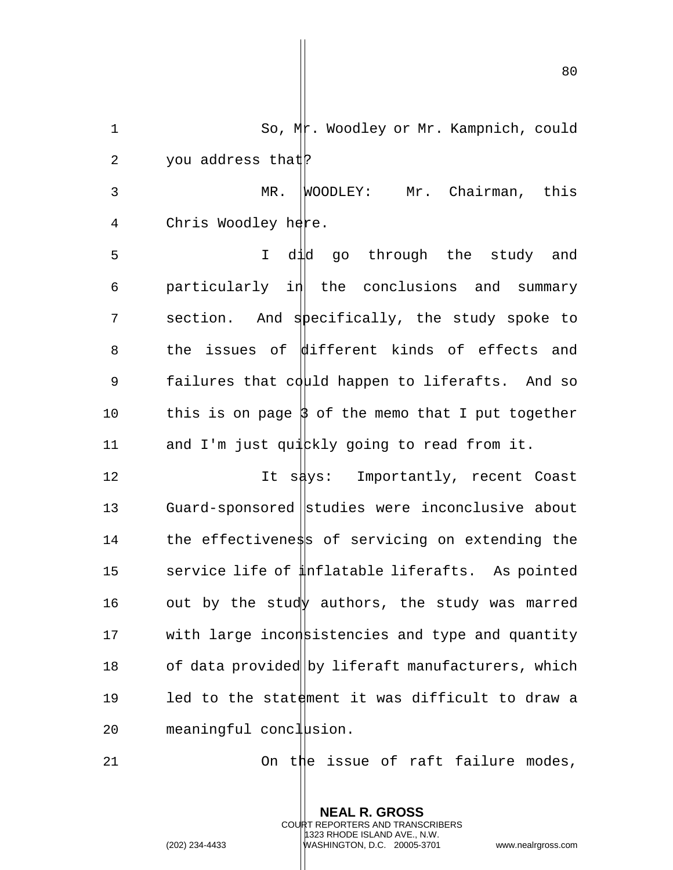80

2 you address that: 3 MR. WOODLEY: Mr. Chairman, this 4 Chris Woodley here. 5 I did go through the study and  $6$  particularly in the conclusions and summary 7 section. And specifically, the study spoke to 8 the issues of different kinds of effects and 9 failures that could happen to liferafts. And so 10 this is on page  $\beta$  of the memo that I put together 11 and I'm just quickly going to read from it. 12 12 It says: Importantly, recent Coast 13 Guard-sponsored studies were inconclusive about 14 the effectiveness of servicing on extending the 15 service life of  $\sharp$ nflatable liferafts. As pointed

1 So, Mr. Woodley or Mr. Kampnich, could

16 out by the study authors, the study was marred 17 with large inconstistencies and type and quantity 18 of data provided by liferaft manufacturers, which 19 led to the statement it was difficult to draw a  $20$  meaningful conclusion.

21 On the issue of raft failure modes,

**NEAL R. GROSS** COURT REPORTERS AND TRANSCRIBERS 1323 RHODE ISLAND AVE., N.W.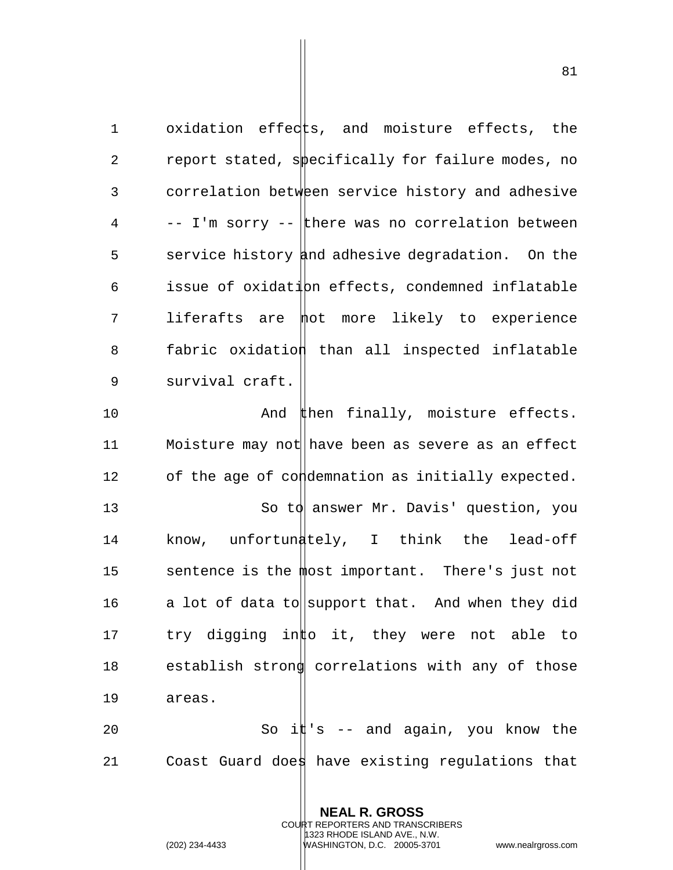1 oxidation effects, and moisture effects, the 2 report stated, specifically for failure modes, no 3 correlation between service history and adhesive  $4 \rightarrow -I$ 'm sorry  $-$  there was no correlation between 5 service history and adhesive degradation. On the 6 issue of oxidation effects, condemned inflatable 7 liferafts are mot more likely to experience 8 fabric oxidation than all inspected inflatable 9 survival craft.

10 And then finally, moisture effects. 11 Moisture may not have been as severe as an effect 12 of the age of condemnation as initially expected. 13 So to answer Mr. Davis' question, you 14 know, unfortunately, I think the lead-off 15 sentence is the most important. There's just not 16 a lot of data to support that. And when they did 17 try digging into it, they were not able to 18 establish strong correlations with any of those 19 areas. 20 So i $\sharp$ 's -- and again, you know the

21 Coast Guard does have existing regulations that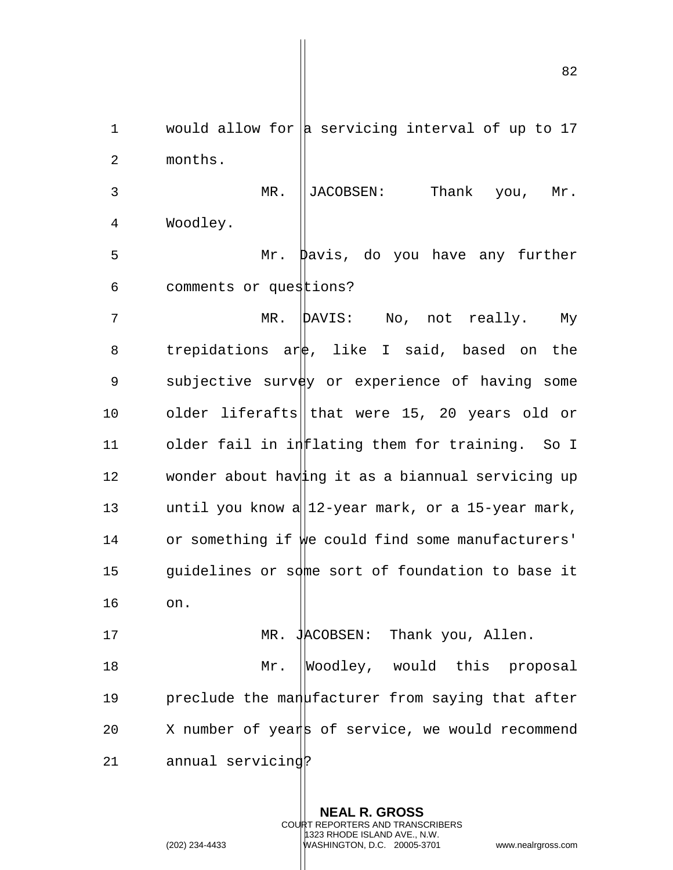1 would allow for  $\vert$  servicing interval of up to 17 2 months. MR. JACOBSEN: Thank you, Mr. Woodley. Mr. Davis, do you have any further comments or questions?

7 MR. DAVIS: No, not really. My 8 trepidations are, like I said, based on the 9 subjective survey or experience of having some 10 older liferafts that were 15, 20 years old or 11 older fail in inflating them for training. So I 12 wonder about having it as a biannual servicing up 13 until you know a  $||12 - \text{year} \text{ mark}, \text{ or a 15-year} \text{ mark},$ 14 or something if we could find some manufacturers' 15 guidelines or some sort of foundation to base it

17 MR. JACOBSEN: Thank you, Allen. 18 Mr. Woodley, would this proposal 19 preclude the manufacturer from saying that after 20  $\,$  X number of years of service, we would recommend 21 annual servicing?

> **NEAL R. GROSS** COURT REPORTERS AND TRANSCRIBERS 1323 RHODE ISLAND AVE., N.W.

16 on.

(202) 234-4433 WASHINGTON, D.C. 20005-3701 www.nealrgross.com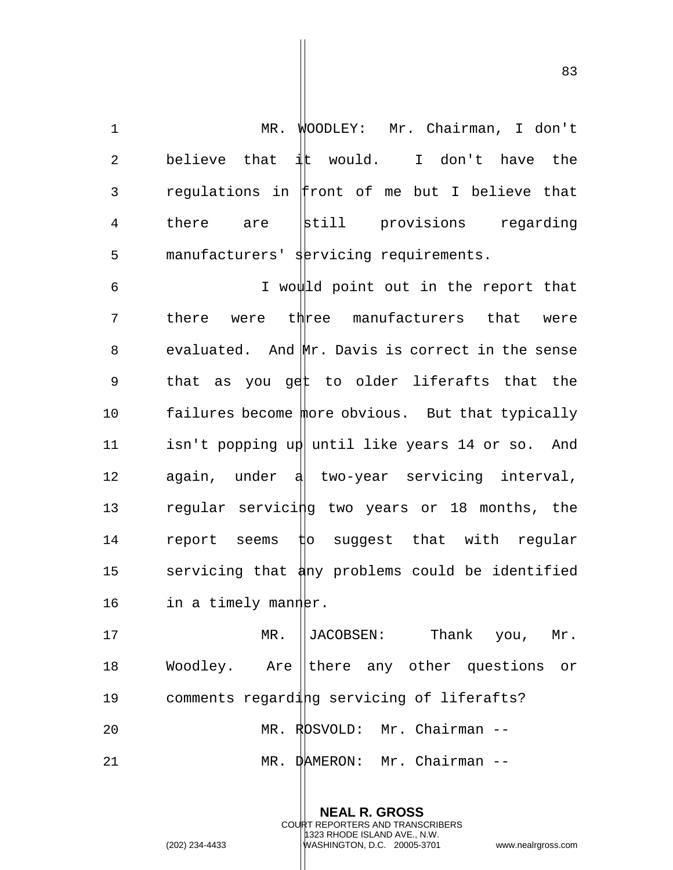1 MR. WOODLEY: Mr. Chairman, I don't 2 believe that  $\pm \mathbf{v}$  would. I don't have the 3 regulations in front of me but I believe that 4 there are still provisions regarding 5 manufacturers' servicing requirements.

6 I would point out in the report that 7 there were three manufacturers that were 8 evaluated. And Mr. Davis is correct in the sense 9 that as you get to older liferafts that the 10 failures become more obvious. But that typically 11 isn't popping up until like years 14 or so. And 12 again, under a two-year servicing interval, 13 regular servicing two years or 18 months, the 14 report seems  $t$  po suggest that with regular 15 servicing that any problems could be identified 16 in a timely manner.

17 MR. ||JACOBSEN: Thank you, Mr. 18 Woodley. Are lthere any other questions or 19 comments regarding servicing of liferafts? 20 MR. ROSVOLD: Mr. Chairman -- 21 MR. DAMERON: Mr. Chairman --

> **NEAL R. GROSS** COURT REPORTERS AND TRANSCRIBERS 1323 RHODE ISLAND AVE., N.W. (202) 234-4433 WASHINGTON, D.C. 20005-3701 www.nealrgross.com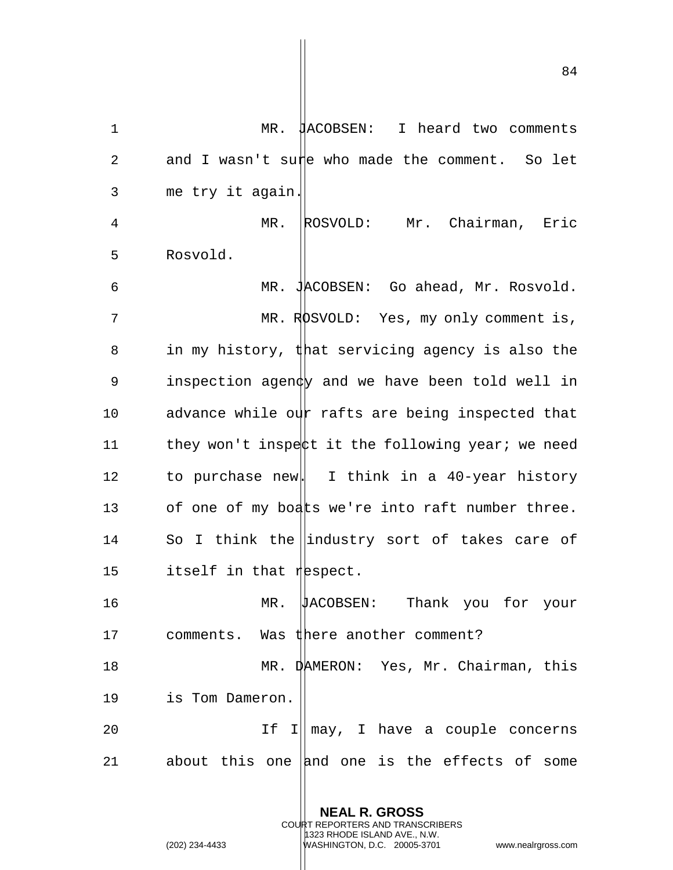1 MR. JACOBSEN: I heard two comments 2 and I wasn't sure who made the comment. So let 3 me try it again.

4 MR. ROSVOLD: Mr. Chairman, Eric 5 Rosvold.

6 MR. JACOBSEN: Go ahead, Mr. Rosvold. 7 MR. ROSVOLD: Yes, my only comment is, 8 in my history, that servicing agency is also the 9 inspection agen $\natural$  and we have been told well in 10 advance while our rafts are being inspected that 11 they won't inspect it the following year; we need 12 to purchase new. I think in a 40-year history 13 of one of my boats we're into raft number three. 14 So I think the lindustry sort of takes care of 15 itself in that  $r$  is pect.

16 MR. JACOBSEN: Thank you for your 17 comments. Was there another comment?

18 MR. DAMERON: Yes, Mr. Chairman, this 19 is Tom Dameron.

20 1f I|| may, I have a couple concerns 21 about this one and one is the effects of some

> **NEAL R. GROSS** COURT REPORTERS AND TRANSCRIBERS 1323 RHODE ISLAND AVE., N.W.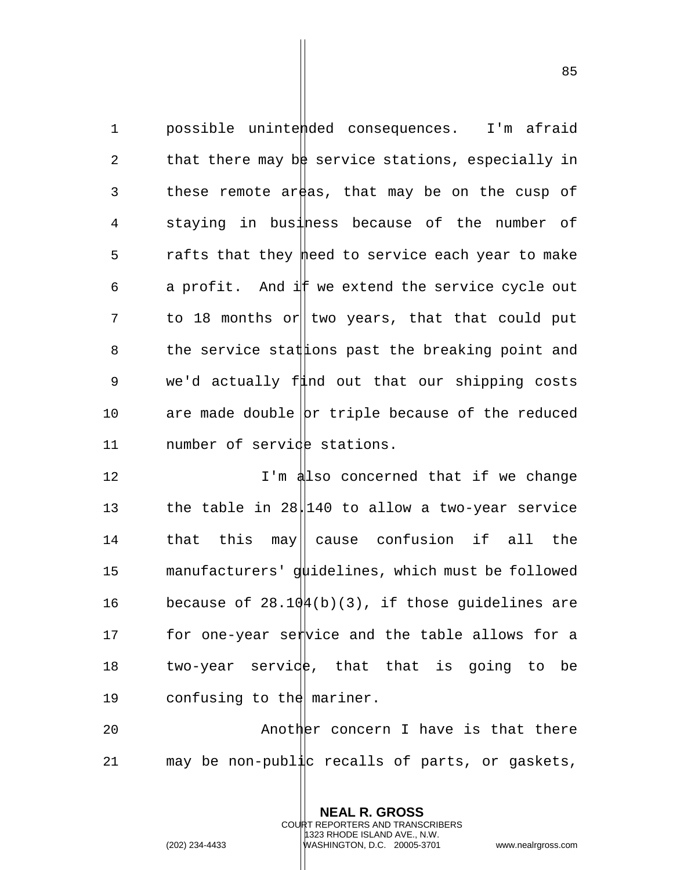1 possible unintended consequences. I'm afraid 2 that there may be service stations, especially in 3 these remote areas, that may be on the cusp of 4 staying in business because of the number of 5 rafts that they meed to service each year to make 6 a profit. And if we extend the service cycle out  $7$  to 18 months or two years, that that could put 8 the service stat the breaking point and 9 we'd actually find out that our shipping costs 10 are made double  $|{\rm br}|$  triple because of the reduced 11 number of service stations.

12 **I'm also concerned that if we change** 13 the table in 28.140 to allow a two-year service 14 that this may|| cause confusion if all the 15 manufacturers' guidelines, which must be followed 16 because of  $28.10\frac{\mu}{b}(b)(3)$ , if those quidelines are 17 for one-year service and the table allows for a 18 two-year servide, that that is going to be 19 confusing to the mariner.

20 Another concern I have is that there 21 may be non-public recalls of parts, or gaskets,

> **NEAL R. GROSS** COURT REPORTERS AND TRANSCRIBERS 1323 RHODE ISLAND AVE., N.W.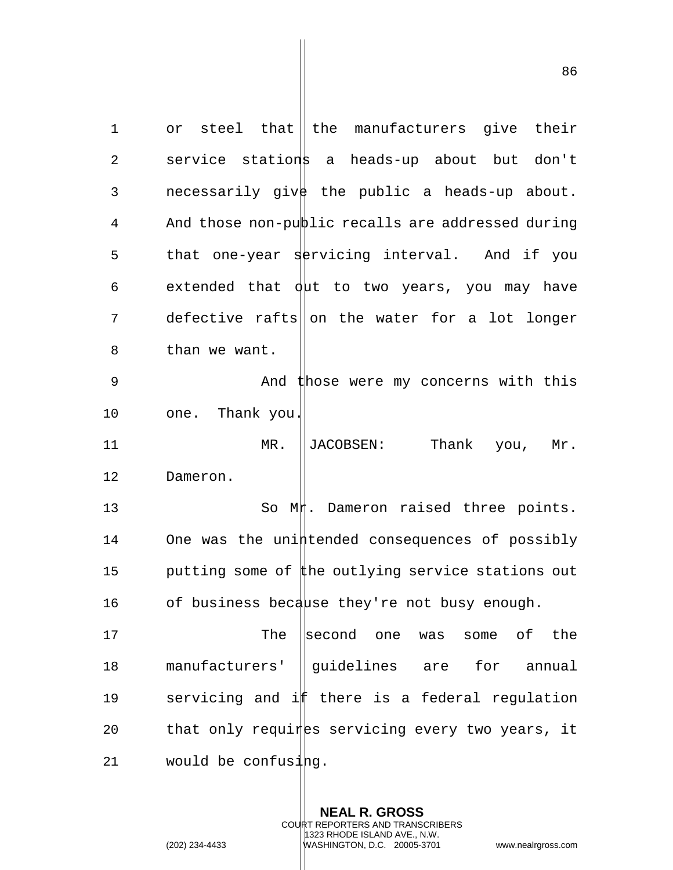1 or steel that the manufacturers give their 2 service stations a heads-up about but don't 3 necessarily give the public a heads-up about. 4 And those non-public recalls are addressed during 5 that one-year servicing interval. And if you 6 extended that  $\frac{1}{4}$  to two years, you may have  $7$  defective rafts on the water for a lot longer 8 than we want. 9 And those were my concerns with this 10 one. Thank you. 11 MR. ||JACOBSEN: Thank you, Mr. 12 Dameron. 13 So Mt. Dameron raised three points. 14 One was the unintended consequences of possibly 15 butting some of the outlying service stations out 16 of business because they're not busy enough. 17 The second one was some of the 18 manufacturers' ||quidelines are for annual 19 servicing and if there is a federal regulation  $20$  that only requines servicing every two years, it 21 would be confusing.

> **NEAL R. GROSS** COURT REPORTERS AND TRANSCRIBERS 1323 RHODE ISLAND AVE., N.W.

(202) 234-4433 WASHINGTON, D.C. 20005-3701 www.nealrgross.com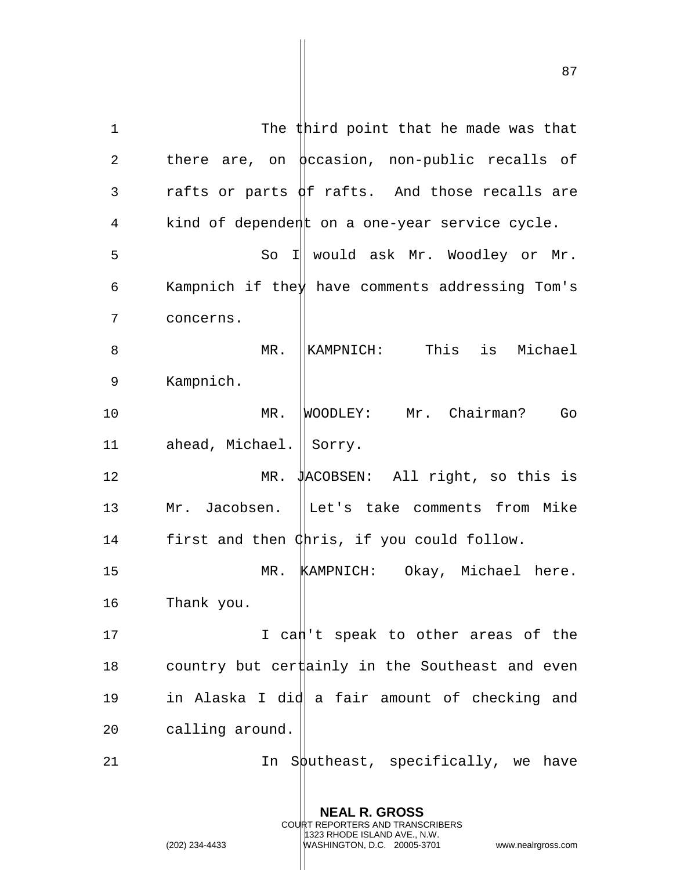1 The third point that he made was that 2 there are, on  $\beta$  ccasion, non-public recalls of 3 rafts or parts  $\oint$  rafts. And those recalls are 4 kind of dependent on a one-year service cycle. 5 So I would ask Mr. Woodley or Mr. 6 Kampnich if the  $\frac{1}{2}$  have comments addressing Tom's 7 concerns. 8 MR. KAMPNICH: This is Michael 9 Kampnich. 10 MR. WOODLEY: Mr. Chairman? Go 11 ahead, Michael. Sorry. 12 MR. JACOBSEN: All right, so this is 13 Mr. Jacobsen. |Let's take comments from Mike 14 first and then Chris, if you could follow. 15 MR. KAMPNICH: Okay, Michael here. 16 Thank you. 17 I can't speak to other areas of the 18 country but cer $\sharp$ ainly in the Southeast and even 19 in Alaska I did a fair amount of checking and 20 calling around. 21  $\ln$  Sputheast, specifically, we have

> **NEAL R. GROSS** COURT REPORTERS AND TRANSCRIBERS 1323 RHODE ISLAND AVE., N.W.

(202) 234-4433 WASHINGTON, D.C. 20005-3701 www.nealrgross.com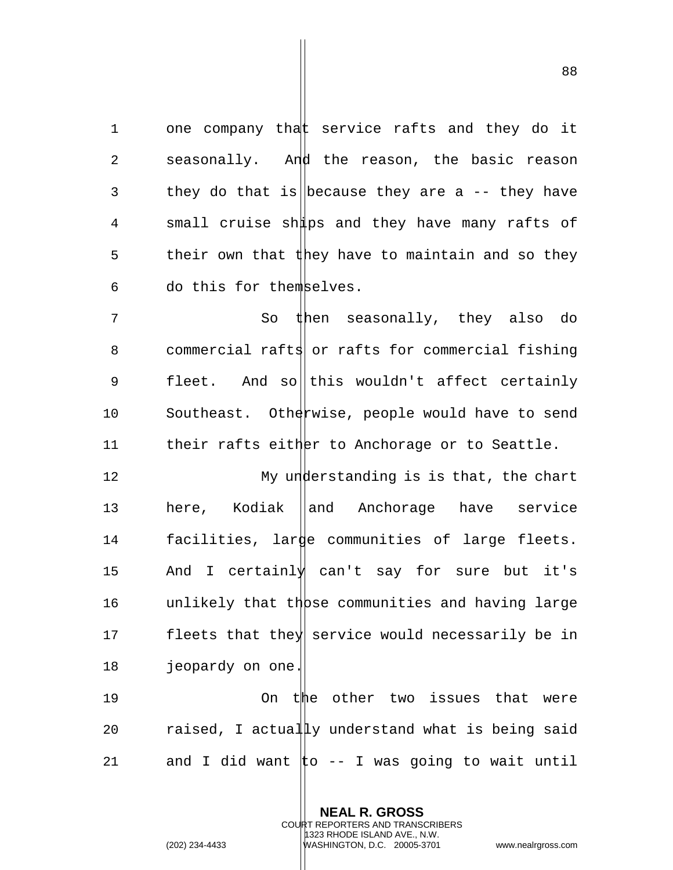1 one company that service rafts and they do it 2 seasonally. And the reason, the basic reason 3 they do that is because they are a  $-$ - they have 4 small cruise ships and they have many rafts of 5 their own that they have to maintain and so they 6 do this for themselves.

7 So then seasonally, they also do 8 commercial rafts or rafts for commercial fishing 9 fleet. And sollthis wouldn't affect certainly 10 Southeast. Otherwise, people would have to send 11 their rafts either to Anchorage or to Seattle.

12 My understanding is is that, the chart 13 here, Kodiak ||and Anchorage have service 14 facilities, large communities of large fleets. 15 And I certainly can't say for sure but it's 16  $unlikely that  $th$  |  $the$   $commanities$  and having large$ 17 fleets that they service would necessarily be in 18 jeopardy on one.

19 On the other two issues that were 20  $r_{\text{aised}}$ , I actually understand what is being said 21 and I did want  $\sharp$ o -- I was going to wait until

> **NEAL R. GROSS** COURT REPORTERS AND TRANSCRIBERS 1323 RHODE ISLAND AVE., N.W. (202) 234-4433 WASHINGTON, D.C. 20005-3701 www.nealrgross.com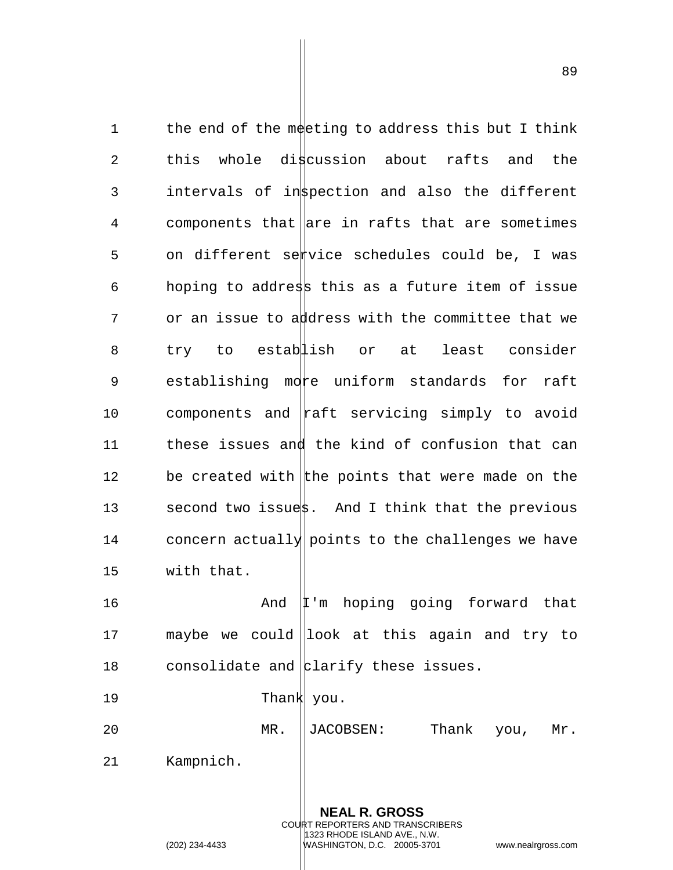1 the end of the meeting to address this but I think 2 this whole discussion about rafts and the 3 intervals of instection and also the different 4 components that are in rafts that are sometimes 5 on different service schedules could be, I was 6 hoping to address this as a future item of issue 7 or an issue to address with the committee that we 8 try to establish or at least consider 9 establishing more uniform standards for raft 10 components and  $\|$ raft servicing simply to avoid 11 these issues and the kind of confusion that can 12 be created with the points that were made on the 13 second two issuest. And I think that the previous 14 concern actually points to the challenges we have 15 with that. 16 **And I'm hoping going forward that** 17 maybe we could look at this again and try to 18 consolidate and  $\frac{1}{2}$  clarify these issues. 19 Thank you. 20 MR. JACOBSEN: Thank you, Mr.

21 Kampnich.

**NEAL R. GROSS** COURT REPORTERS AND TRANSCRIBERS 1323 RHODE ISLAND AVE., N.W. (202) 234-4433 WASHINGTON, D.C. 20005-3701 www.nealrgross.com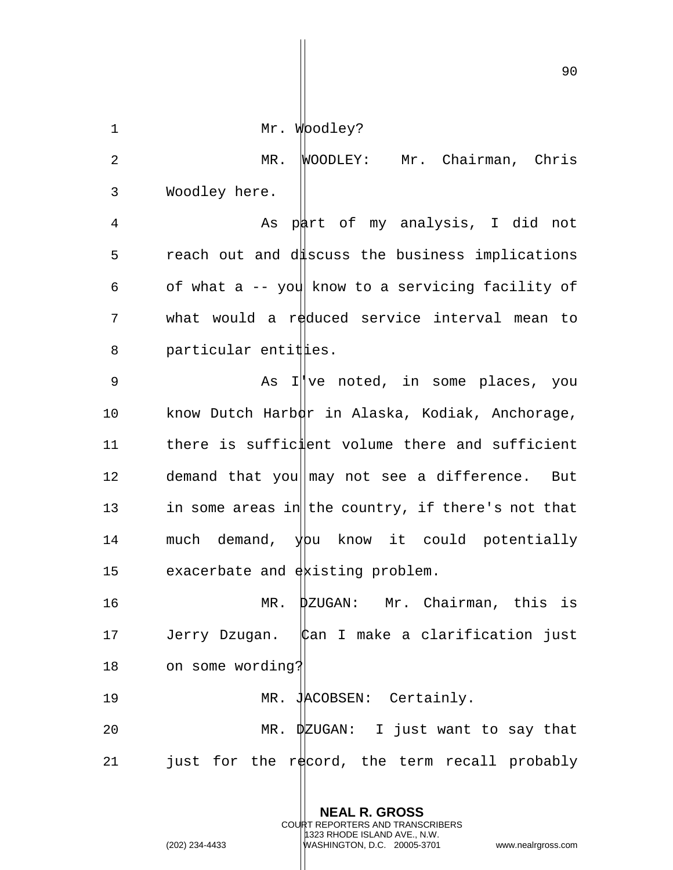90

1 Mr. Woodley?

2 MR. WOODLEY: Mr. Chairman, Chris 3 Woodley here.

4 As part of my analysis, I did not 5 reach out and discuss the business implications 6 of what a  $-$ - you know to a servicing facility of 7 what would a reduced service interval mean to  $8$  particular entit  $\sharp$ ies.

9 As I've noted, in some places, you 10 know Dutch Harb $\frac{1}{2}$  in Alaska, Kodiak, Anchorage, 11 there is sufficient volume there and sufficient 12 demand that you  $\|\text{may not see a difference.}$  But 13 in some areas in the country, if there's not that 14 much demand,  $y$ bu know it could potentially 15 exacerbate and existing problem.

16 MR. DZUGAN: Mr. Chairman, this is 17 Jerry Dzugan. Can I make a clarification just 18 on some wording?

19 MR. JACOBSEN: Certainly. 20 MR. DZUGAN: I just want to say that 21 just for the record, the term recall probably

> **NEAL R. GROSS** COURT REPORTERS AND TRANSCRIBERS 1323 RHODE ISLAND AVE., N.W.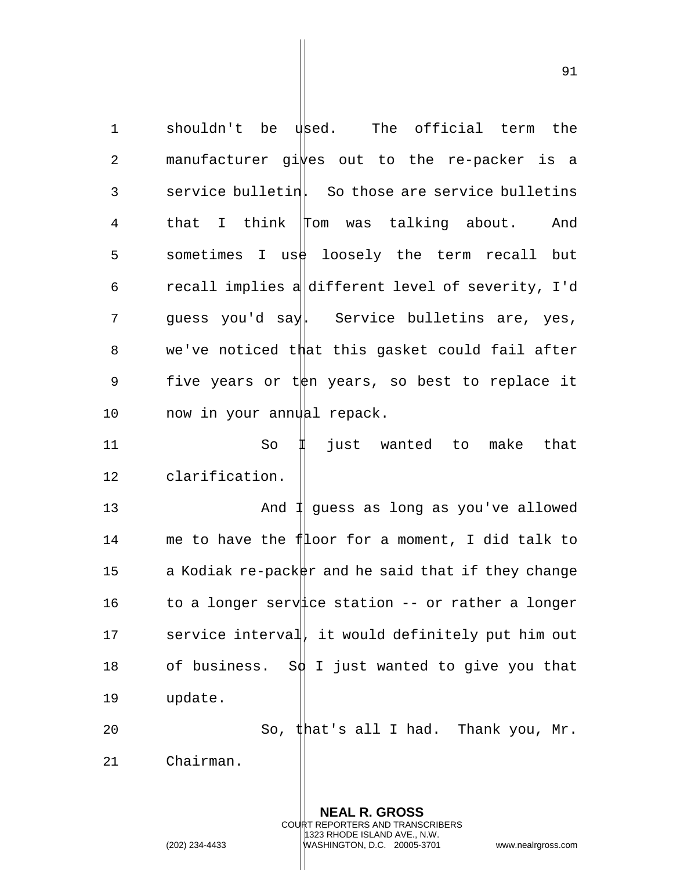1 shouldn't be used. The official term the 2 manufacturer gives out to the re-packer is a 3 service bulletin. So those are service bulletins 4 that I think Tom was talking about. And 5 sometimes I use loosely the term recall but  $6$  recall implies a different level of severity, I'd 7 guess you'd say. Service bulletins are, yes, 8 we've noticed that this gasket could fail after 9 five years or to years, so best to replace it 10 now in your annual repack.

11 So II just wanted to make that 12 clarification.

13 And I guess as long as you've allowed 14 me to have the filoor for a moment, I did talk to 15 a Kodiak re-packer and he said that if they change 16 to a longer service station -- or rather a longer 17 service interval, it would definitely put him out 18 of business. S $\phi$  I just wanted to give you that 19 update. 20 So, that's all I had. Thank you, Mr.

21 Chairman.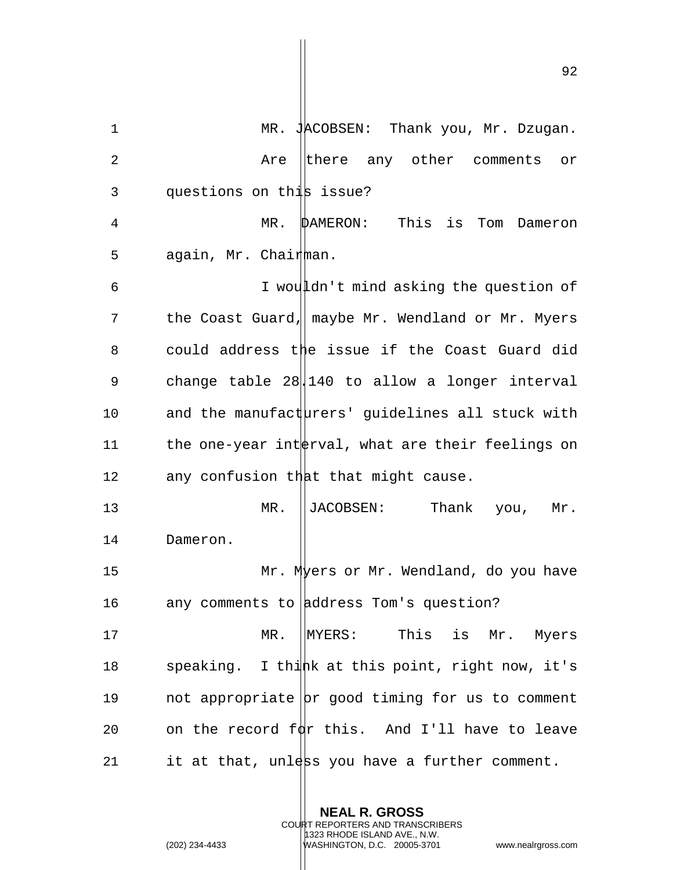1 MR. JACOBSEN: Thank you, Mr. Dzugan. 2 Are there any other comments or 3 questions on this issue? 4 MR. DAMERON: This is Tom Dameron 5 again, Mr. Chairman. 6 I wouldn't mind asking the question of 7 the Coast Guard, maybe Mr. Wendland or Mr. Myers 8 could address the issue if the Coast Guard did 9 change table 28||140 to allow a longer interval 10 and the manufacturers' quidelines all stuck with 11 the one-year int  $\frac{1}{2}$  what are their feelings on 12 any confusion that that might cause. 13 MR. ||JACOBSEN: Thank you, Mr. 14 Dameron. 15 Mr. Myers or Mr. Wendland, do you have 16 any comments to  $\vert$ ddress Tom's question? 17 MR. MYERS: This is Mr. Myers 18 speaking. I thin this point, right now, it's 19 not appropriate  $|pr$  good timing for us to comment 20 on the record  $f\phi$ r this. And I'll have to leave 21 it at that, unlest you have a further comment.

> **NEAL R. GROSS** COURT REPORTERS AND TRANSCRIBERS 1323 RHODE ISLAND AVE., N.W.

(202) 234-4433 WASHINGTON, D.C. 20005-3701 www.nealrgross.com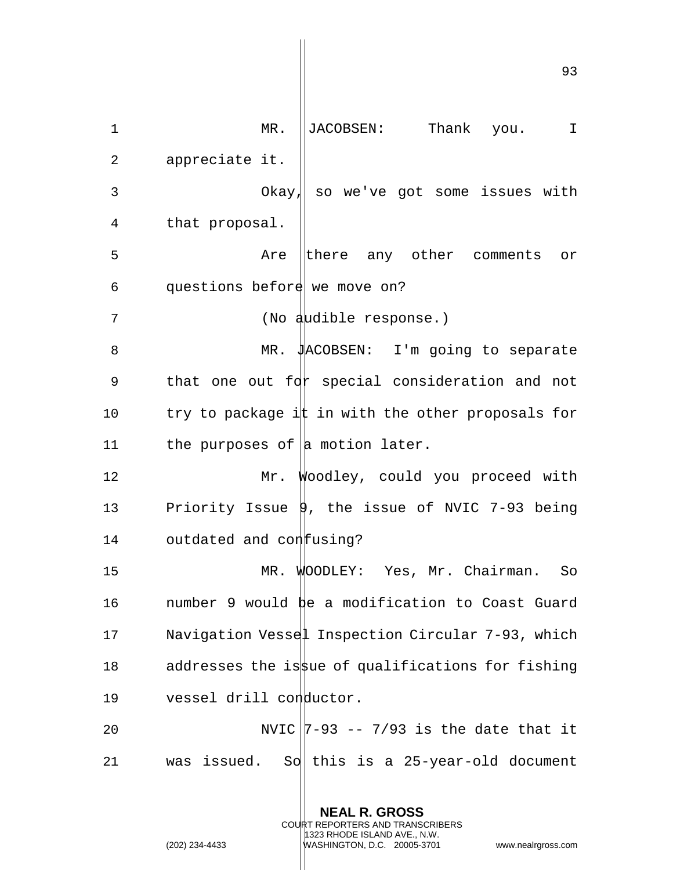93 1 MR. ||JACOBSEN: Thank you. I 2 appreciate it. 3 Okay, so we've got some issues with 4 that proposal. 5 Are there any other comments or 6 questions before we move on? 7 (No audible response.) 8 MR. JACOBSEN: I'm going to separate 9 that one out  $fdr$  special consideration and not 10 try to package it in with the other proposals for 11 the purposes of  $|a \rangle$  motion later. 12 Mr. Woodley, could you proceed with 13 Priority Issue 9, the issue of NVIC 7-93 being 14 outdated and con fusing? 15 MR. WOODLEY: Yes, Mr. Chairman. So 16 number 9 would be a modification to Coast Guard 17 Navigation Vessel Inspection Circular 7-93, which 18 addresses the is use of qualifications for fishing 19 vessel drill conductor. 20 NVIC  $|7-93$  --  $7/93$  is the date that it 21 was issued. So this is a 25-year-old document

> **NEAL R. GROSS** COURT REPORTERS AND TRANSCRIBERS 1323 RHODE ISLAND AVE., N.W.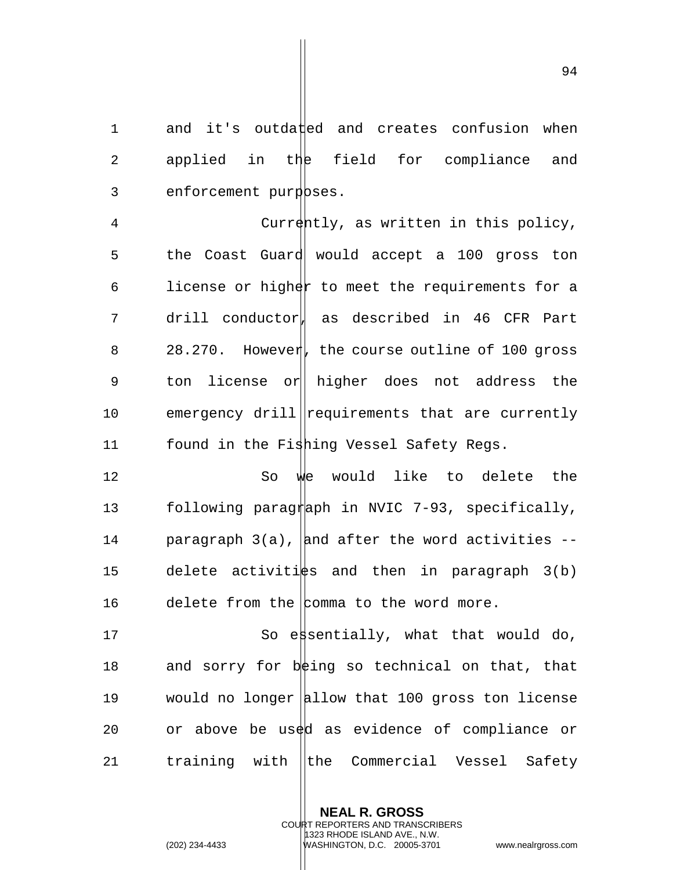1 and it's outdated and creates confusion when 2 applied in the field for compliance and 3 enforcement purposes.

4 Currently, as written in this policy, 5 the Coast Guard would accept a 100 gross ton 6 license or higher to meet the requirements for a 7 drill conductor, as described in 46 CFR Part 8 28.270. However, the course outline of 100 gross 9 ton license or higher does not address the 10 emergency drill requirements that are currently 11 found in the Fishing Vessel Safety Regs.

12 So we would like to delete the 13 following paragraph in NVIC 7-93, specifically, 14 paragraph  $3(a)$ , and after the word activities  $-$ 15 delete activities and then in paragraph  $3(b)$ 16 delete from the comma to the word more.

17 So essentially, what that would do, 18 and sorry for  $b \notin \text{ing}$  so technical on that, that 19 would no longer  $|$ hllow that 100 gross ton license 20 or above be used as evidence of compliance or 21 training with the Commercial Vessel Safety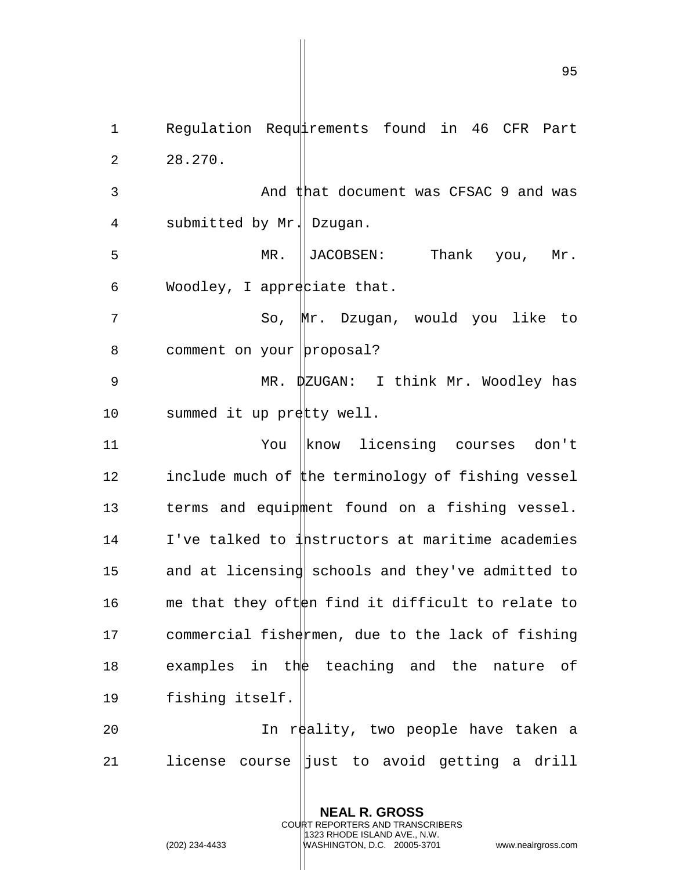1 Requlation Requirements found in 46 CFR Part 2 28.270. 3 And that document was CFSAC 9 and was 4 submitted by Mr. Dzugan. 5 MR. JACOBSEN: Thank you, Mr. 6 Woodley, I appreciate that. 7 So, Mr. Dzugan, would you like to 8 comment on your proposal? 9 MR.  $\frac{1}{2}$  MR.  $\frac{1}{2}$  MR. I think Mr. Woodley has 10 summed it up pretty well. 11 The You know licensing courses don't 12 include much of the terminology of fishing vessel 13 terms and equipment found on a fishing vessel. 14 I've talked to instructors at maritime academies 15 and at licensing schools and they've admitted to 16 me that they often find it difficult to relate to 17 commercial fishermen, due to the lack of fishing 18 examples in the teaching and the nature of 19 fishing itself. 20 In reality, two people have taken a 21 license course  $\parallel$ just to avoid getting a drill

> **NEAL R. GROSS** COURT REPORTERS AND TRANSCRIBERS 1323 RHODE ISLAND AVE., N.W.

(202) 234-4433 WASHINGTON, D.C. 20005-3701 www.nealrgross.com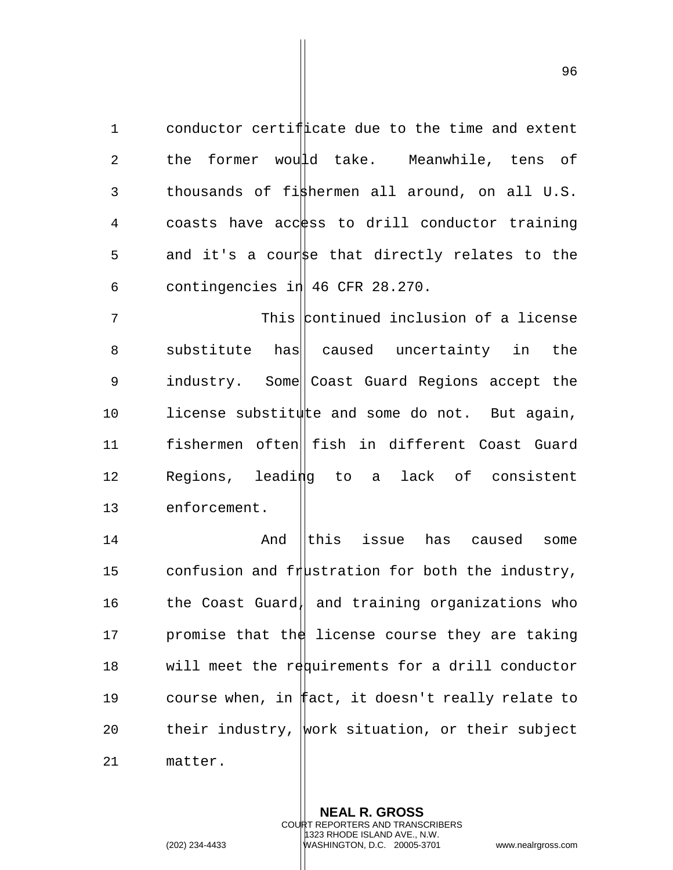1 conductor certificate due to the time and extent 2 the former would take. Meanwhile, tens of 3 thousands of fi $\frac{1}{2}$ hermen all around, on all U.S. 4 coasts have access to drill conductor training 5 and it's a courst that directly relates to the 6 contingencies in  $|46 \text{ CFR } 28.270$ .

7 This continued inclusion of a license 8 substitute has caused uncertainty in the 9 industry. Some Coast Guard Regions accept the 10 license substitute and some do not. But again, 11 fishermen often fish in different Coast Guard 12 Regions, leading to a lack of consistent 13 enforcement.

14 And this issue has caused some 15 confusion and frustration for both the industry, 16 the Coast Guard, and training organizations who 17  $\blacksquare$  promise that the license course they are taking 18 will meet the requirements for a drill conductor 19 course when, in fact, it doesn't really relate to 20 their industry, work situation, or their subject

21 matter.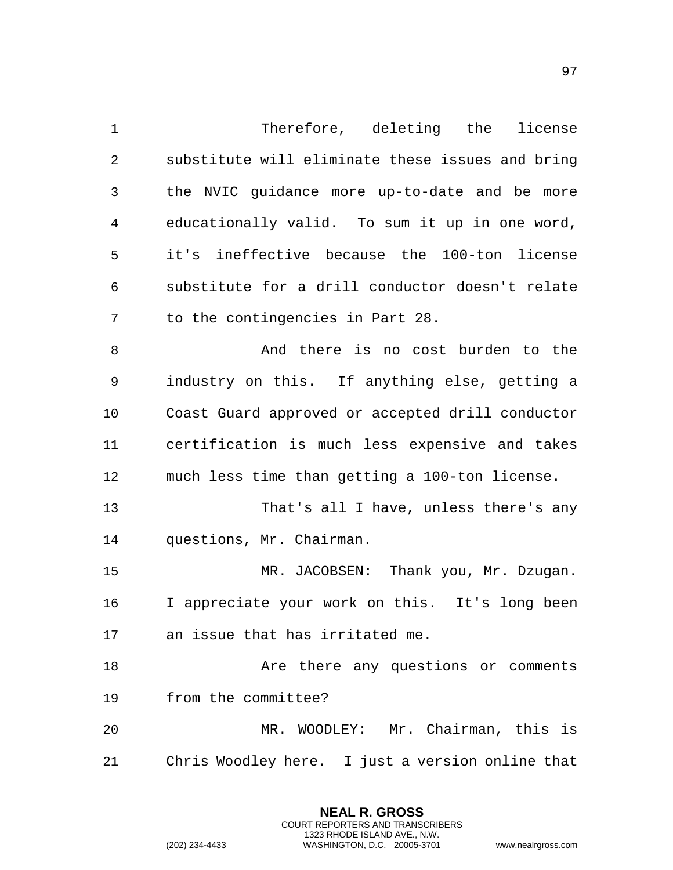1 Therefore, deleting the license 2 substitute will  $\left| \right|$  eliminate these issues and bring 3 the NVIC guidance more up-to-date and be more 4 educationally valid. To sum it up in one word, 5 it's ineffective because the 100-ton license 6 substitute for  $\frac{1}{4}$  drill conductor doesn't relate  $7$  to the contingen cies in Part 28. 8 And there is no cost burden to the 9 industry on this. If anything else, getting a 10 Coast Guard approved or accepted drill conductor 11 certification is much less expensive and takes 12 much less time than getting a 100-ton license. 13 That's all I have, unless there's any 14 questions, Mr. Chairman. 15 MR. JACOBSEN: Thank you, Mr. Dzugan. 16 I appreciate yowr work on this. It's long been 17 an issue that has irritated me. 18 Are there any questions or comments 19  $f$  from the committ  $\text{Re}$ ? 20 MR. WOODLEY: Mr. Chairman, this is 21 Chris Woodley here. I just a version online that

> **NEAL R. GROSS** COURT REPORTERS AND TRANSCRIBERS 1323 RHODE ISLAND AVE., N.W.

(202) 234-4433 WASHINGTON, D.C. 20005-3701 www.nealrgross.com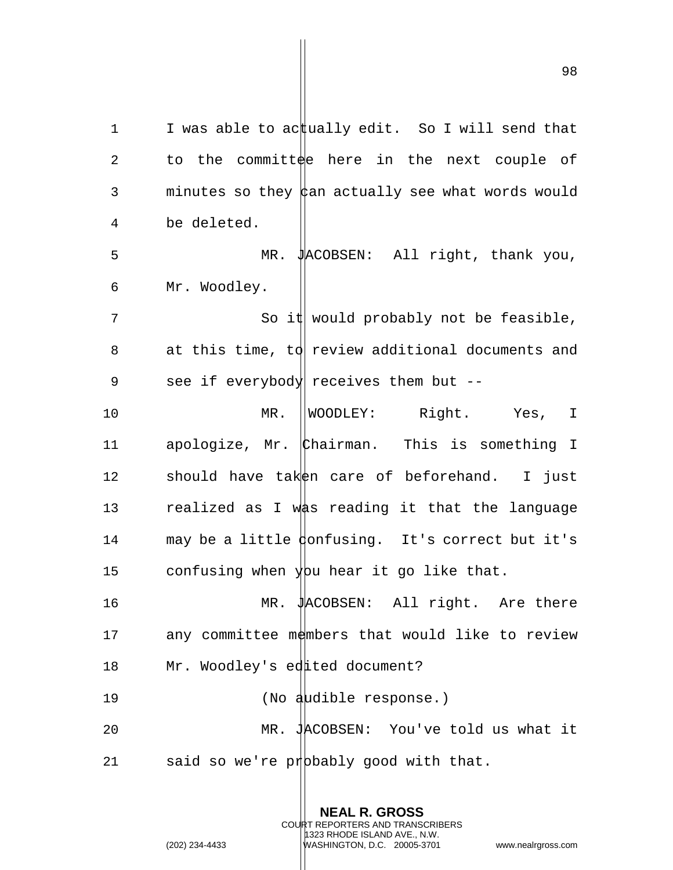1 I was able to actually edit. So I will send that 2 to the committee here in the next couple of 3 minutes so they  $\phi$  an actually see what words would 4 be deleted. 5 MR. JACOBSEN: All right, thank you, 6 Mr. Woodley. 7 So it would probably not be feasible, 8 at this time, to review additional documents and 9 see if everybody receives them but --10 MR. WOODLEY: Right. Yes, I 11 apologize, Mr. Chairman. This is something I 12 should have taken care of beforehand. I just 13 realized as I was reading it that the language 14 may be a little donfusing. It's correct but it's 15 confusing when you hear it go like that. 16 MR. JACOBSEN: All right. Are there 17 any committee members that would like to review 18 Mr. Woodley's edited document? 19 (No audible response.)

20 MR. JACOBSEN: You've told us what it 21 said so we're probably good with that.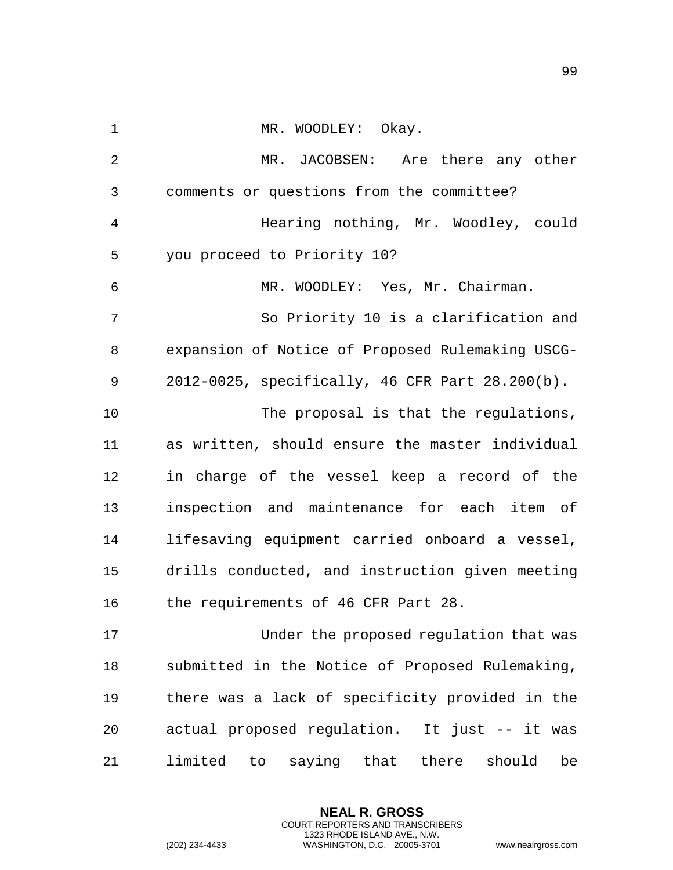| $\mathbf 1$    | MR. WOODLEY: Okay.                                |
|----------------|---------------------------------------------------|
| $\overline{2}$ | MR.<br>HACOBSEN: Are there any other              |
| 3              | comments or questions from the committee?         |
| 4              | Hearing nothing, Mr. Woodley, could               |
| 5              | you proceed to Priority 10?                       |
| 6              | MR. WOODLEY: Yes, Mr. Chairman.                   |
| 7              | So Priority 10 is a clarification and             |
| 8              | expansion of Nottice of Proposed Rulemaking USCG- |
| 9              | 2012-0025, specifically, 46 CFR Part 28.200(b).   |
| 10             | The proposal is that the regulations,             |
| 11             | as written, should ensure the master individual   |
| 12             | in charge of the vessel keep a record of the      |
| 13             | inspection and maintenance for each item of       |
| 14             | lifesaving equinent carried onboard a vessel,     |
| 15             | drills conducted, and instruction given meeting   |
| 16             | the requirements of 46 CFR Part 28.               |
| 17             | Under the proposed regulation that was            |
| 18             | submitted in the Notice of Proposed Rulemaking,   |
| 19             | there was a lack of specificity provided in the   |
| 20             | actual proposed regulation. It just -- it was     |
| 21             | limited<br>to saying that there<br>should<br>be   |

**NEAL R. GROSS** COURT REPORTERS AND TRANSCRIBERS 1323 RHODE ISLAND AVE., N.W.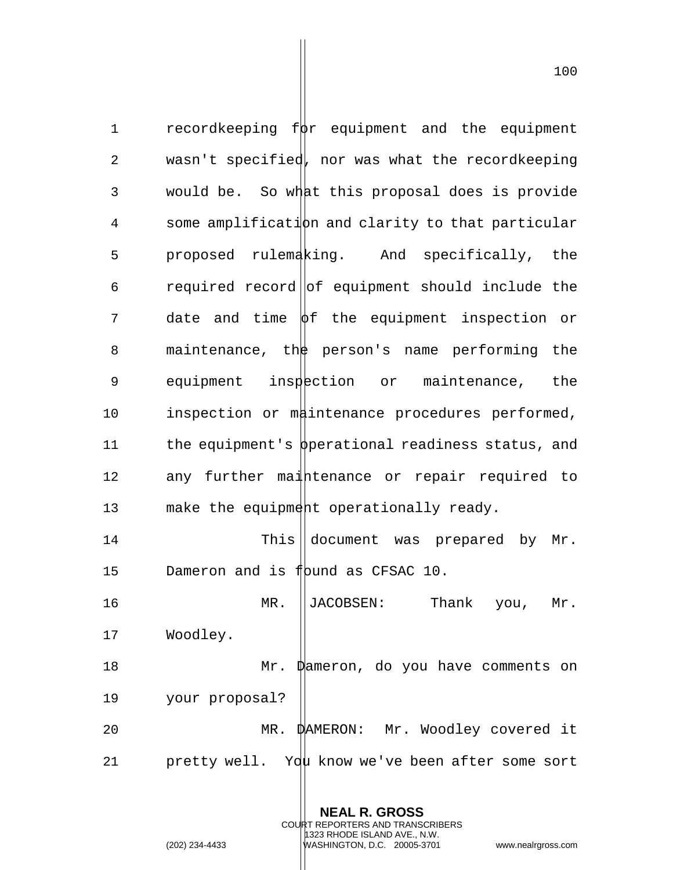1 recordkeeping  $f$  $\psi$ r equipment and the equipment 2 wasn't specified, nor was what the recordkeeping 3 would be. So what this proposal does is provide  $4$  some amplification and clarity to that particular 5 proposed rulemaking. And specifically, the  $6$  required record of equipment should include the  $7$  date and time  $\phi$ f the equipment inspection or 8 maintenance, the person's name performing the 9 equipment inspection or maintenance, the 10 inspection or maintenance procedures performed, 11 the equipment's  $\beta$  perational readiness status, and 12 any further maintenance or repair required to 13 make the equipment operationally ready. 14 This document was prepared by Mr. 15 Dameron and is flound as CFSAC 10. 16 MR. JACOBSEN: Thank you, Mr. 17 Woodley. 18 Mr. Dameron, do you have comments on 19 your proposal? 20 MR. DAMERON: Mr. Woodley covered it

21 pretty well. You know we've been after some sort

**NEAL R. GROSS**

COURT REPORTERS AND TRANSCRIBERS 1323 RHODE ISLAND AVE., N.W.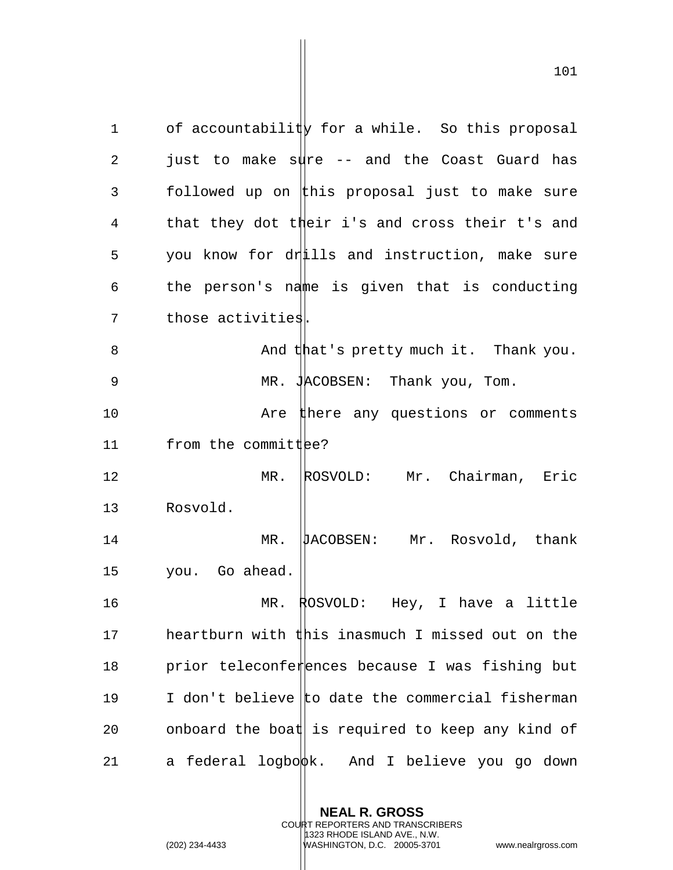1 of accountability for a while. So this proposal 2 just to make sure  $-$  and the Coast Guard has 3 followed up on this proposal just to make sure 4 that they dot their i's and cross their t's and 5 you know for drills and instruction, make sure 6 the person's name is given that is conducting 7 those activities. 8 And that's pretty much it. Thank you. 9 MR. JACOBSEN: Thank you, Tom. 10 **Are there any questions or comments** 11  $from the commit  $\theta$$ 12 MR. ROSVOLD: Mr. Chairman, Eric 13 Rosvold. 14 MR. DACOBSEN: Mr. Rosvold, thank 15 you. Go ahead. 16 MR. ROSVOLD: Hey, I have a little 17 heartburn with this inasmuch I missed out on the 18 prior teleconferences because I was fishing but 19 I don't believe to date the commercial fisherman 20 onboard the boat is required to keep any kind of 21 a federal logbo $\phi$ k. And I believe you go down

> **NEAL R. GROSS** COURT REPORTERS AND TRANSCRIBERS 1323 RHODE ISLAND AVE., N.W.

(202) 234-4433 WASHINGTON, D.C. 20005-3701 www.nealrgross.com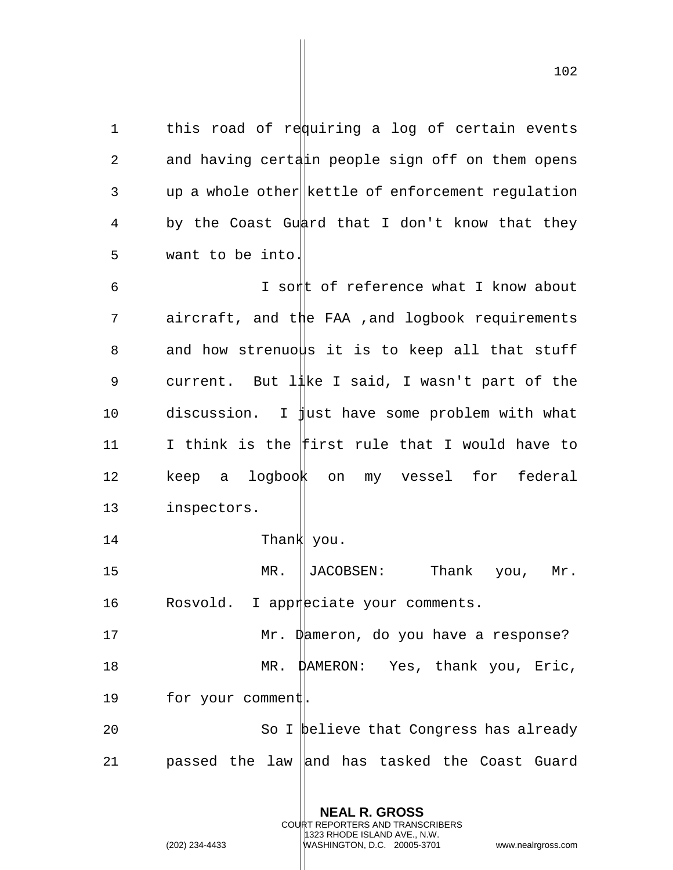1 this road of requiring a log of certain events 2 and having certain people sign off on them opens 3 up a whole other kettle of enforcement regulation 4 by the Coast Guard that I don't know that they 5 want to be into.

6 T sort of reference what I know about 7 aircraft, and the FAA ,and logbook requirements 8 and how strenuous it is to keep all that stuff 9 current. But  $1\frac{1}{k}$  isaid, I wasn't part of the 10 discussion. I just have some problem with what 11 I think is the first rule that I would have to 12 keep a logbook on my vessel for federal 13 inspectors.

14 Thank you.

15 MR. JACOBSEN: Thank you, Mr. 16 Rosvold. I appreciate your comments.

17 Mr. Dameron, do you have a response? 18 MR. DAMERON: Yes, thank you, Eric,

19 for your comment.

20 So I believe that Congress has already 21 passed the law and has tasked the Coast Guard

> **NEAL R. GROSS** COURT REPORTERS AND TRANSCRIBERS

1323 RHODE ISLAND AVE., N.W.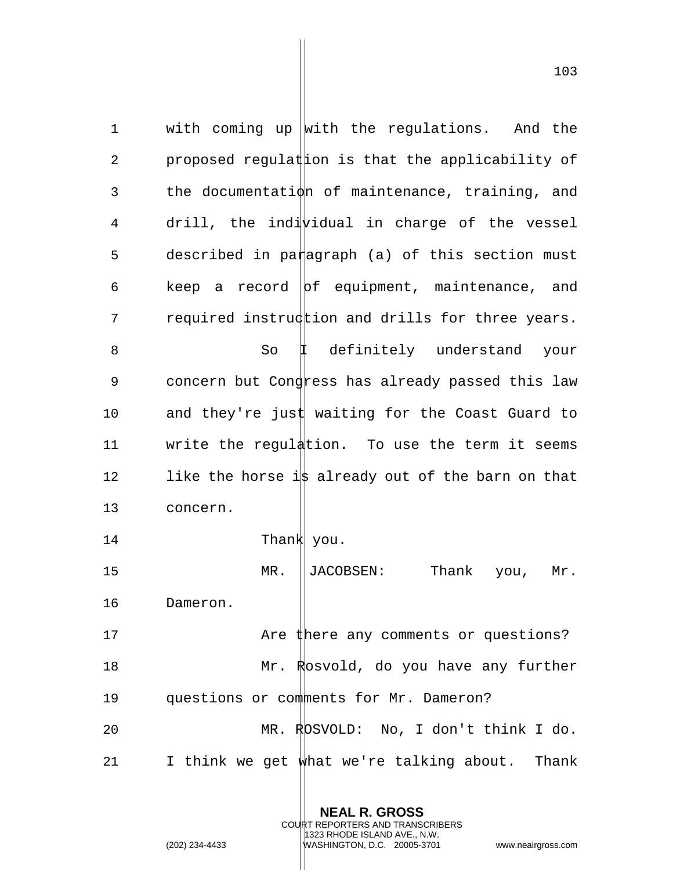1 with coming up with the regulations. And the 2 proposed regulat the that the applicability of 3 the documentation of maintenance, training, and  $4$  drill, the indi $\psi$ idual in charge of the vessel 5 described in paragraph (a) of this section must 6 keep a record  $|bf$  equipment, maintenance, and 7 required instruction and drills for three years. 8 So I definitely understand your 9 concern but Congress has already passed this law 10 and they're just waiting for the Coast Guard to 11 write the regulation. To use the term it seems 12 like the horse is already out of the barn on that 13 concern. 14 Thank You. 15 MR. ||JACOBSEN: Thank you, Mr. 16 Dameron. 17 Are there any comments or questions? 18 Mr. Rosvold, do you have any further 19 questions or comments for Mr. Dameron? 20 MR. ROSVOLD: No, I don't think I do. 21 I think we get what we're talking about. Thank

> **NEAL R. GROSS** COURT REPORTERS AND TRANSCRIBERS 1323 RHODE ISLAND AVE., N.W.

<sup>(202) 234-4433</sup> WASHINGTON, D.C. 20005-3701 www.nealrgross.com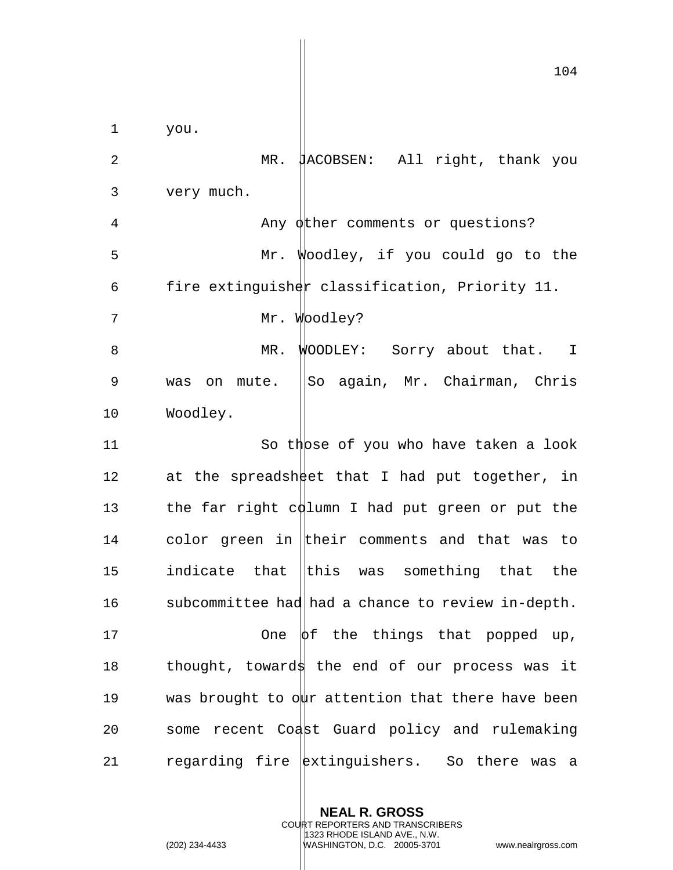104 1 you. 2 MR. JACOBSEN: All right, thank you 3 very much. 4 Any other comments or questions? 5 Mr. Woodley, if you could go to the 6 fire extinguisher classification, Priority 11. 7 Mr. Woodley? 8 MR. WOODLEY: Sorry about that. I 9 was on mute. ||So again, Mr. Chairman, Chris 10 Woodley. 11 So those of you who have taken a look 12 at the spreadsheet that I had put together, in 13 the far right column I had put green or put the 14 color green in their comments and that was to 15 indicate that  $\|$ this was something that the 16 subcommittee had had a chance to review in-depth. 17  $\Box$  One  $\phi$ f the things that popped up, 18 thought, toward the end of our process was it 19 was brought to  $\phi$ ur attention that there have been 20 some recent Coast Guard policy and rulemaking 21 regarding fire  $ext{exists}.$  So there was a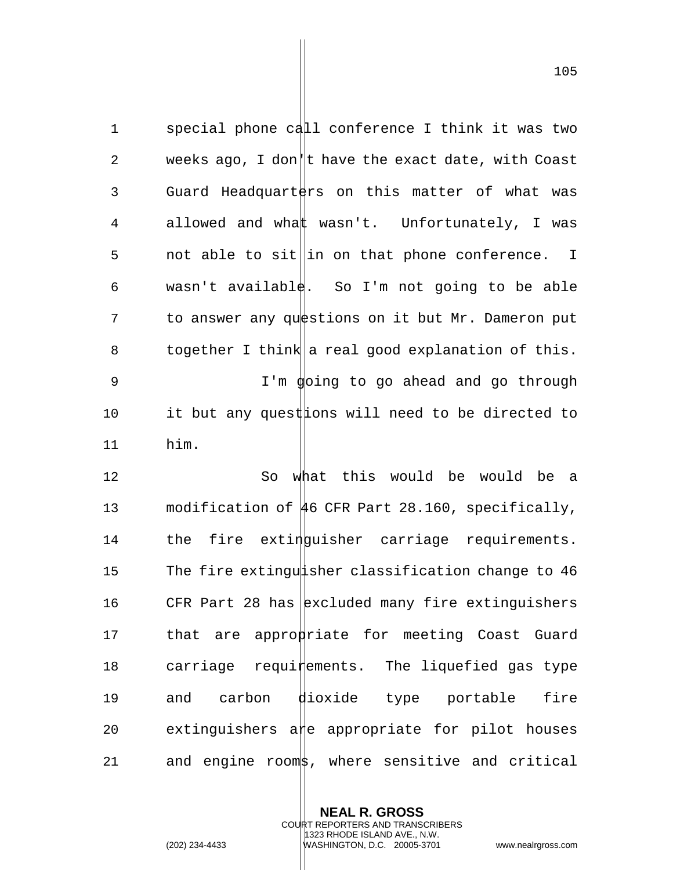1 special phone call conference I think it was two 2 weeks ago, I don||t have the exact date, with Coast 3 Guard Headquart $\frac{1}{2}$ rs on this matter of what was 4 allowed and what wasn't. Unfortunately, I was 5 not able to sit  $\|\text{in}$  on that phone conference. I 6 wasn't available. So I'm not going to be able 7 to answer any questions on it but Mr. Dameron put 8 together I think a real good explanation of this. 9 I'm  $\phi$ oing to go ahead and go through 10 it but any quest tions will need to be directed to 11 him.

12 So what this would be would be a 13 modification of 46 CFR Part 28.160, specifically, 14 the fire extinguisher carriage requirements. 15 The fire extinguisher classification change to 46 16 CFR Part 28 has  $\vert$  excluded many fire extinguishers 17 that are appropriate for meeting Coast Guard  $18$  carriage requi $t$ ements. The liquefied gas type 19 and carbon dioxide type portable fire  $20$  extinguishers a e appropriate for pilot houses 21 and engine rooms, where sensitive and critical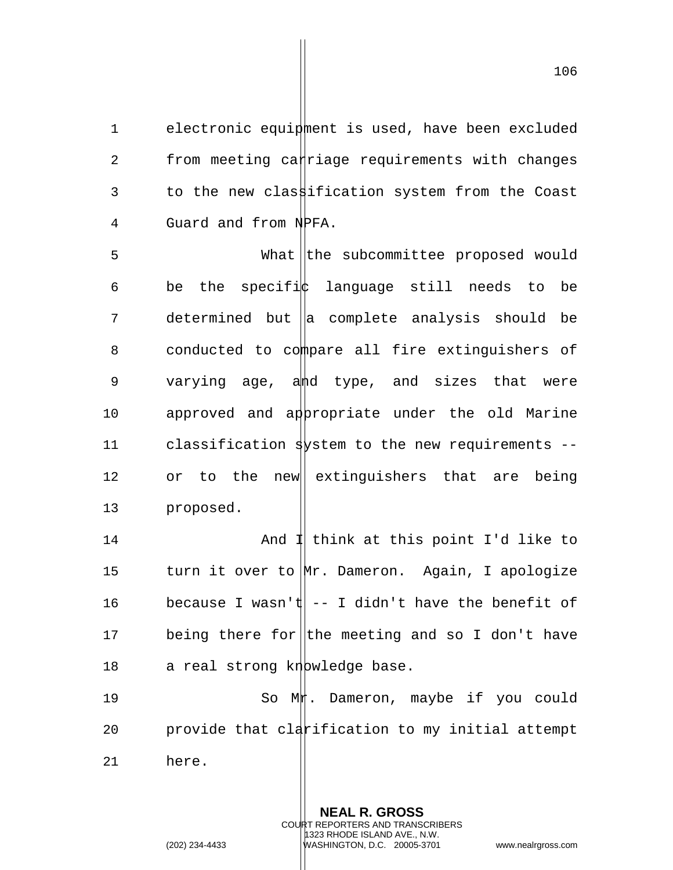1 electronic equipment is used, have been excluded  $2$  from meeting ca $\sharp$ riage requirements with changes 3 to the new classification system from the Coast 4 Guard and from NPFA.

5 What the subcommittee proposed would 6 be the specifi $\|$  language still needs to be  $7$  determined but  $\|$ a complete analysis should be 8 conducted to compare all fire extinguishers of 9 varying age, ahd type, and sizes that were 10 approved and appropriate under the old Marine 11 classification system to the new requirements  $-$ 12 or to the new extinguishers that are being 13 proposed.

14 And I think at this point I'd like to 15 turn it over to Mr. Dameron. Again, I apologize 16 because I wasn't  $|-1$  didn't have the benefit of 17 being there for the meeting and so I don't have 18 a real strong knowledge base.

19 So Muh. Dameron, maybe if you could 20  $-$  provide that clarification to my initial attempt 21 here.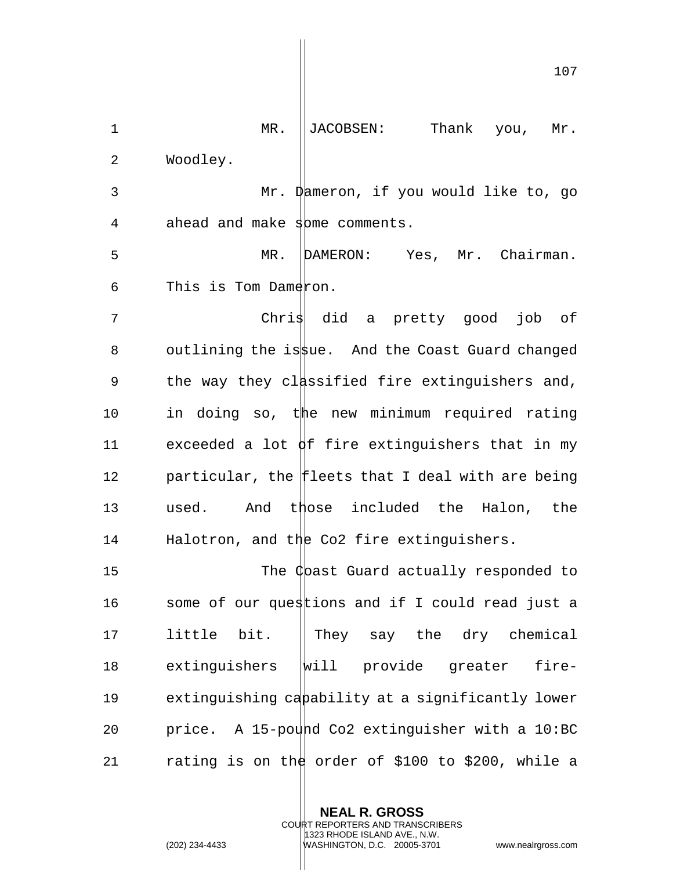1 MR. ||JACOBSEN: Thank you, Mr. 2 Woodley. 3 Mr. Dameron, if you would like to, go 4 ahead and make some comments. 5 MR. DAMERON: Yes, Mr. Chairman.  $6$  This is Tom Dameron. 7 Chris did a pretty good job of 8 outlining the issue. And the Coast Guard changed 9 the way they classified fire extinguishers and, 10 in doing so, the new minimum required rating 11 exceeded a lot  $\oint$ f fire extinguishers that in my 12 particular, the fleets that I deal with are being 13 used. And those included the Halon, the 14 Halotron, and the Co2 fire extinguishers. 15 The Chast Guard actually responded to 16 some of our questions and if I could read just a 17 little bit.  $\parallel$  They say the dry chemical 18 extinguishers will provide greater fire-19 extinguishing capability at a significantly lower 20 price. A 15-pound Co2 extinguisher with a  $10$ :BC 21 rating is on the order of \$100 to \$200, while a

> **NEAL R. GROSS** COURT REPORTERS AND TRANSCRIBERS 1323 RHODE ISLAND AVE., N.W. (202) 234-4433 WASHINGTON, D.C. 20005-3701 www.nealrgross.com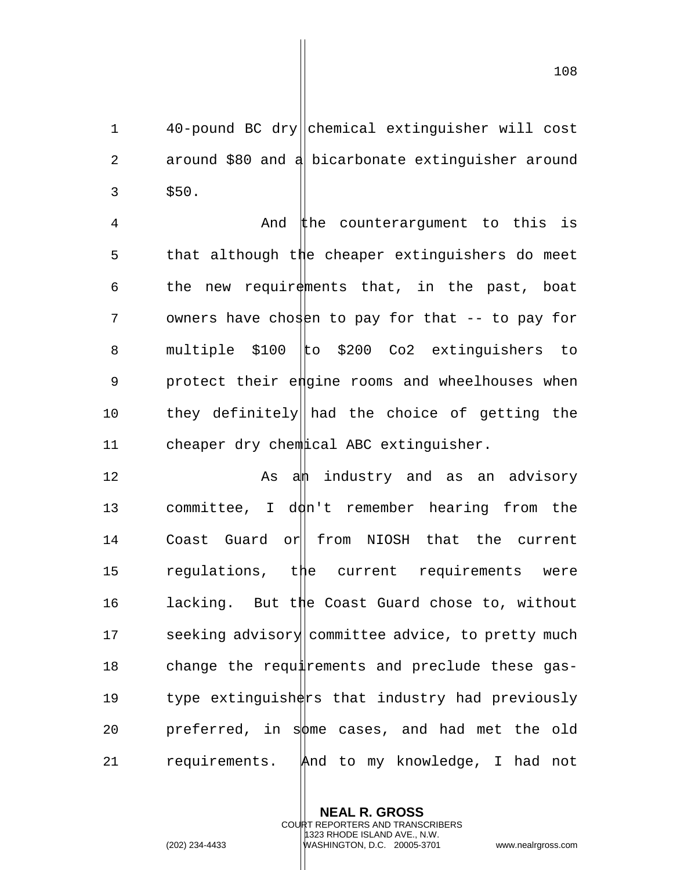1 40-pound BC dry||chemical extinguisher will cost 2 around \$80 and a bicarbonate extinguisher around  $3 \frac{$50}{.}$ 

4 And the counterargument to this is 5 that although the cheaper extinguishers do meet 6 the new requirements that, in the past, boat 7 owners have chosen to pay for that -- to pay for 8 multiple \$100 to \$200 Co2 extinguishers to 9 protect their engine rooms and wheelhouses when 10 they definitely had the choice of getting the 11 cheaper dry chemical ABC extinguisher.

12 As a a industry and as an advisory 13 committee, I d $dn'$ t remember hearing from the 14 Coast Guard or from NIOSH that the current 15 regulations, the current requirements were 16 lacking. But the Coast Guard chose to, without 17 seeking advisory committee advice, to pretty much 18 change the requirements and preclude these gas-19  $t$ ype extinguish $tr$ s that industry had previously 20 preferred, in sotthe cases, and had met the old 21 requirements. And to my knowledge, I had not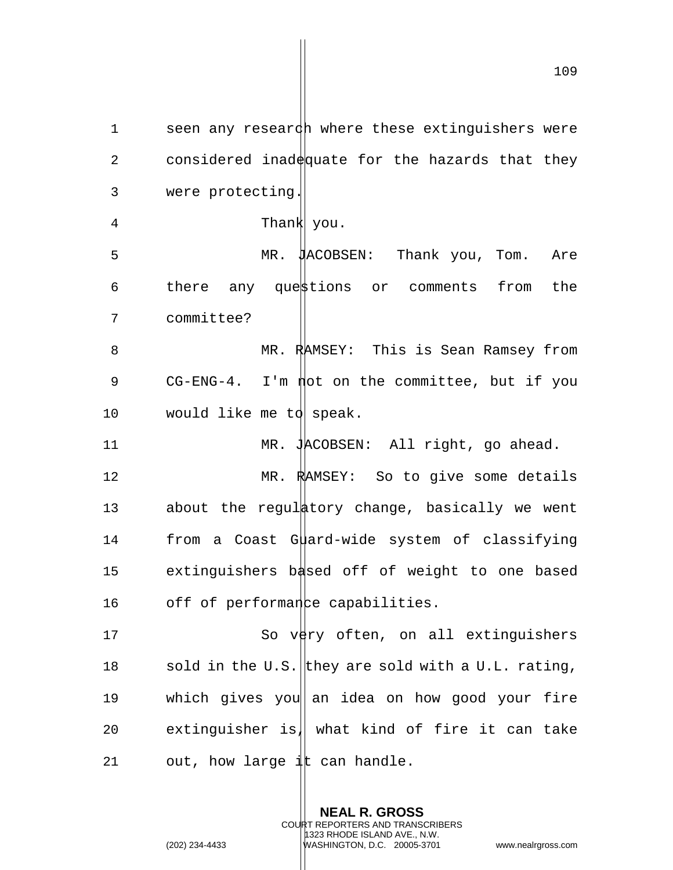1 seen any research where these extinguishers were 2 considered inad $\frac{d}{dx}$ quate for the hazards that they 3 were protecting.

5 MR. JACOBSEN: Thank you, Tom. Are  $6$  there any questions or comments from the 7 committee? 8 MR. RAMSEY: This is Sean Ramsey from

4 Thank you.

9 CG-ENG-4. I'm not on the committee, but if you 10 would like me to speak.

11 MR. JACOBSEN: All right, go ahead.

12 MR. RAMSEY: So to give some details 13 about the regulatory change, basically we went 14 from a Coast Guard-wide system of classifying 15 extinguishers based off of weight to one based 16 off of performance capabilities.

17 So very often, on all extinguishers 18 sold in the U.S. they are sold with a U.L. rating, 19 which gives you an idea on how good your fire 20 extinguisher is, what kind of fire it can take 21 out, how large  $\frac{1}{4}$ t can handle.

> **NEAL R. GROSS** COURT REPORTERS AND TRANSCRIBERS 1323 RHODE ISLAND AVE., N.W. (202) 234-4433 WASHINGTON, D.C. 20005-3701 www.nealrgross.com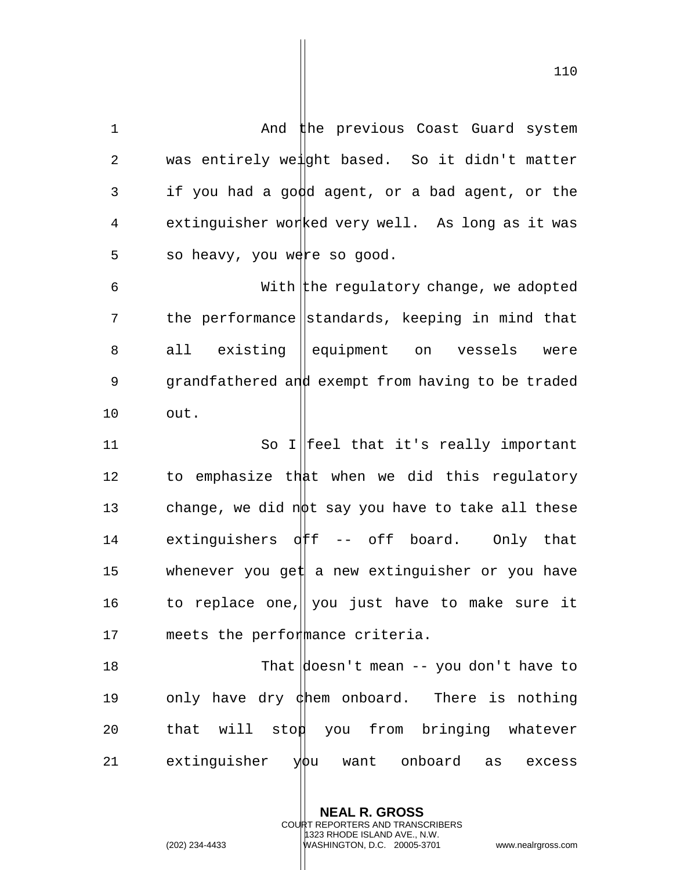1 And the previous Coast Guard system 2 was entirely weight based. So it didn't matter 3 if you had a good agent, or a bad agent, or the 4 extinguisher worked very well. As long as it was  $5$  so heavy, you were so good. 6  $\blacksquare$  With the regulatory change, we adopted 7 the performance standards, keeping in mind that 8 all existing equipment on vessels were 9 grandfathered and exempt from having to be traded 10 out. 11 So I||feel that it's really important 12 to emphasize that when we did this regulatory 13 change, we did not say you have to take all these 14 extinguishers off -- off board. Only that 15 whenever you get a new extinguisher or you have 16 to replace one, you just have to make sure it 17 meets the performance criteria. 18 That doesn't mean -- you don't have to 19 only have dry  $\phi$ hem onboard. There is nothing  $20$  that will stop you from bringing whatever 21 extinguisher  $y\phi u$  want onboard as excess

**NEAL R. GROSS**

COURT REPORTERS AND TRANSCRIBERS 1323 RHODE ISLAND AVE., N.W.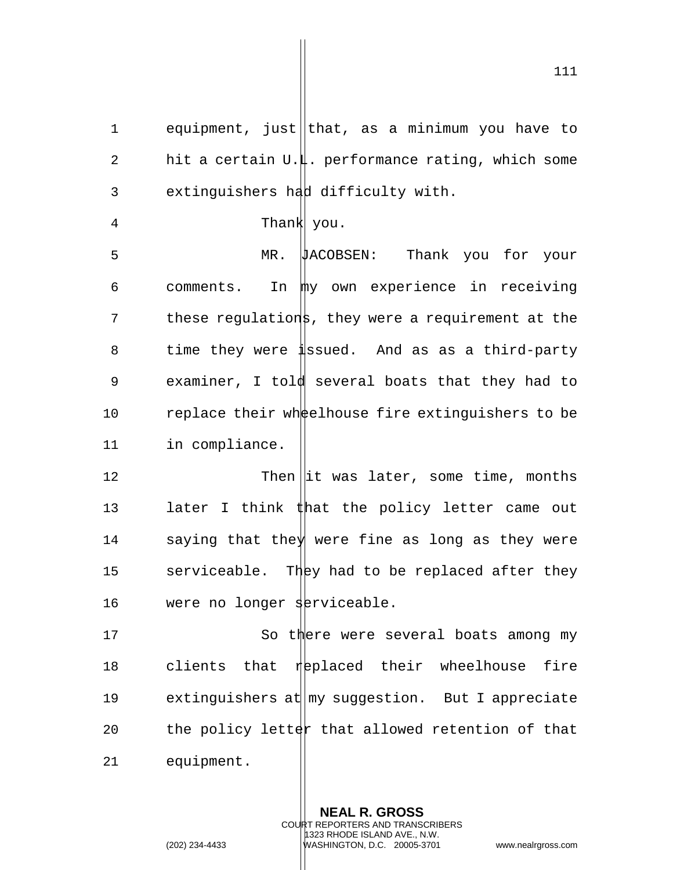1 equipment, just that, as a minimum you have to 2 hit a certain  $U.\sharp$ . performance rating, which some 3 extinguishers had difficulty with.

4 Thank you.

5 MR. JACOBSEN: Thank you for your 6 comments. In my own experience in receiving 7 these regulations, they were a requirement at the 8 time they were issued. And as as a third-party 9 examiner, I told several boats that they had to 10 replace their wheelhouse fire extinguishers to be 11 in compliance.

12 Then it was later, some time, months 13 later I think  $\sharp$  hat the policy letter came out 14 saying that they were fine as long as they were 15 serviceable. They had to be replaced after they 16 were no longer serviceable.

17 So there were several boats among my 18 clients that replaced their wheelhouse fire 19 extinguishers at  $\lfloor m y \rfloor$  suggestion. But I appreciate 20 the policy letter that allowed retention of that 21 equipment.

> **NEAL R. GROSS** COURT REPORTERS AND TRANSCRIBERS 1323 RHODE ISLAND AVE., N.W.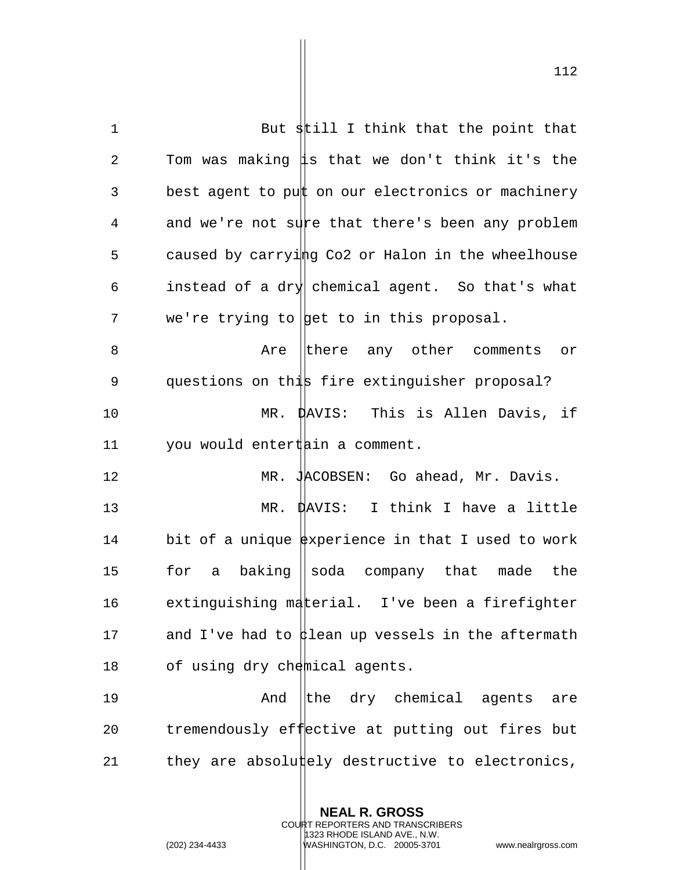1 But still I think that the point that 2 Tom was making  $\sharp s$  that we don't think it's the 3 best agent to put on our electronics or machinery 4 and we're not sure that there's been any problem 5 caused by carrying Co2 or Halon in the wheelhouse 6 instead of a dry chemical agent. So that's what 7 we're trying to get to in this proposal. 8 Are there any other comments or 9 questions on this fire extinguisher proposal? 10 MR. DAVIS: This is Allen Davis, if 11 you would entert ain a comment. 12 MR. JACOBSEN: Go ahead, Mr. Davis. 13 MR. DAVIS: I think I have a little 14 bit of a unique  $\frac{1}{2}$  bit of a unique  $\frac{1}{2}$  be  $\frac{1}{2}$  bit of a unique  $\frac{1}{2}$  be  $\frac{1}{2}$  be  $\frac{1}{2}$  be  $\frac{1}{2}$  and  $\frac{1}{2}$  be  $\frac{1}{2}$  be  $\frac{1}{2}$  and  $\frac{1}{2}$  be  $\frac{1}{2}$  be  $\frac{1}{2}$  and  $\frac{$ 15 for a baking soda company that made the 16 extinguishing material. I've been a firefighter 17 and I've had to  $\sharp$  lean up vessels in the aftermath 18 of using dry chemical agents. 19 The And the dry chemical agents are

21 they are absolutely destructive to electronics,

20 tremendously effective at putting out fires but

**NEAL R. GROSS** COURT REPORTERS AND TRANSCRIBERS

1323 RHODE ISLAND AVE., N.W.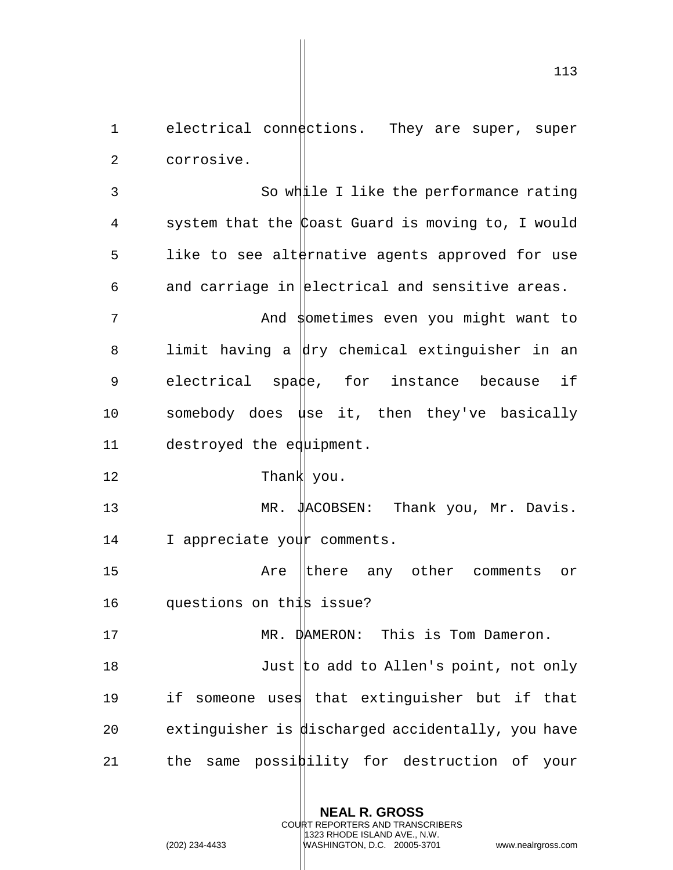113

**NEAL R. GROSS** COURT REPORTERS AND TRANSCRIBERS 1323 RHODE ISLAND AVE., N.W. (202) 234-4433 WASHINGTON, D.C. 20005-3701 www.nealrgross.com 2 corrosive. 3 So while I like the performance rating 4 system that the Coast Guard is moving to, I would 5 like to see alternative agents approved for use 6 and carriage in electrical and sensitive areas. 7 And sometimes even you might want to 8 limit having a  $\frac{1}{x}$  chemical extinguisher in an 9 electrical spade, for instance because if 10 somebody does use it, then they've basically 11 destroyed the equipment. 12 Thank you. 13 MR. JACOBSEN: Thank you, Mr. Davis. 14 I appreciate your comments. 15 Are there any other comments or 16 questions on this issue? 17 MR. DAMERON: This is Tom Dameron. 18 Just to add to Allen's point, not only 19 if someone uses that extinguisher but if that 20 extinguisher is discharged accidentally, you have 21 the same possibility for destruction of your

1 electrical connections. They are super, super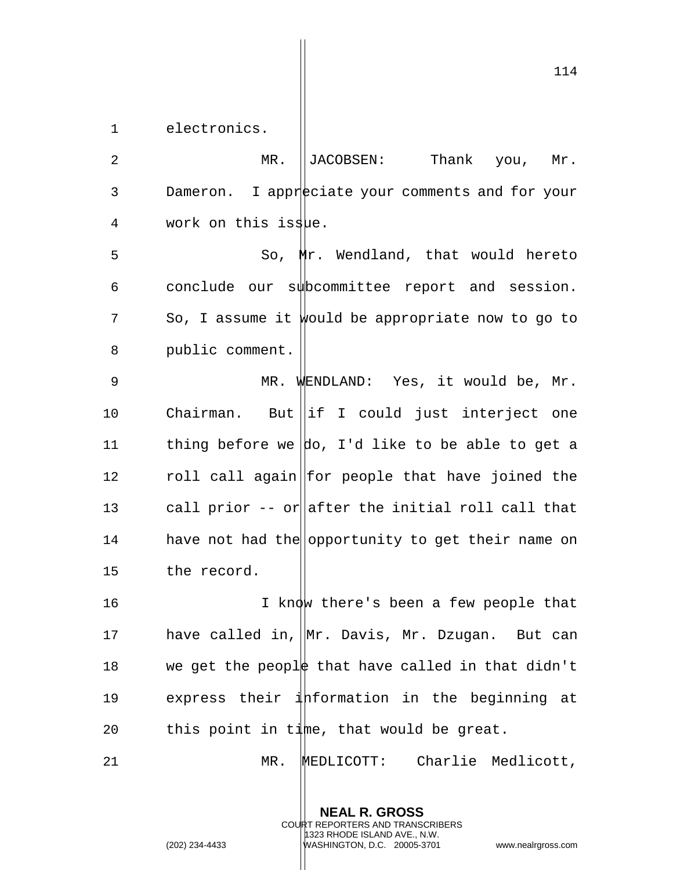1 electronics.

2 MR. ||JACOBSEN: Thank you, Mr. 3 Dameron. I appreciate your comments and for your 4 work on this issue.

 So, Mr. Wendland, that would hereto conclude our subcommittee report and session. So, I assume it would be appropriate now to go to public comment.

9 MR. WENDLAND: Yes, it would be, Mr. 10 Chairman. But if I could just interject one 11 thing before we  $\vert$  do, I'd like to be able to get a 12 roll call again for people that have joined the 13 call prior  $-$ - or after the initial roll call that 14 have not had the opportunity to get their name on 15 the record.

16 16 I know there's been a few people that 17 have called in, Mr. Davis, Mr. Dzugan. But can 18 we get the people that have called in that didn't 19 express their information in the beginning at 20 this point in time, that would be great.

21 MR. MEDLICOTT: Charlie Medlicott,

**NEAL R. GROSS** COURT REPORTERS AND TRANSCRIBERS 1323 RHODE ISLAND AVE., N.W.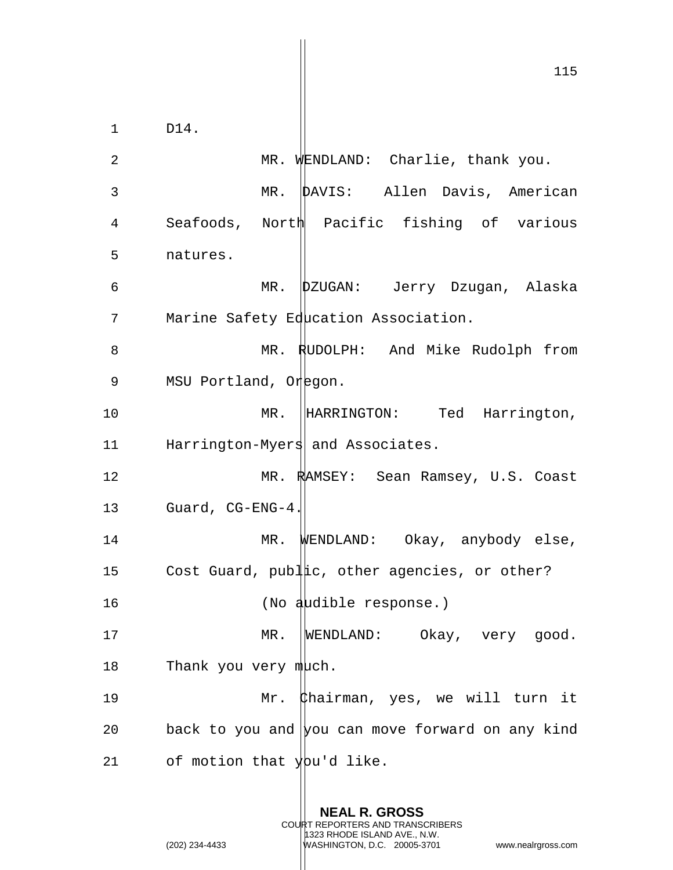115 1 D14. 2 MR. WENDLAND: Charlie, thank you. 3 MR. DAVIS: Allen Davis, American 4 Seafoods, North Pacific fishing of various 5 natures. 6 MR. DZUGAN: Jerry Dzugan, Alaska 7 Marine Safety Education Association. 8 MR. RUDOLPH: And Mike Rudolph from 9 MSU Portland, Oregon. 10 MR. HARRINGTON: Ted Harrington, 11 Harrington-Myers and Associates. 12 MR. RAMSEY: Sean Ramsey, U.S. Coast 13 Guard, CG-ENG-4. 14 MR. WENDLAND: Okay, anybody else, 15 Cost Guard, public, other agencies, or other? 16 (No audible response.) 17 MR. WENDLAND: Okay, very good. 18 Thank you very  $m\text{l}$ ch. 19 Mr. Chairman, yes, we will turn it 20 back to you and  $|$ you can move forward on any kind 21 of motion that  $\frac{1}{2}$  of motion that  $\frac{1}{2}$  like.

> **NEAL R. GROSS** COURT REPORTERS AND TRANSCRIBERS

1323 RHODE ISLAND AVE., N.W.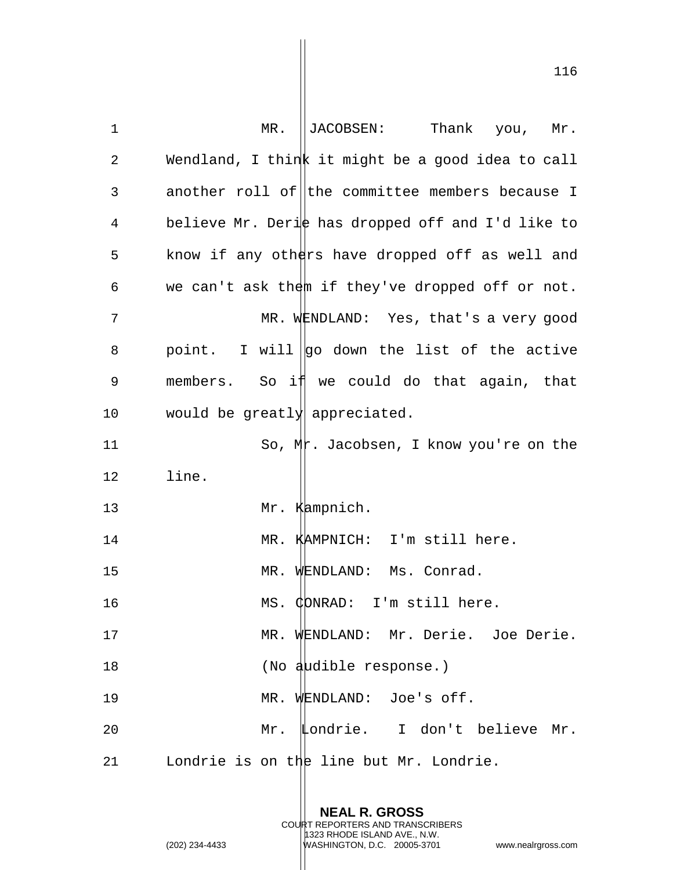| 1              | MR.<br>JACOBSEN:<br>Thank you,<br>Mr.             |
|----------------|---------------------------------------------------|
| $\overline{2}$ | Wendland, I think it might be a good idea to call |
| $\mathsf 3$    | another roll of the committee members because I   |
| $\overline{4}$ | believe Mr. Derie has dropped off and I'd like to |
| 5              | know if any others have dropped off as well and   |
| 6              | we can't ask them if they've dropped off or not.  |
| 7              | MR. WENDLAND: Yes, that's a very good             |
| 8              | point. I will $ q_0 $ down the list of the active |
| 9              | members. So if we could do that again, that       |
| 10             | would be greatly appreciated.                     |
| 11             | So, Mr. Jacobsen, I know you're on the            |
| 12             | line.                                             |
| 13             | Mr. Kampnich.                                     |
| 14             | MR. KAMPNICH: I'm still here.                     |
| 15             | MR. WENDLAND: Ms. Conrad.                         |
| 16             | MS. CONRAD: I'm still here.                       |
| 17             | MR. WENDLAND: Mr. Derie. Joe Derie.               |
| 18             | (No audible response.)                            |
| 19             | MR. WENDLAND: Joe's off.                          |
| 20             | Mr. Londrie. I don't believe Mr.                  |
| 21             | Londrie is on the line but Mr. Londrie.           |

**NEAL R. GROSS** COURT REPORTERS AND TRANSCRIBERS 1323 RHODE ISLAND AVE., N.W. (202) 234-4433 WASHINGTON, D.C. 20005-3701 www.nealrgross.com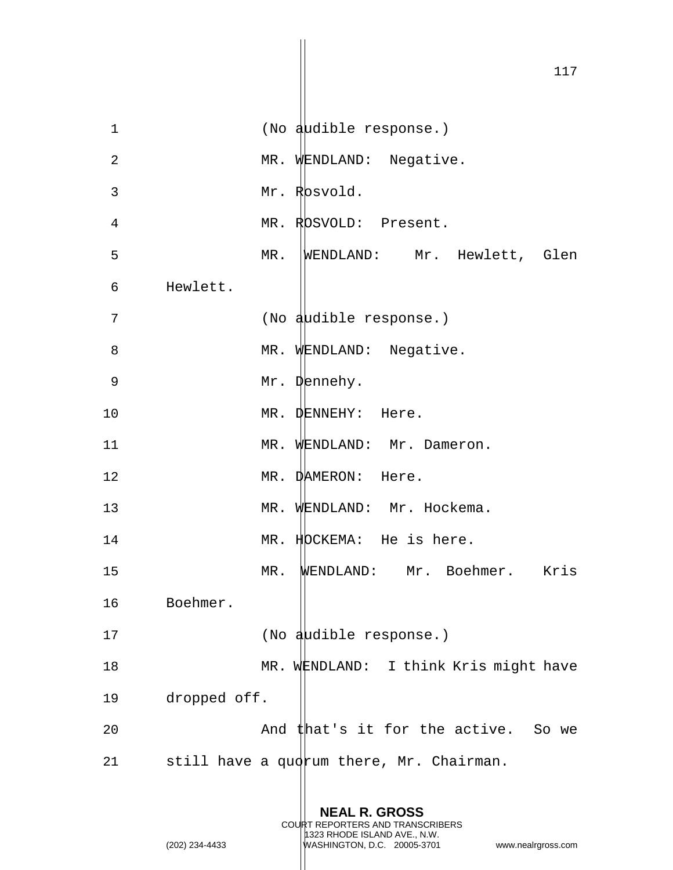1 (No audible response.) 2 MR. WENDLAND: Negative. 3 Mr. Rosvold. 4 MR. ROSVOLD: Present. 5 MR. WENDLAND: Mr. Hewlett, Glen 6 Hewlett. 7 (No audible response.) 8 MR. WENDLAND: Negative. 9 Mr. Dennehy. 10 MR. DENNEHY: Here. 11 MR. WENDLAND: Mr. Dameron. 12 MR. DAMERON: Here. 13 MR. WENDLAND: Mr. Hockema. 14 MR. HOCKEMA: He is here. 15 MR. WENDLAND: Mr. Boehmer. Kris 16 Boehmer. 17 (No audible response.) 18 MR. WENDLAND: I think Kris might have 19 dropped off. 20 And that's it for the active. So we 21 still have a quorum there, Mr. Chairman.

> **NEAL R. GROSS** COURT REPORTERS AND TRANSCRIBERS 1323 RHODE ISLAND AVE., N.W.

(202) 234-4433 WASHINGTON, D.C. 20005-3701 www.nealrgross.com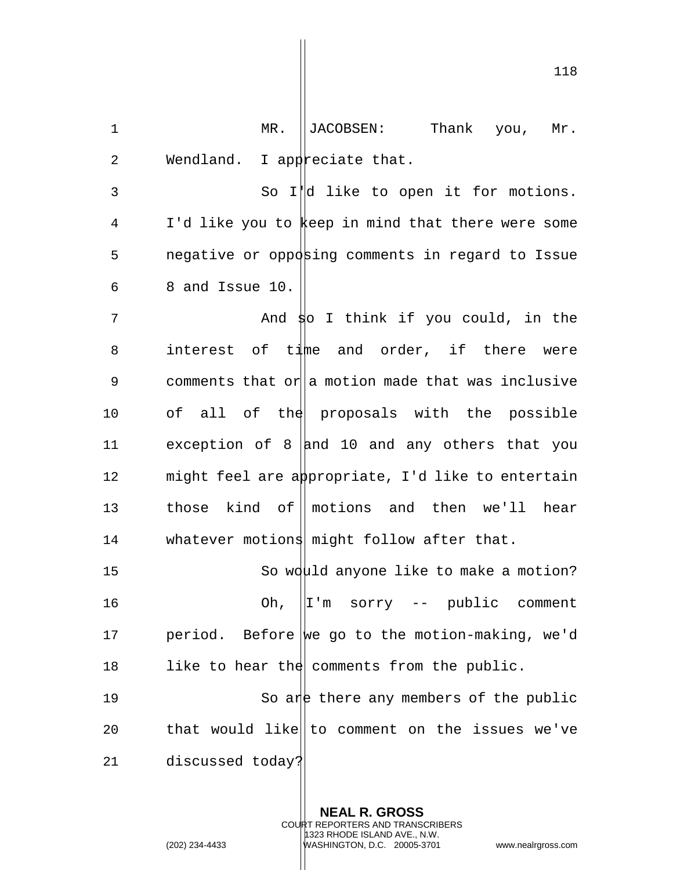1 MR. ||JACOBSEN: Thank you, Mr. 2 Wendland. I appreciate that.

 So I'd like to open it for motions. I'd like you to keep in mind that there were some 5 negative or opposing comments in regard to Issue 8 and Issue 10.

7 And so I think if you could, in the 8 interest of time and order, if there were 9 comments that or a motion made that was inclusive 10 of all of the proposals with the possible 11 exception of 8  $\vert$  and 10 and any others that you 12 might feel are appropriate, I'd like to entertain 13 those kind of motions and then we'll hear 14 whatever motions might follow after that.

15 So would anyone like to make a motion? 16 Oh, I'm sorry -- public comment 17 period. Before we go to the motion-making, we'd 18 like to hear the comments from the public.

19 So are there any members of the public 20  $\qquad$  that would like to comment on the issues we've 21 discussed today?

> **NEAL R. GROSS** COURT REPORTERS AND TRANSCRIBERS 1323 RHODE ISLAND AVE., N.W. (202) 234-4433 WASHINGTON, D.C. 20005-3701 www.nealrgross.com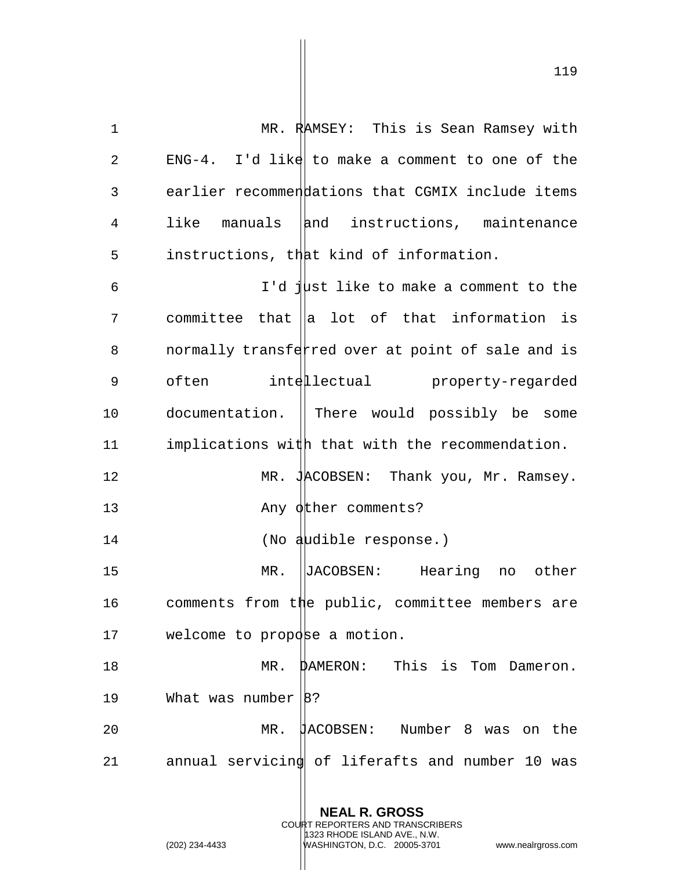1 MR. RAMSEY: This is Sean Ramsey with 2 ENG-4. I'd like to make a comment to one of the 3 earlier recommendations that CGMIX include items 4 like manuals and instructions, maintenance 5 instructions, that kind of information. 6 I'd just like to make a comment to the  $7$  committee that  $\|$ a lot of that information is 8 on normally transferred over at point of sale and is 9 often intellectual property-regarded 10 documentation. There would possibly be some 11 implications with that with the recommendation. 12 MR. JACOBSEN: Thank you, Mr. Ramsey. 13 Any other comments? 14 (No audible response.) 15 MR. JACOBSEN: Hearing no other 16 comments from the public, committee members are 17 welcome to propose a motion. 18 MR. DAMERON: This is Tom Dameron. 19 What was number  $|8$ ? 20 MR. JACOBSEN: Number 8 was on the 21 annual servicin $\frac{1}{2}$  of liferafts and number 10 was

> **NEAL R. GROSS** COURT REPORTERS AND TRANSCRIBERS 1323 RHODE ISLAND AVE., N.W.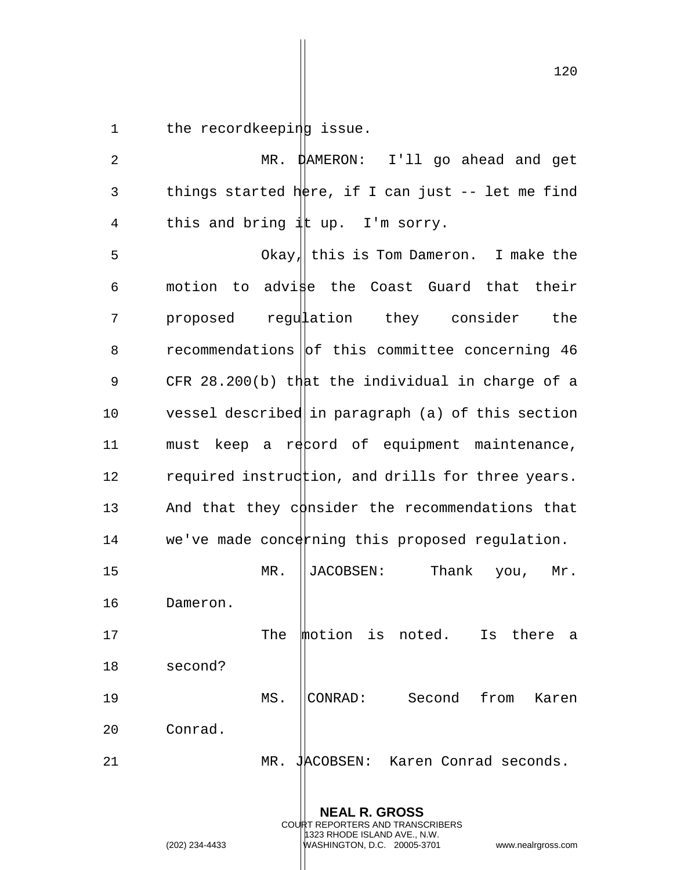1 the recordkeeping issue.

2 MR. DAMERON: I'll go ahead and get 3 things started  $h$ ere, if I can just -- let me find 4 this and bring  $\frac{1}{4}$ t up. I'm sorry. 5 Okay, this is Tom Dameron. I make the 6 motion to advi $\sharp$ e the Coast Guard that their 7 proposed regulation they consider the 8 recommendations of this committee concerning 46 9 CFR 28.200(b) that the individual in charge of a 10 vessel described in paragraph (a) of this section 11 must keep a rectord of equipment maintenance, 12 required instruction, and drills for three years. 13 And that they consider the recommendations that 14 we've made concerning this proposed regulation. 15 MR. JACOBSEN: Thank you, Mr. 16 Dameron. 17 The motion is noted. Is there a 18 second? 19 MS. CONRAD: Second from Karen 20 Conrad. 21 MR. JACOBSEN: Karen Conrad seconds.

> **NEAL R. GROSS** COURT REPORTERS AND TRANSCRIBERS 1323 RHODE ISLAND AVE., N.W.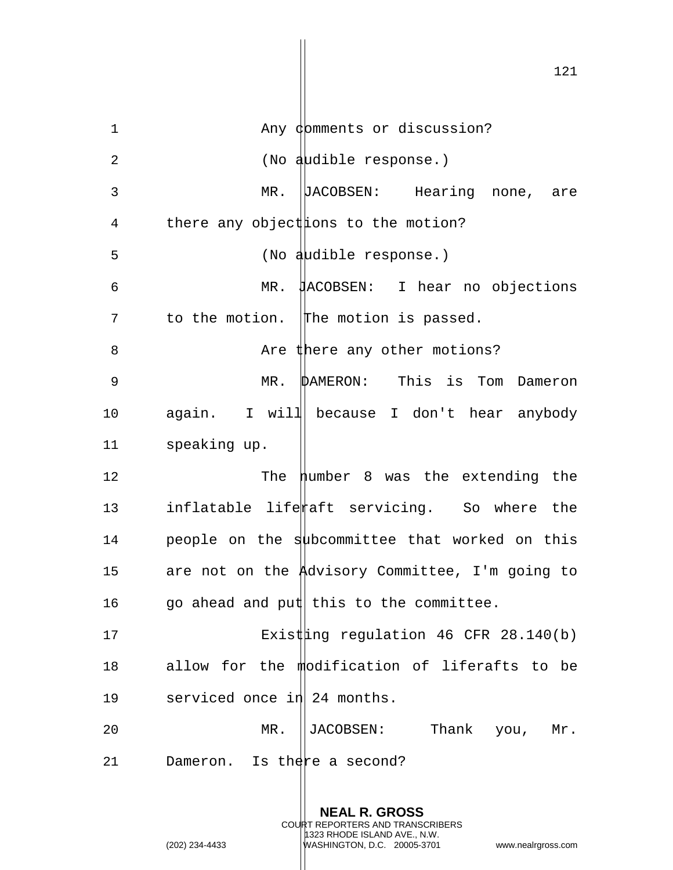1 Any domments or discussion? 2 (No audible response.) 3 MR. JACOBSEN: Hearing none, are 4 there any object ions to the motion? 5 (No audible response.) 6 MR. JACOBSEN: I hear no objections 7 to the motion. The motion is passed. 8 Are there any other motions? 9 MR. DAMERON: This is Tom Dameron 10 again. I will because I don't hear anybody 11 speaking up. 12 The number 8 was the extending the 13 inflatable liferaft servicing. So where the 14 people on the subcommittee that worked on this 15 are not on the Advisory Committee, I'm going to 16 go ahead and put this to the committee. 17 Existing regulation 46 CFR 28.140(b) 18 allow for the modification of liferafts to be 19 serviced once in 24 months. 20 MR. JACOBSEN: Thank you, Mr. 21 Dameron. Is there a second?

> **NEAL R. GROSS** COURT REPORTERS AND TRANSCRIBERS 1323 RHODE ISLAND AVE., N.W.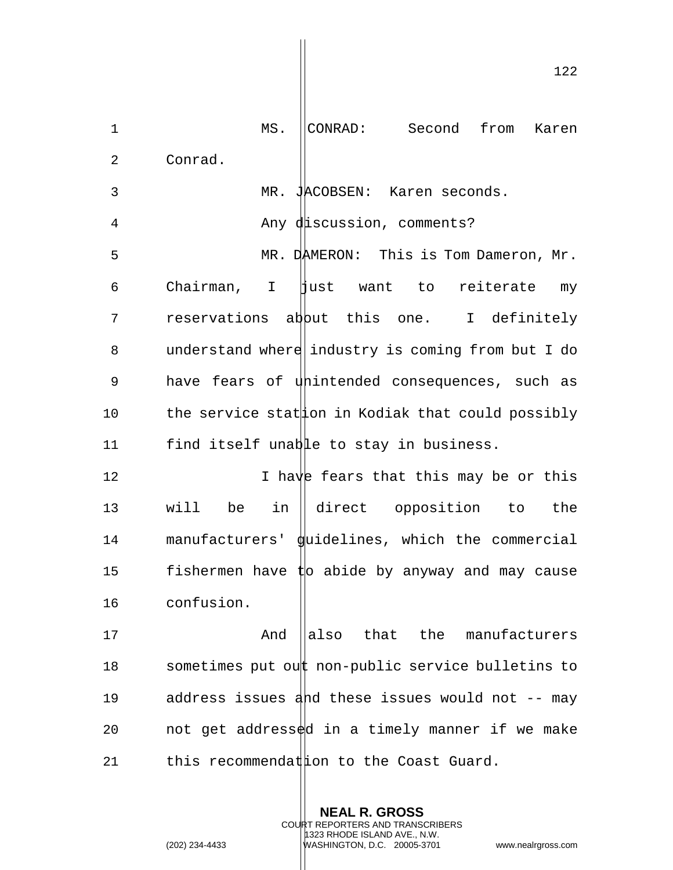1 MS. CONRAD: Second from Karen 2 Conrad. 3 MR. JACOBSEN: Karen seconds. 4 Any discussion, comments? 5 MR. DAMERON: This is Tom Dameron, Mr. 6 Chairman, I just want to reiterate my 7 reservations abbut this one. I definitely 8 understand where industry is coming from but I do 9 have fears of unintended consequences, such as 10 the service stat on in Kodiak that could possibly 11 find itself unable to stay in business. 12 12 I have fears that this may be or this 13 will be in direct opposition to the 14 manufacturers' guidelines, which the commercial 15 fishermen have  $\sharp$ o abide by anyway and may cause 16 confusion. 17 And also that the manufacturers 18 sometimes put out non-public service bulletins to 19 address issues and these issues would not -- may 20  $\qquad$  not get address $\frac{1}{2}$ d in a timely manner if we make 21 this recommendation to the Coast Guard.

> **NEAL R. GROSS** COURT REPORTERS AND TRANSCRIBERS 1323 RHODE ISLAND AVE., N.W.

(202) 234-4433 WASHINGTON, D.C. 20005-3701 www.nealrgross.com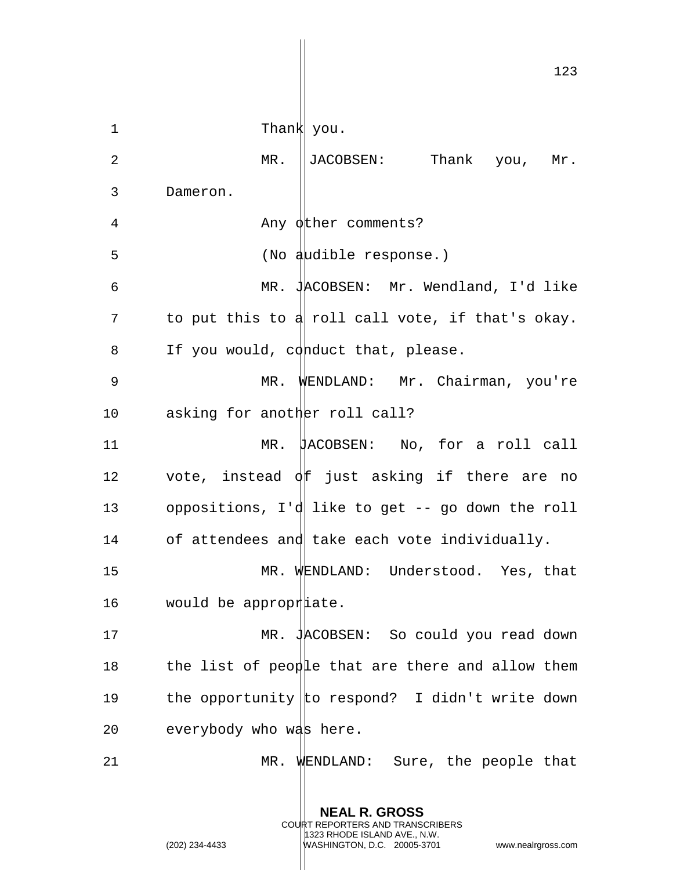123 1 Thank you. 2 MR. ||JACOBSEN: Thank you, Mr. 3 Dameron. 4 Any other comments? 5 (No audible response.) 6 MR. JACOBSEN: Mr. Wendland, I'd like 7 to put this to  $d$  roll call vote, if that's okay. 8 If you would, conduct that, please. 9 MR. WENDLAND: Mr. Chairman, you're 10 asking for another roll call? 11 MR. JACOBSEN: No, for a roll call 12 vote, instead  $\oint$  f just asking if there are no 13 oppositions, I'd like to get -- go down the roll 14 of attendees and take each vote individually. 15 MR. WENDLAND: Understood. Yes, that 16 would be appropriate. 17 MR. JACOBSEN: So could you read down 18 the list of people that are there and allow them 19 the opportunity to respond? I didn't write down 20 everybody who was here. 21 MR. WENDLAND: Sure, the people that

> **NEAL R. GROSS** COURT REPORTERS AND TRANSCRIBERS 1323 RHODE ISLAND AVE., N.W.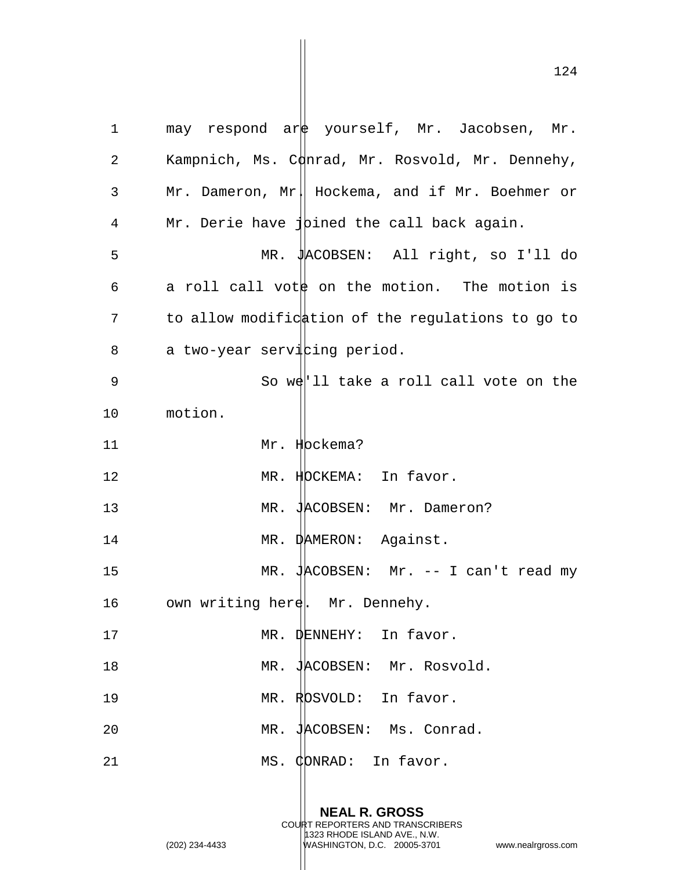1 may respond are yourself, Mr. Jacobsen, Mr. 2 Kampnich, Ms. Conrad, Mr. Rosvold, Mr. Dennehy, 3 Mr. Dameron, Mr. Hockema, and if Mr. Boehmer or 4 Mr. Derie have  $\{\phi\}$  bined the call back again. 5 MR. JACOBSEN: All right, so I'll do 6 a roll call vott on the motion. The motion is 7 to allow modification of the regulations to go to 8 a two-year servicing period. 9 So we'll take a roll call vote on the 10 motion. 11 Mr. Hockema? 12 MR. HOCKEMA: In favor. 13 MR. JACOBSEN: Mr. Dameron? 14 MR. DAMERON: Against. 15 MR. JACOBSEN: Mr. -- I can't read my 16 own writing here. Mr. Dennehy. 17 MR. DENNEHY: In favor. 18 MR. JACOBSEN: Mr. Rosvold. 19 MR. ROSVOLD: In favor. 20 MR. JACOBSEN: Ms. Conrad. 21 MS. CONRAD: In favor.

> **NEAL R. GROSS** COURT REPORTERS AND TRANSCRIBERS 1323 RHODE ISLAND AVE., N.W.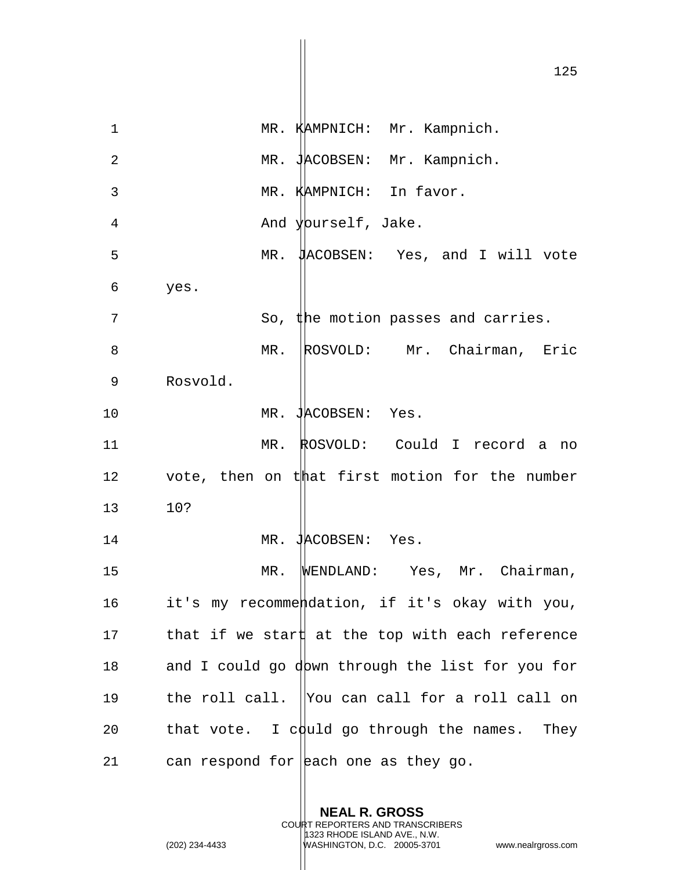1 MR. KAMPNICH: Mr. Kampnich. 2 MR. JACOBSEN: Mr. Kampnich. 3 MR. KAMPNICH: In favor. 4 And yourself, Jake. 5 MR. JACOBSEN: Yes, and I will vote 6 yes. 7 So, the motion passes and carries. 8 MR. ROSVOLD: Mr. Chairman, Eric 9 Rosvold. 10 MR. JACOBSEN: Yes. 11 MR. ROSVOLD: Could I record a no 12 vote, then on that first motion for the number 13 10? 14 MR. JACOBSEN: Yes. 15 MR. WENDLAND: Yes, Mr. Chairman, 16 it's my recommendation, if it's okay with you, 17 that if we start at the top with each reference 18 and I could go down through the list for you for 19 the roll call. You can call for a roll call on 20 that vote. I could go through the names. They 21 can respond for each one as they go.

> **NEAL R. GROSS** COURT REPORTERS AND TRANSCRIBERS 1323 RHODE ISLAND AVE., N.W.

(202) 234-4433 WASHINGTON, D.C. 20005-3701 www.nealrgross.com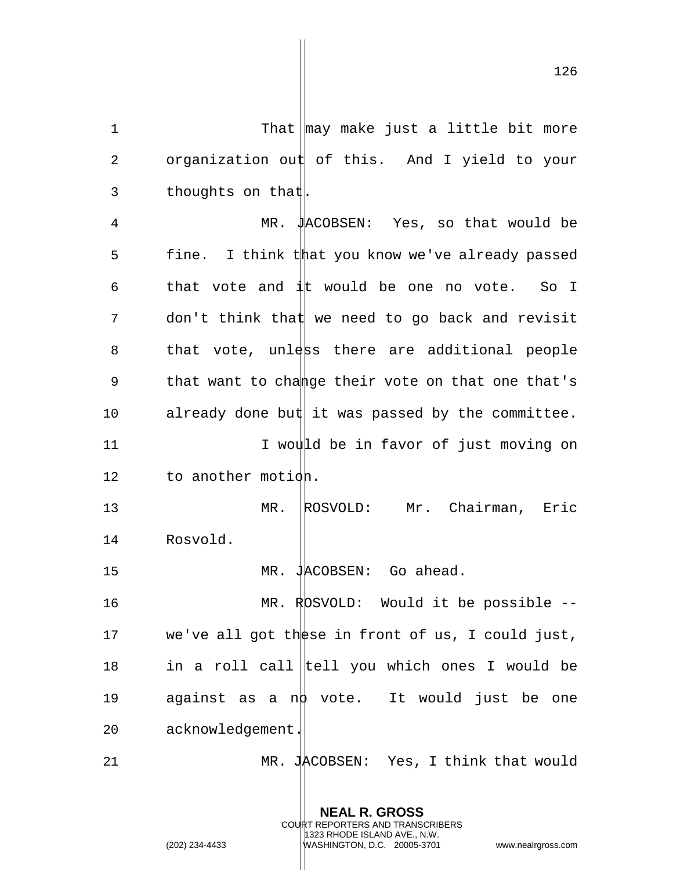1 That may make just a little bit more 2 organization out of this. And I yield to your 3 thoughts on that. 4 MR. JACOBSEN: Yes, so that would be 5 fine. I think that you know we've already passed 6 that vote and  $\frac{1}{4}$ t would be one no vote. So I  $7$  don't think that we need to go back and revisit 8 that vote, unless there are additional people 9 that want to change their vote on that one that's 10 already done but it was passed by the committee. 11 1 I would be in favor of just moving on 12 to another motion. 13 MR. ROSVOLD: Mr. Chairman, Eric 14 Rosvold. 15 MR. JACOBSEN: Go ahead. 16 MR. ROSVOLD: Would it be possible -- 17 we've all got these in front of us, I could just, 18 in a roll call  $|$ tell you which ones I would be 19 against as a no vote. It would just be one 20 acknowledgement. 21 MR. JACOBSEN: Yes, I think that would

> **NEAL R. GROSS** COURT REPORTERS AND TRANSCRIBERS 1323 RHODE ISLAND AVE., N.W.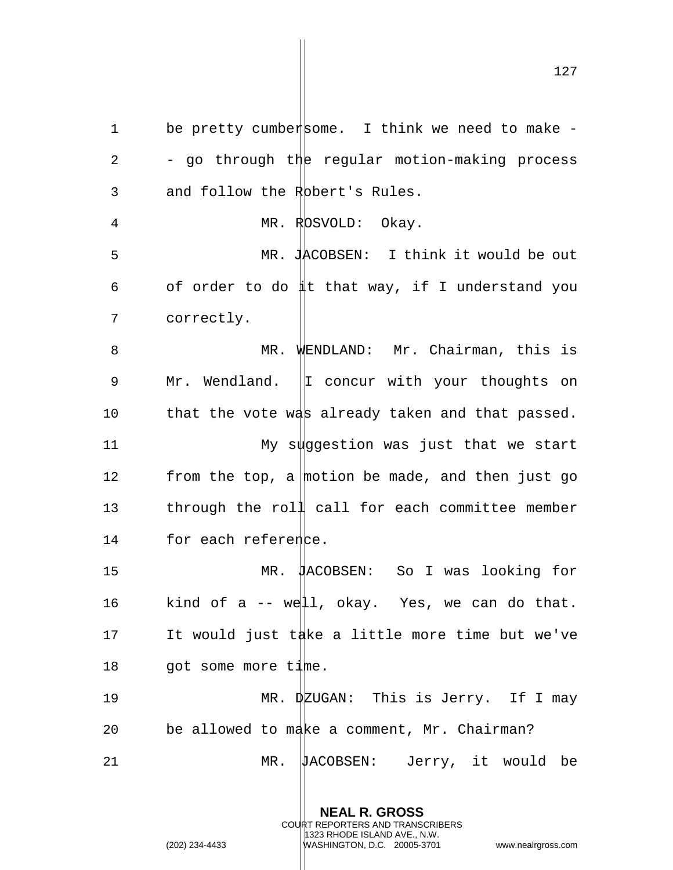1 be pretty cumbersome. I think we need to make  $-$ 2 - go through the regular motion-making process 3 and follow the Robert's Rules. 4 MR. ROSVOLD: Okay. 5 MR. JACOBSEN: I think it would be out 6 of order to do  $\sharp t$  that way, if I understand you 7 correctly. 8 MR. WENDLAND: Mr. Chairman, this is 9 Mr. Wendland.  $|I \rangle$  concur with your thoughts on 10 that the vote was already taken and that passed. 11 My suggestion was just that we start 12 from the top, a motion be made, and then just go 13 through the roll call for each committee member 14 for each reference. 15 MR. JACOBSEN: So I was looking for 16 kind of a -- well, okay. Yes, we can do that. 17 It would just take a little more time but we've 18 got some more time. 19 MR. DEUGAN: This is Jerry. If I may 20 be allowed to make a comment, Mr. Chairman? 21 MR. JACOBSEN: Jerry, it would be

> **NEAL R. GROSS** COURT REPORTERS AND TRANSCRIBERS 1323 RHODE ISLAND AVE., N.W.

(202) 234-4433 WASHINGTON, D.C. 20005-3701 www.nealrgross.com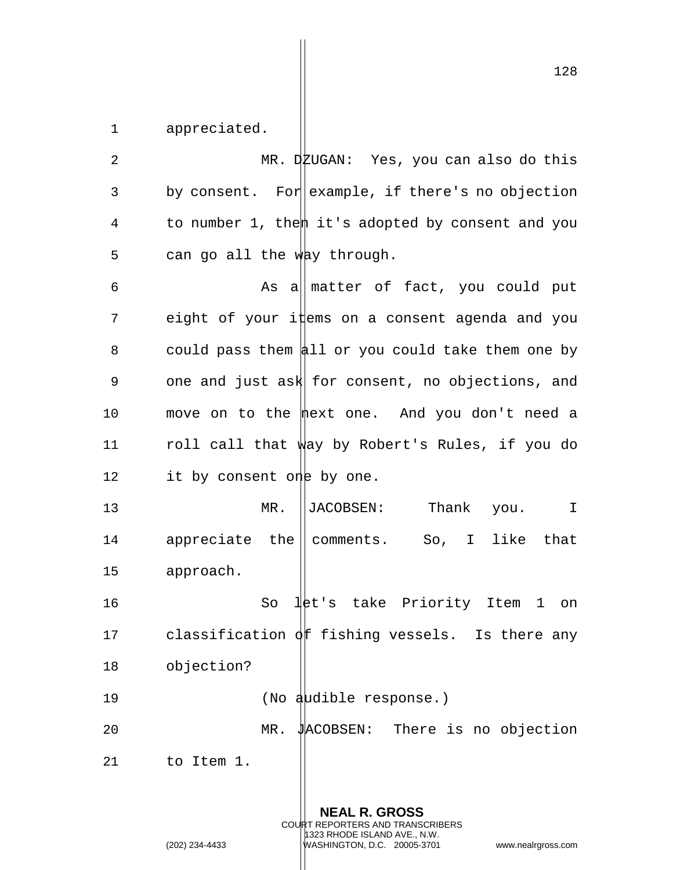1 appreciated.

2 MR. DEUGAN: Yes, you can also do this 3 by consent. For example, if there's no objection 4 to number 1, then it's adopted by consent and you 5 can go all the way through. 6 As all matter of fact, you could put 7 eight of your items on a consent agenda and you 8 could pass them  $\frac{1}{2}$  or you could take them one by 9 one and just ask for consent, no objections, and 10 move on to the mext one. And you don't need a 11 roll call that way by Robert's Rules, if you do 12 it by consent one by one. 13 MR. ||JACOBSEN: Thank you. I 14 appreciate the comments. So, I like that 15 approach. 16 So let's take Priority Item 1 on 17 classification  $\oint$  fishing vessels. Is there any 18 objection? 19 (No audible response.) 20 MR. JACOBSEN: There is no objection 21 to Item 1.

> **NEAL R. GROSS** COURT REPORTERS AND TRANSCRIBERS 1323 RHODE ISLAND AVE., N.W. (202) 234-4433 WASHINGTON, D.C. 20005-3701 www.nealrgross.com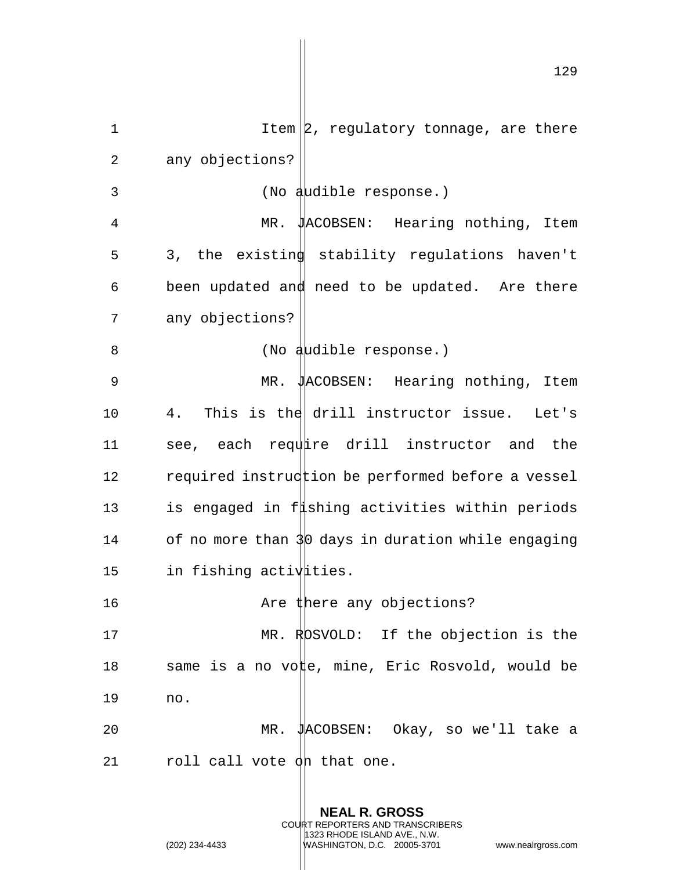| $\mathbf 1$ | Item $ 2$ , regulatory tonnage, are there          |
|-------------|----------------------------------------------------|
| 2           | any objections?                                    |
| 3           | (No audible response.)                             |
| 4           | MR. JACOBSEN: Hearing nothing, Item                |
| 5           | 3, the existing stability regulations haven't      |
| 6           | been updated and need to be updated. Are there     |
| 7           | any objections?                                    |
| 8           | (No audible response.)                             |
| 9           | MR. JACOBSEN: Hearing nothing, Item                |
| 10          | 4. This is the drill instructor issue. Let's       |
| 11          | see, each require drill instructor and the         |
| 12          | required instruction be performed before a vessel  |
| 13          | is engaged in f#shing activities within periods    |
| 14          | of no more than 30 days in duration while engaging |
| 15          | in fishing activities.                             |
| 16          | Are there any objections?                          |
| 17          | MR. ROSVOLD: If the objection is the               |
| 18          | same is a no vote, mine, Eric Rosvold, would be    |
| 19          | no.                                                |
| 20          | JACOBSEN: Okay, so we'll take a<br>$MR$ .          |
| 21          | roll call vote on that one.                        |

**NEAL R. GROSS** COURT REPORTERS AND TRANSCRIBERS 1323 RHODE ISLAND AVE., N.W.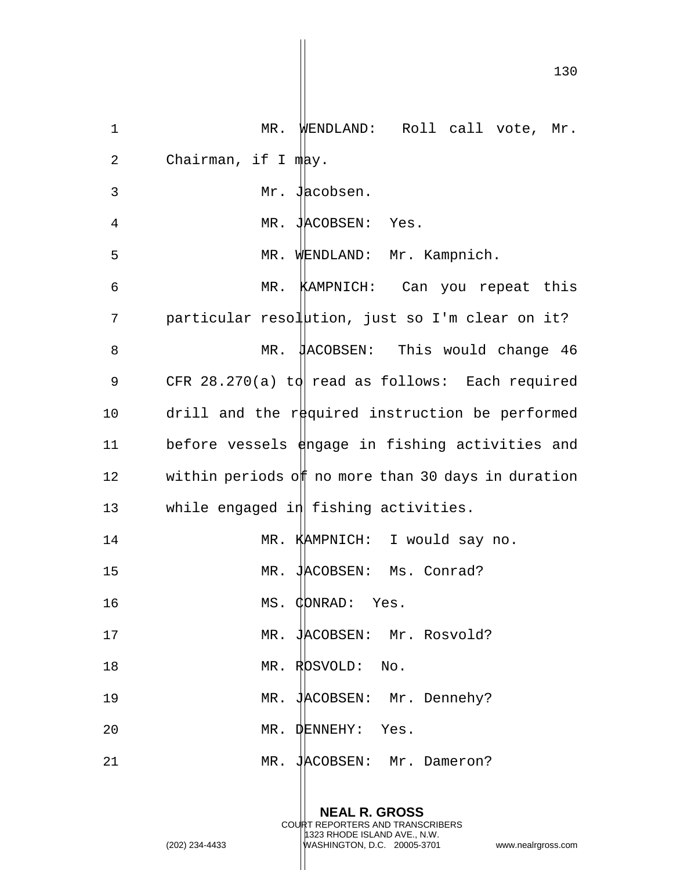| $\mathbf 1$ | MR. WENDLAND: Roll call vote, Mr.                   |
|-------------|-----------------------------------------------------|
| 2           | Chairman, if $I$ mand $\mu$ .                       |
| 3           | Mr. Jacobsen.                                       |
| 4           | MR. JACOBSEN: Yes.                                  |
| 5           | MR. WENDLAND: Mr. Kampnich.                         |
| 6           | MR. KAMPNICH: Can you repeat this                   |
| 7           | particular resolution, just so I'm clear on it?     |
| 8           | MR. JACOBSEN: This would change 46                  |
| 9           | CFR 28.270(a) to read as follows: Each required     |
| 10          | drill and the required instruction be performed     |
| 11          | before vessels dangage in fishing activities and    |
| 12          | within periods off no more than 30 days in duration |
| 13          | while engaged in fishing activities.                |
| 14          | MR. KAMPNICH: I would say no.                       |
| 15          | JACOBSEN: Ms. Conrad?<br>ΜR                         |
| 16          | MS. CONRAD: Yes.                                    |
| 17          | MR. JACOBSEN: Mr. Rosvold?                          |
| 18          | MR. ROSVOLD: No.                                    |
| 19          | MR. JACOBSEN: Mr. Dennehy?                          |
| 20          | MR. DENNEHY: Yes.                                   |
| 21          | MR. JACOBSEN: Mr. Dameron?                          |
|             |                                                     |

**NEAL R. GROSS** COURT REPORTERS AND TRANSCRIBERS 1323 RHODE ISLAND AVE., N.W. (202) 234-4433 WASHINGTON, D.C. 20005-3701 www.nealrgross.com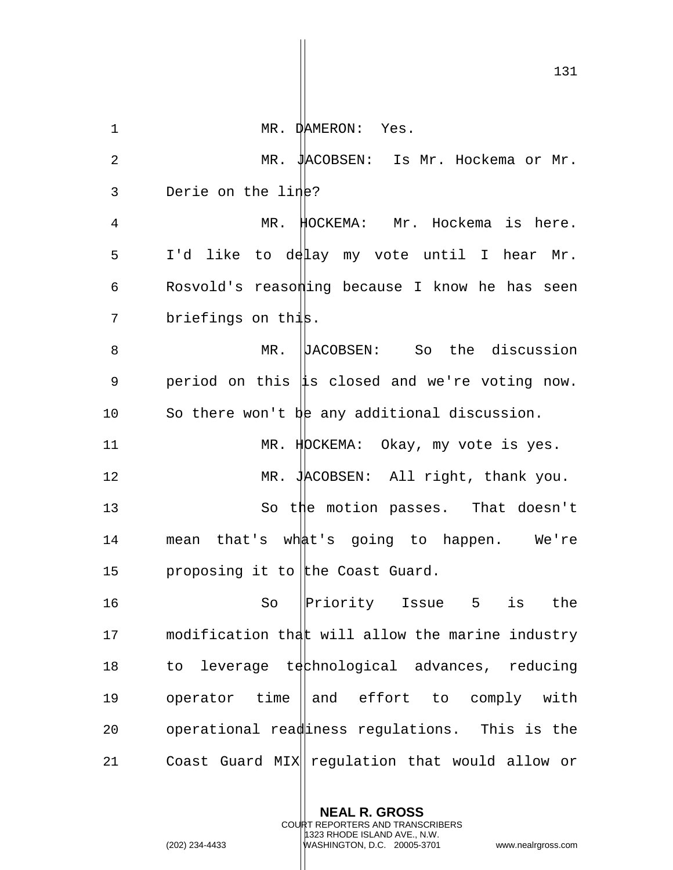131

1 MR. DAMERON: Yes. 2 MR. JACOBSEN: Is Mr. Hockema or Mr. 3 Derie on the line? 4 MR. HOCKEMA: Mr. Hockema is here. 5 I'd like to delay my vote until I hear Mr. 6 Rosvold's reasomling because I know he has seen 7 briefings on this. 8 MR. DACOBSEN: So the discussion 9 period on this  $\sharp s$  closed and we're voting now. 10 So there won't be any additional discussion. 11 MR. HDCKEMA: Okay, my vote is yes. 12 MR. JACOBSEN: All right, thank you. 13 So the motion passes. That doesn't 14 mean that's what's going to happen. We're 15 proposing it to the Coast Guard. 16 So Priority Issue 5 is the 17 modification that will allow the marine industry 18 to leverage technological advances, reducing 19 operator time and effort to comply with 20 operational readiness regulations. This is the 21 Coast Guard MIX requiation that would allow or

> **NEAL R. GROSS** COURT REPORTERS AND TRANSCRIBERS 1323 RHODE ISLAND AVE., N.W.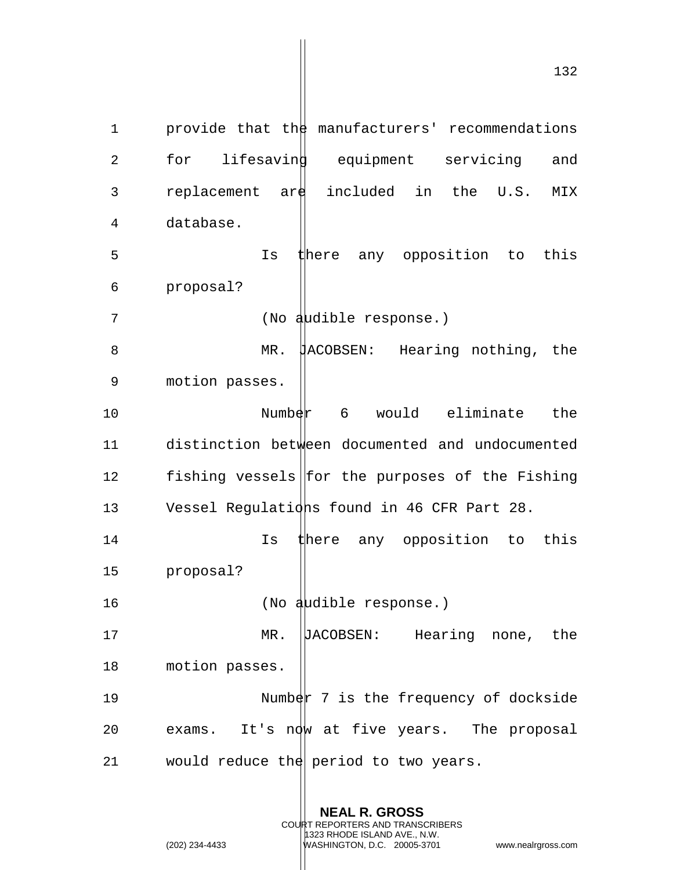1 provide that the manufacturers' recommendations 2 for lifesaving equipment servicing and 3 replacement are included in the U.S. MIX 4 database. 5 Is there any opposition to this 6 proposal? 7 (No audible response.) 8 MR. HACOBSEN: Hearing nothing, the 9 motion passes. 10 Number 6 would eliminate the 11 distinction between documented and undocumented 12 fishing vessels for the purposes of the Fishing 13 Vessel Regulations found in 46 CFR Part 28. 14 14 Is there any opposition to this 15 proposal? 16 (No audible response.) 17 MR. DACOBSEN: Hearing none, the 18 motion passes. 19 Number 7 is the frequency of dockside 20 exams. It's now at five years. The proposal 21 would reduce the period to two years.

> **NEAL R. GROSS** COURT REPORTERS AND TRANSCRIBERS

1323 RHODE ISLAND AVE., N.W.

(202) 234-4433 WASHINGTON, D.C. 20005-3701 www.nealrgross.com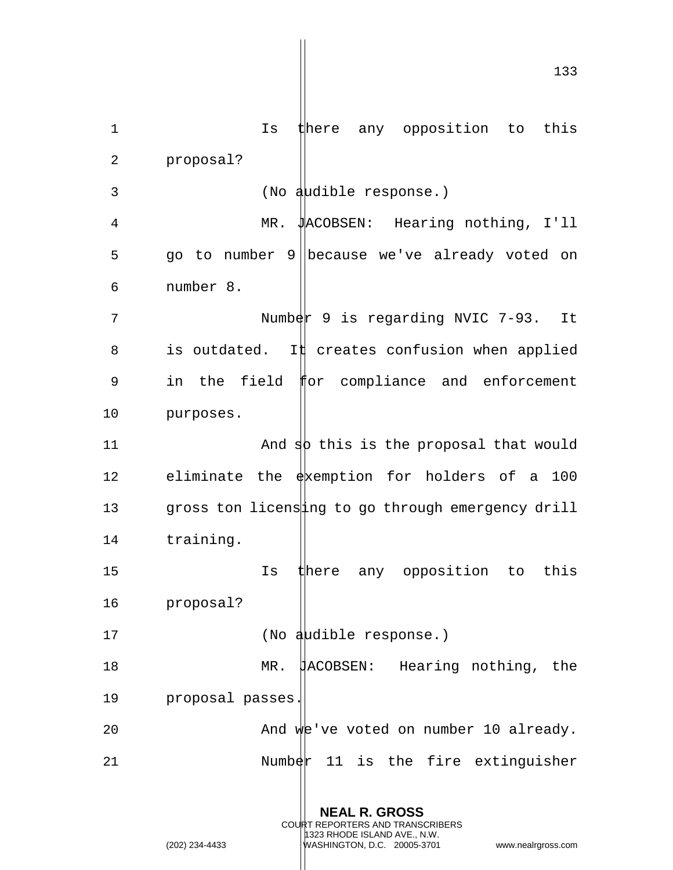1 Is there any opposition to this 2 proposal? 3 (No audible response.) 4 MR. JACOBSEN: Hearing nothing, I'll 5 go to number 9 because we've already voted on 6 number 8. 7 Number 9 is regarding NVIC 7-93. It 8 is outdated. It creates confusion when applied 9 in the field for compliance and enforcement 10 purposes. 11  $\blacksquare$  And  $\spadesuit$  this is the proposal that would 12 eliminate the  $\frac{1}{2}$  exemption for holders of a 100 13 gross ton licensing to go through emergency drill 14 training. 15 Is there any opposition to this 16 proposal? 17 (No audible response.) 18 MR. JACOBSEN: Hearing nothing, the 19 proposal passes. 20 And we've voted on number 10 already.  $21$  Number 11 is the fire extinguisher

> **NEAL R. GROSS** COURT REPORTERS AND TRANSCRIBERS 1323 RHODE ISLAND AVE., N.W. (202) 234-4433 WASHINGTON, D.C. 20005-3701 www.nealrgross.com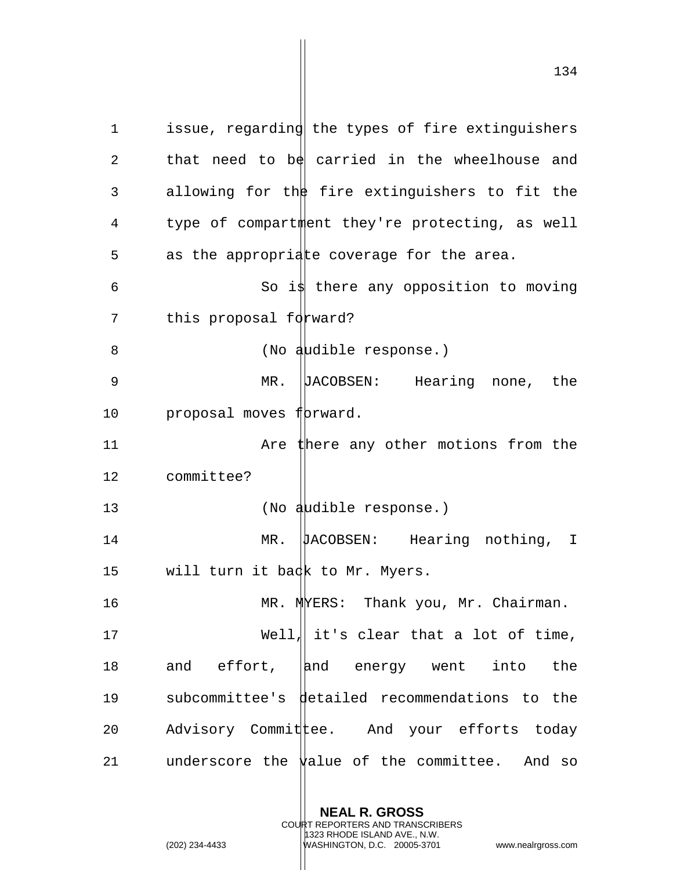1 issue, regarding the types of fire extinguishers 2 that need to be carried in the wheelhouse and 3 allowing for the fire extinguishers to fit the 4 type of compartment they're protecting, as well 5 as the appropriate coverage for the area.  $6$  So is there any opposition to moving 7 this proposal forward? 8 (No audible response.) 9 MR. JACOBSEN: Hearing none, the 10 proposal moves forward. 11 **11** Are there any other motions from the 12 committee? 13 (No audible response.) 14 MR. UACOBSEN: Hearing nothing, I 15 will turn it back to Mr. Myers. 16 MR. MERS: Thank you, Mr. Chairman. 17 Well, it's clear that a lot of time, 18 and effort,  $|$ and energy went into the 19 subcommittee's detailed recommendations to the

21 underscore the  $\frac{1}{2}$  alue of the committee. And so

20 Advisory Committee. And your efforts today

**NEAL R. GROSS** COURT REPORTERS AND TRANSCRIBERS

1323 RHODE ISLAND AVE., N.W.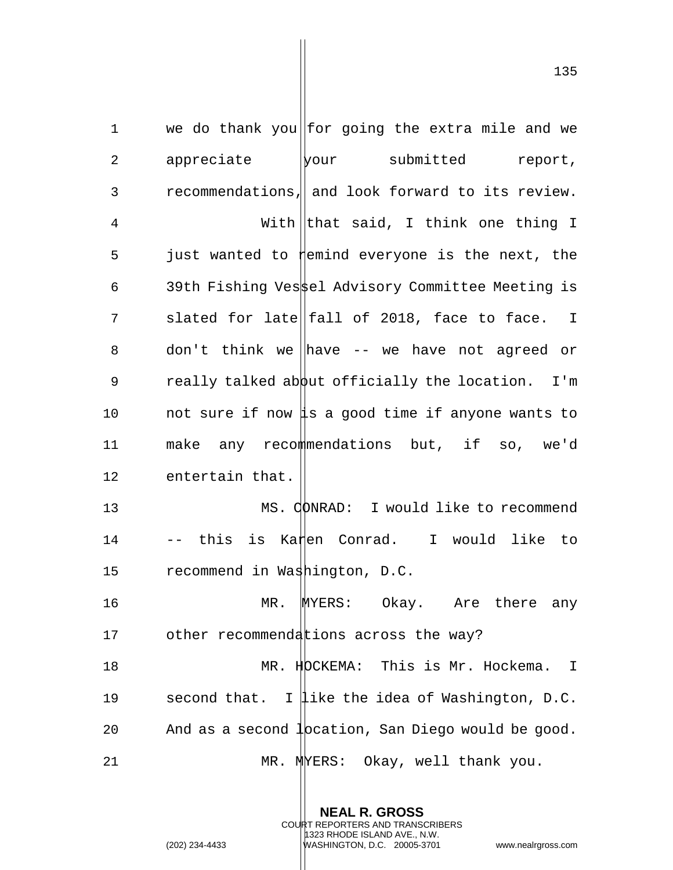1 we do thank you for going the extra mile and we 2 appreciate wour submitted report, 3 recommendations, and look forward to its review. 4 With that said, I think one thing I  $5$  just wanted to  $\sharp$ emind everyone is the next, the 6 39th Fishing Vessel Advisory Committee Meeting is 7 slated for late fall of 2018, face to face. I 8 don't think we  $\parallel$ have -- we have not agreed or 9 really talked about officially the location. I'm 10 not sure if now is a good time if anyone wants to 11 make any recommendations but, if so, we'd 12 entertain that. 13 MS. CONRAD: I would like to recommend 14 -- this is Ka‡en Conrad. I would like to 15 recommend in Washington, D.C. 16 MR. MYERS: Okay. Are there any 17 other recommendations across the way? 18 MR. HOCKEMA: This is Mr. Hockema. I 19 second that. I like the idea of Washington, D.C. 20 And as a second  $1$  pcation, San Diego would be good. 21 MR. MERS: Okay, well thank you.

> **NEAL R. GROSS** COURT REPORTERS AND TRANSCRIBERS 1323 RHODE ISLAND AVE., N.W.

(202) 234-4433 WASHINGTON, D.C. 20005-3701 www.nealrgross.com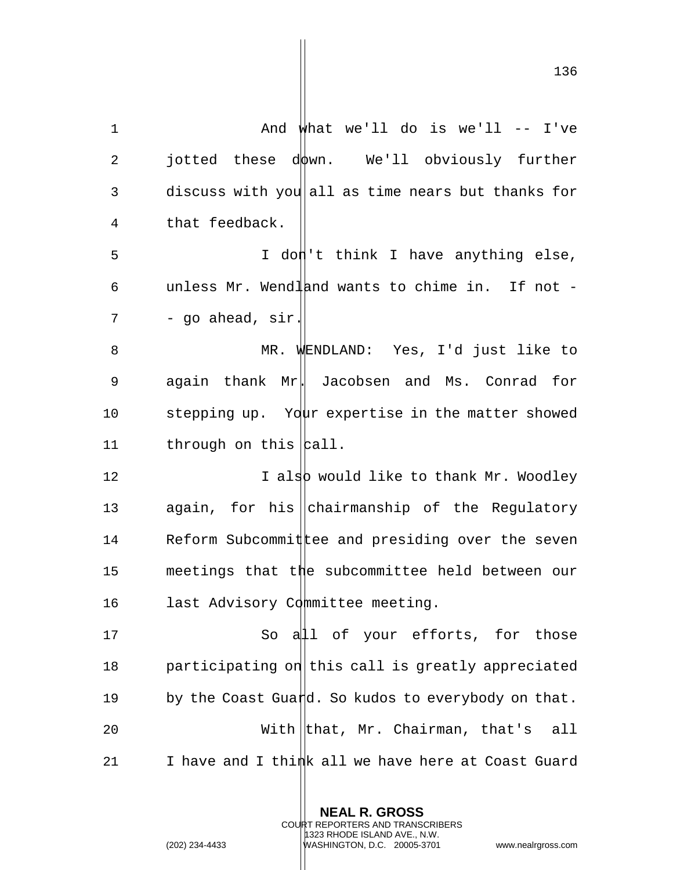| $\mathbf 1$ | And what we'll do is we'll $--$ I've               |
|-------------|----------------------------------------------------|
| 2           | jotted these down. We'll obviously further         |
| 3           | discuss with you all as time nears but thanks for  |
| 4           | that feedback.                                     |
| 5           | I don't think I have anything else,                |
| 6           | unless Mr. Wendland wants to chime in. If not -    |
| 7           | - go ahead, sir.                                   |
| 8           | MR. WENDLAND: Yes, I'd just like to                |
| 9           | again thank Mr. Jacobsen and Ms. Conrad for        |
| 10          | stepping up. Your expertise in the matter showed   |
| 11          | through on this $ $ call.                          |
| 12          | I also would like to thank Mr. Woodley             |
| 13          | again, for his   chairmanship of the Regulatory    |
| 14          | Reform Subcommit tee and presiding over the seven  |
| 15          | meetings that the subcommittee held between our    |
| 16          | last Advisory Committee meeting.                   |
| 17          | So all of your efforts, for those                  |
| 18          | participating on this call is greatly appreciated  |
| 19          | by the Coast Guard. So kudos to everybody on that. |
| 20          | With $ $ that, Mr. Chairman, that's<br>all         |
| 21          | I have and I thimh all we have here at Coast Guard |

**NEAL R. GROSS** COURT REPORTERS AND TRANSCRIBERS 1323 RHODE ISLAND AVE., N.W.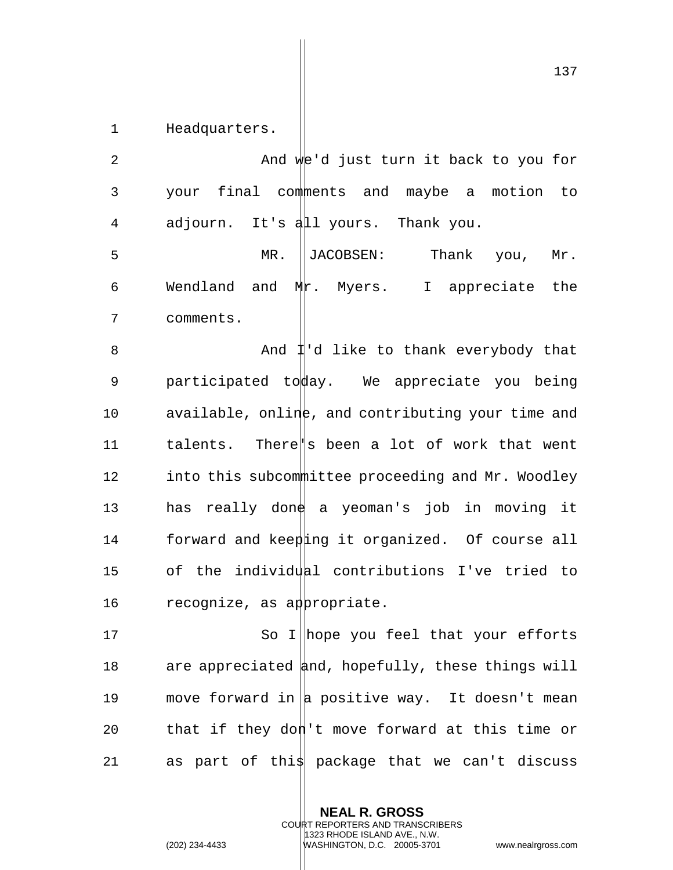1 Headquarters.

2 And we'd just turn it back to you for 3 your final comments and maybe a motion to 4 adjourn. It's all yours. Thank you.

5 MR. JACOBSEN: Thank you, Mr. 6 Wendland and  $Mr.$  Myers. I appreciate the 7 comments.

8 And  $\sharp$ 'd like to thank everybody that 9 participated to ave . We appreciate you being 10 available, online, and contributing your time and 11 talents. There's been a lot of work that went 12 into this subcommittee proceeding and Mr. Woodley 13 has really done a yeoman's job in moving it 14 forward and keeping it organized. Of course all 15 of the individual contributions I've tried to 16 recognize, as appropriate.

17 So I hope you feel that your efforts 18 are appreciated  $\frac{1}{4}$ nd, hopefully, these things will 19 move forward in  $|a|$  positive way. It doesn't mean 20 that if they don't move forward at this time or 21 as part of this package that we can't discuss

> **NEAL R. GROSS** COURT REPORTERS AND TRANSCRIBERS 1323 RHODE ISLAND AVE., N.W. (202) 234-4433 WASHINGTON, D.C. 20005-3701 www.nealrgross.com